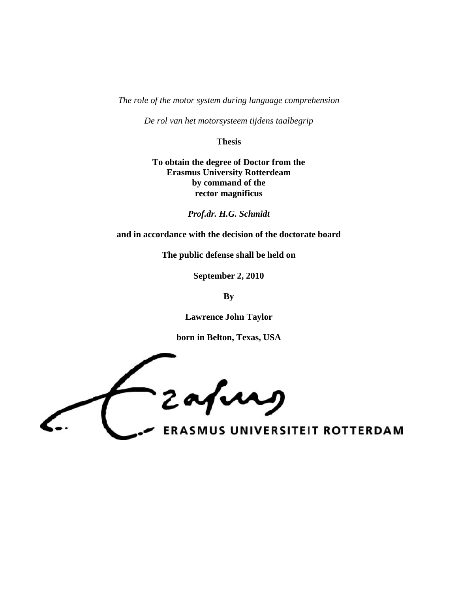*The role of the motor system during language comprehension*

*De rol van het motorsysteem tijdens taalbegrip*

**Thesis**

**To obtain the degree of Doctor from the Erasmus University Rotterdeam by command of the rector magnificus**

*Prof.dr. H.G. Schmidt*

**and in accordance with the decision of the doctorate board**

**The public defense shall be held on**

**September 2, 2010**

**By**

**Lawrence John Taylor**

**born in Belton, Texas, USA**

zafuas ERASMUS UNIVERSITEIT ROTTERDAM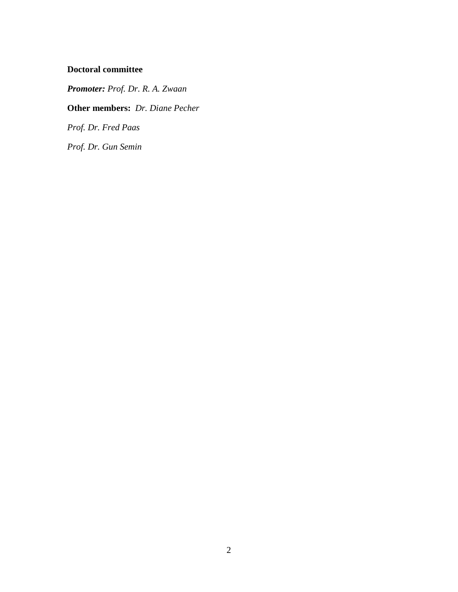### **Doctoral committee**

*Promoter: Prof. Dr. R. A. Zwaan*

### **Other members:** *Dr. Diane Pecher*

*Prof. Dr. Fred Paas*

*Prof. Dr. Gun Semin*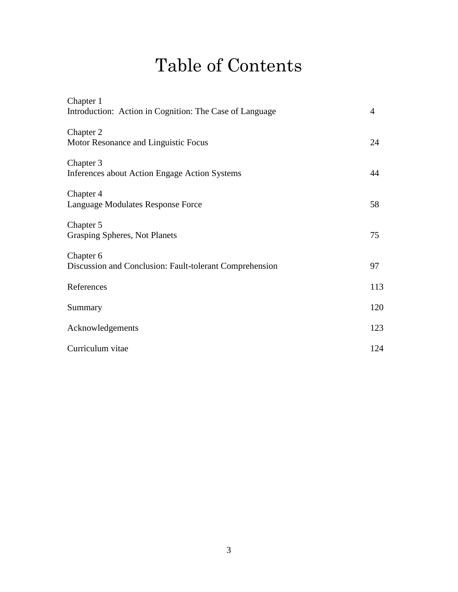# Table of Contents

| Chapter 1                                                            |                |
|----------------------------------------------------------------------|----------------|
| Introduction: Action in Cognition: The Case of Language              | $\overline{4}$ |
| Chapter 2                                                            |                |
| Motor Resonance and Linguistic Focus                                 | 24             |
| Chapter 3                                                            |                |
| Inferences about Action Engage Action Systems                        | 44             |
|                                                                      |                |
| Chapter 4                                                            |                |
| Language Modulates Response Force                                    | 58             |
| Chapter 5                                                            |                |
| Grasping Spheres, Not Planets                                        | 75             |
|                                                                      |                |
| Chapter 6<br>Discussion and Conclusion: Fault-tolerant Comprehension | 97             |
|                                                                      |                |
| References                                                           | 113            |
|                                                                      | 120            |
| Summary                                                              |                |
| Acknowledgements                                                     | 123            |
|                                                                      |                |
| Curriculum vitae                                                     | 124            |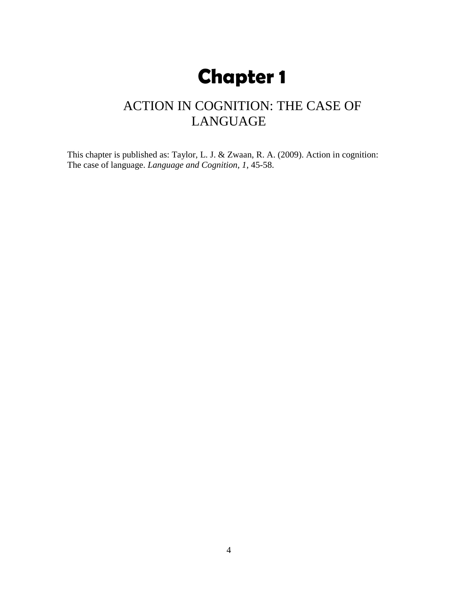# **Chapter 1**

### ACTION IN COGNITION: THE CASE OF LANGUAGE

This chapter is published as: Taylor, L. J. & Zwaan, R. A. (2009). Action in cognition: The case of language. *Language and Cognition*, *1*, 45-58.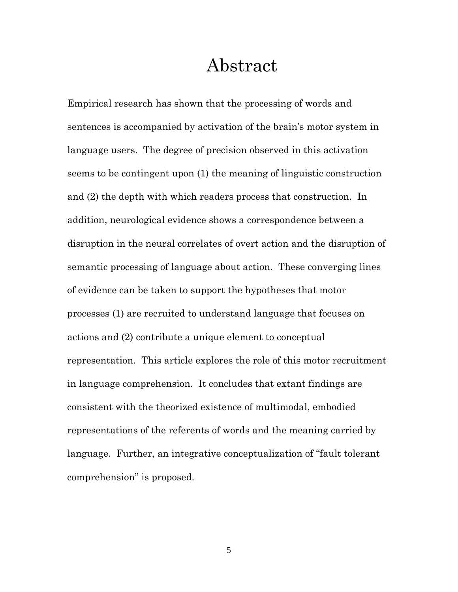## Abstract

Empirical research has shown that the processing of words and sentences is accompanied by activation of the brain's motor system in language users. The degree of precision observed in this activation seems to be contingent upon (1) the meaning of linguistic construction and (2) the depth with which readers process that construction. In addition, neurological evidence shows a correspondence between a disruption in the neural correlates of overt action and the disruption of semantic processing of language about action. These converging lines of evidence can be taken to support the hypotheses that motor processes (1) are recruited to understand language that focuses on actions and (2) contribute a unique element to conceptual representation. This article explores the role of this motor recruitment in language comprehension. It concludes that extant findings are consistent with the theorized existence of multimodal, embodied representations of the referents of words and the meaning carried by language. Further, an integrative conceptualization of "fault tolerant comprehension" is proposed.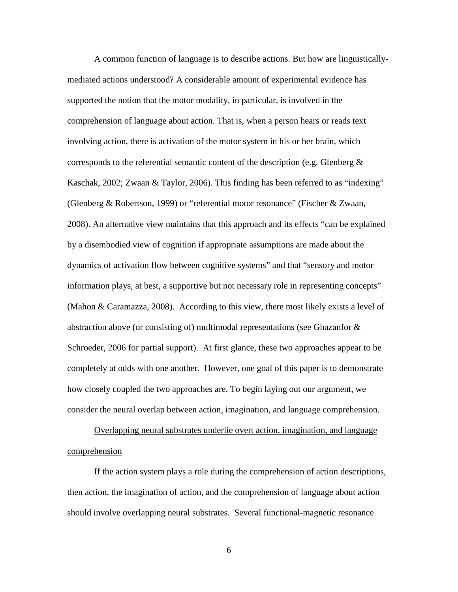A common function of language is to describe actions. But how are linguisticallymediated actions understood? A considerable amount of experimental evidence has supported the notion that the motor modality, in particular, is involved in the comprehension of language about action. That is, when a person hears or reads text involving action, there is activation of the motor system in his or her brain, which corresponds to the referential semantic content of the description (e.g. Glenberg  $\&$ Kaschak, 2002; Zwaan & Taylor, 2006). This finding has been referred to as "indexing" (Glenberg & Robertson, 1999) or "referential motor resonance" (Fischer & Zwaan, 2008). An alternative view maintains that this approach and its effects "can be explained by a disembodied view of cognition if appropriate assumptions are made about the dynamics of activation flow between cognitive systems" and that "sensory and motor information plays, at best, a supportive but not necessary role in representing concepts" (Mahon & Caramazza, 2008). According to this view, there most likely exists a level of abstraction above (or consisting of) multimodal representations (see Ghazanfor & Schroeder, 2006 for partial support). At first glance, these two approaches appear to be completely at odds with one another. However, one goal of this paper is to demonstrate how closely coupled the two approaches are. To begin laying out our argument, we consider the neural overlap between action, imagination, and language comprehension.

Overlapping neural substrates underlie overt action, imagination, and language comprehension

If the action system plays a role during the comprehension of action descriptions, then action, the imagination of action, and the comprehension of language about action should involve overlapping neural substrates. Several functional-magnetic resonance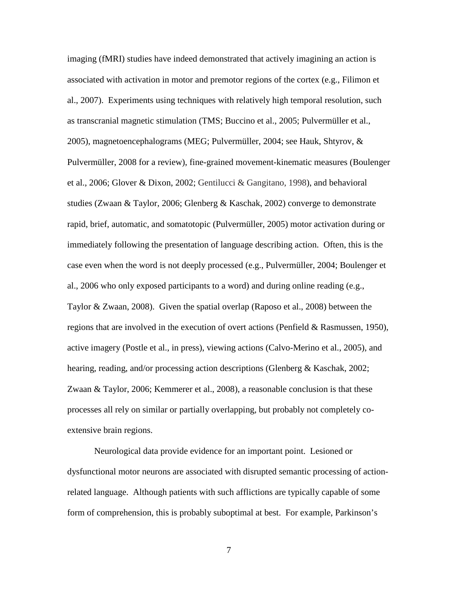imaging (fMRI) studies have indeed demonstrated that actively imagining an action is associated with activation in motor and premotor regions of the cortex (e.g., Filimon et al., 2007). Experiments using techniques with relatively high temporal resolution, such as transcranial magnetic stimulation (TMS; Buccino et al., 2005; Pulvermüller et al., 2005), magnetoencephalograms (MEG; Pulvermüller, 2004; see Hauk, Shtyrov, & Pulvermüller, 2008 for a review), fine-grained movement-kinematic measures (Boulenger et al., 2006; Glover & Dixon, 2002; Gentilucci & Gangitano, 1998), and behavioral studies (Zwaan & Taylor, 2006; Glenberg & Kaschak, 2002) converge to demonstrate rapid, brief, automatic, and somatotopic (Pulvermüller, 2005) motor activation during or immediately following the presentation of language describing action. Often, this is the case even when the word is not deeply processed (e.g., Pulvermüller, 2004; Boulenger et al., 2006 who only exposed participants to a word) and during online reading (e.g., Taylor & Zwaan, 2008). Given the spatial overlap (Raposo et al., 2008) between the regions that are involved in the execution of overt actions (Penfield & Rasmussen, 1950), active imagery (Postle et al., in press), viewing actions (Calvo-Merino et al., 2005), and hearing, reading, and/or processing action descriptions (Glenberg & Kaschak, 2002; Zwaan & Taylor, 2006; Kemmerer et al., 2008), a reasonable conclusion is that these processes all rely on similar or partially overlapping, but probably not completely coextensive brain regions.

Neurological data provide evidence for an important point. Lesioned or dysfunctional motor neurons are associated with disrupted semantic processing of actionrelated language. Although patients with such afflictions are typically capable of some form of comprehension, this is probably suboptimal at best. For example, Parkinson's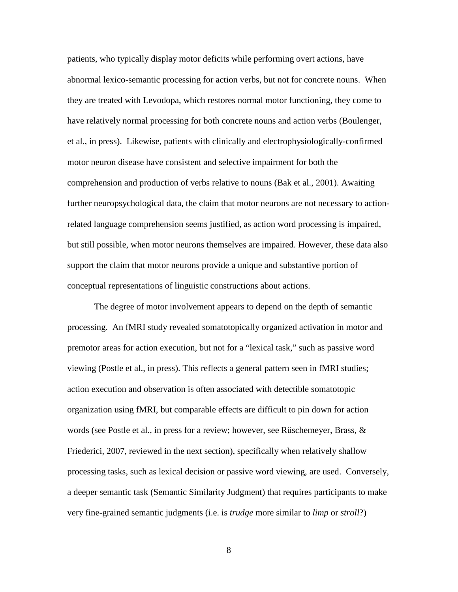patients, who typically display motor deficits while performing overt actions, have abnormal lexico-semantic processing for action verbs, but not for concrete nouns. When they are treated with Levodopa, which restores normal motor functioning, they come to have relatively normal processing for both concrete nouns and action verbs (Boulenger, et al., in press). Likewise, patients with clinically and electrophysiologically-confirmed motor neuron disease have consistent and selective impairment for both the comprehension and production of verbs relative to nouns (Bak et al., 2001). Awaiting further neuropsychological data, the claim that motor neurons are not necessary to actionrelated language comprehension seems justified, as action word processing is impaired, but still possible, when motor neurons themselves are impaired. However, these data also support the claim that motor neurons provide a unique and substantive portion of conceptual representations of linguistic constructions about actions.

The degree of motor involvement appears to depend on the depth of semantic processing. An fMRI study revealed somatotopically organized activation in motor and premotor areas for action execution, but not for a "lexical task," such as passive word viewing (Postle et al., in press). This reflects a general pattern seen in fMRI studies; action execution and observation is often associated with detectible somatotopic organization using fMRI, but comparable effects are difficult to pin down for action words (see Postle et al., in press for a review; however, see Rüschemeyer, Brass, & Friederici, 2007, reviewed in the next section), specifically when relatively shallow processing tasks, such as lexical decision or passive word viewing, are used. Conversely, a deeper semantic task (Semantic Similarity Judgment) that requires participants to make very fine-grained semantic judgments (i.e. is *trudge* more similar to *limp* or *stroll*?)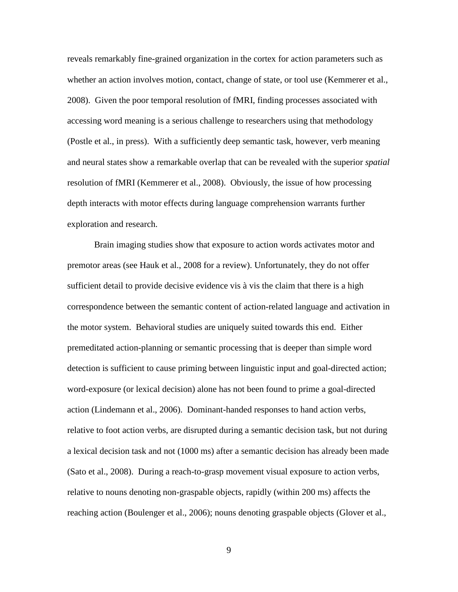reveals remarkably fine-grained organization in the cortex for action parameters such as whether an action involves motion, contact, change of state, or tool use (Kemmerer et al., 2008). Given the poor temporal resolution of fMRI, finding processes associated with accessing word meaning is a serious challenge to researchers using that methodology (Postle et al., in press). With a sufficiently deep semantic task, however, verb meaning and neural states show a remarkable overlap that can be revealed with the superior *spatial* resolution of fMRI (Kemmerer et al., 2008). Obviously, the issue of how processing depth interacts with motor effects during language comprehension warrants further exploration and research.

Brain imaging studies show that exposure to action words activates motor and premotor areas (see Hauk et al., 2008 for a review). Unfortunately, they do not offer sufficient detail to provide decisive evidence vis à vis the claim that there is a high correspondence between the semantic content of action-related language and activation in the motor system. Behavioral studies are uniquely suited towards this end. Either premeditated action-planning or semantic processing that is deeper than simple word detection is sufficient to cause priming between linguistic input and goal-directed action; word-exposure (or lexical decision) alone has not been found to prime a goal-directed action (Lindemann et al., 2006). Dominant-handed responses to hand action verbs, relative to foot action verbs, are disrupted during a semantic decision task, but not during a lexical decision task and not (1000 ms) after a semantic decision has already been made (Sato et al., 2008). During a reach-to-grasp movement visual exposure to action verbs, relative to nouns denoting non-graspable objects, rapidly (within 200 ms) affects the reaching action (Boulenger et al., 2006); nouns denoting graspable objects (Glover et al.,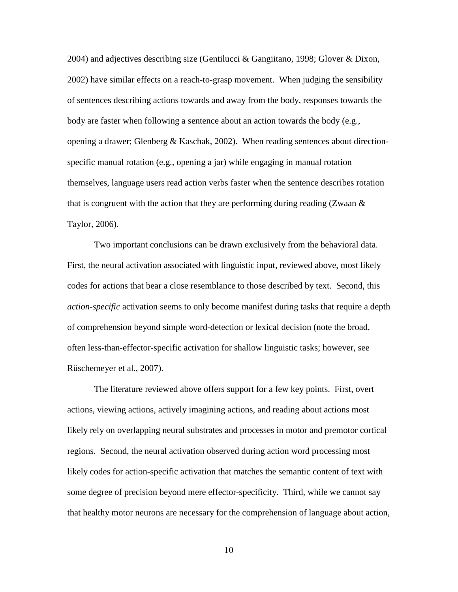2004) and adjectives describing size (Gentilucci & Gangiitano, 1998; Glover & Dixon, 2002) have similar effects on a reach-to-grasp movement. When judging the sensibility of sentences describing actions towards and away from the body, responses towards the body are faster when following a sentence about an action towards the body (e.g., opening a drawer; Glenberg & Kaschak, 2002). When reading sentences about directionspecific manual rotation (e.g., opening a jar) while engaging in manual rotation themselves, language users read action verbs faster when the sentence describes rotation that is congruent with the action that they are performing during reading (Zwaan  $\&$ Taylor, 2006).

Two important conclusions can be drawn exclusively from the behavioral data. First, the neural activation associated with linguistic input, reviewed above, most likely codes for actions that bear a close resemblance to those described by text. Second, this *action-specific* activation seems to only become manifest during tasks that require a depth of comprehension beyond simple word-detection or lexical decision (note the broad, often less-than-effector-specific activation for shallow linguistic tasks; however, see Rüschemeyer et al., 2007).

The literature reviewed above offers support for a few key points. First, overt actions, viewing actions, actively imagining actions, and reading about actions most likely rely on overlapping neural substrates and processes in motor and premotor cortical regions. Second, the neural activation observed during action word processing most likely codes for action-specific activation that matches the semantic content of text with some degree of precision beyond mere effector-specificity. Third, while we cannot say that healthy motor neurons are necessary for the comprehension of language about action,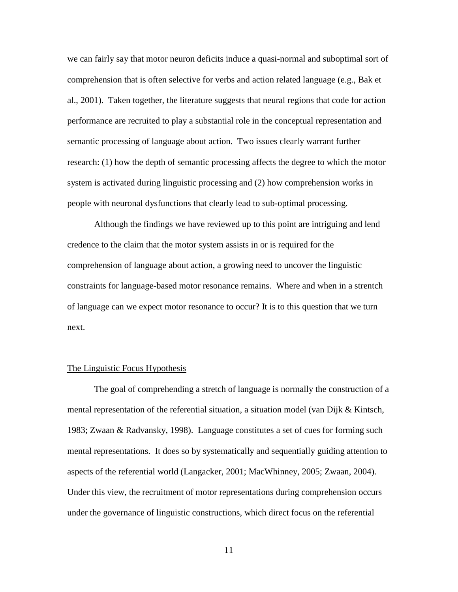we can fairly say that motor neuron deficits induce a quasi-normal and suboptimal sort of comprehension that is often selective for verbs and action related language (e.g., Bak et al., 2001). Taken together, the literature suggests that neural regions that code for action performance are recruited to play a substantial role in the conceptual representation and semantic processing of language about action. Two issues clearly warrant further research: (1) how the depth of semantic processing affects the degree to which the motor system is activated during linguistic processing and (2) how comprehension works in people with neuronal dysfunctions that clearly lead to sub-optimal processing.

Although the findings we have reviewed up to this point are intriguing and lend credence to the claim that the motor system assists in or is required for the comprehension of language about action, a growing need to uncover the linguistic constraints for language-based motor resonance remains. Where and when in a strentch of language can we expect motor resonance to occur? It is to this question that we turn next.

### The Linguistic Focus Hypothesis

The goal of comprehending a stretch of language is normally the construction of a mental representation of the referential situation, a situation model (van Dijk & Kintsch, 1983; Zwaan & Radvansky, 1998). Language constitutes a set of cues for forming such mental representations. It does so by systematically and sequentially guiding attention to aspects of the referential world (Langacker, 2001; MacWhinney, 2005; Zwaan, 2004). Under this view, the recruitment of motor representations during comprehension occurs under the governance of linguistic constructions, which direct focus on the referential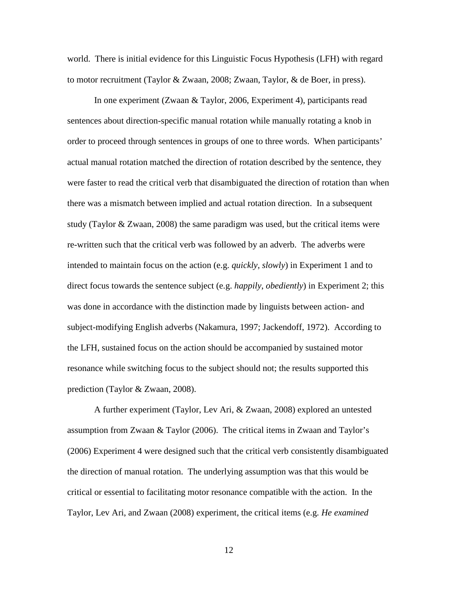world. There is initial evidence for this Linguistic Focus Hypothesis (LFH) with regard to motor recruitment (Taylor & Zwaan, 2008; Zwaan, Taylor, & de Boer, in press).

In one experiment (Zwaan & Taylor, 2006, Experiment 4), participants read sentences about direction-specific manual rotation while manually rotating a knob in order to proceed through sentences in groups of one to three words. When participants' actual manual rotation matched the direction of rotation described by the sentence, they were faster to read the critical verb that disambiguated the direction of rotation than when there was a mismatch between implied and actual rotation direction. In a subsequent study (Taylor & Zwaan, 2008) the same paradigm was used, but the critical items were re-written such that the critical verb was followed by an adverb. The adverbs were intended to maintain focus on the action (e.g. *quickly*, *slowly*) in Experiment 1 and to direct focus towards the sentence subject (e.g. *happily*, *obediently*) in Experiment 2; this was done in accordance with the distinction made by linguists between action- and subject-modifying English adverbs (Nakamura, 1997; Jackendoff, 1972). According to the LFH, sustained focus on the action should be accompanied by sustained motor resonance while switching focus to the subject should not; the results supported this prediction (Taylor & Zwaan, 2008).

A further experiment (Taylor, Lev Ari, & Zwaan, 2008) explored an untested assumption from Zwaan & Taylor (2006). The critical items in Zwaan and Taylor's (2006) Experiment 4 were designed such that the critical verb consistently disambiguated the direction of manual rotation. The underlying assumption was that this would be critical or essential to facilitating motor resonance compatible with the action. In the Taylor, Lev Ari, and Zwaan (2008) experiment, the critical items (e.g. *He examined*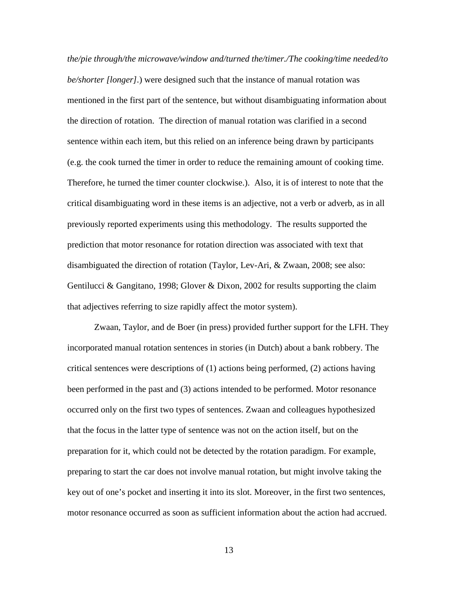*the/pie through/the microwave/window and/turned the/timer./The cooking/time needed/to be/shorter [longer].*) were designed such that the instance of manual rotation was mentioned in the first part of the sentence, but without disambiguating information about the direction of rotation. The direction of manual rotation was clarified in a second sentence within each item, but this relied on an inference being drawn by participants (e.g. the cook turned the timer in order to reduce the remaining amount of cooking time. Therefore, he turned the timer counter clockwise.). Also, it is of interest to note that the critical disambiguating word in these items is an adjective, not a verb or adverb, as in all previously reported experiments using this methodology. The results supported the prediction that motor resonance for rotation direction was associated with text that disambiguated the direction of rotation (Taylor, Lev-Ari, & Zwaan, 2008; see also: Gentilucci & Gangitano, 1998; Glover & Dixon, 2002 for results supporting the claim that adjectives referring to size rapidly affect the motor system).

Zwaan, Taylor, and de Boer (in press) provided further support for the LFH. They incorporated manual rotation sentences in stories (in Dutch) about a bank robbery. The critical sentences were descriptions of (1) actions being performed, (2) actions having been performed in the past and (3) actions intended to be performed. Motor resonance occurred only on the first two types of sentences. Zwaan and colleagues hypothesized that the focus in the latter type of sentence was not on the action itself, but on the preparation for it, which could not be detected by the rotation paradigm. For example, preparing to start the car does not involve manual rotation, but might involve taking the key out of one's pocket and inserting it into its slot. Moreover, in the first two sentences, motor resonance occurred as soon as sufficient information about the action had accrued.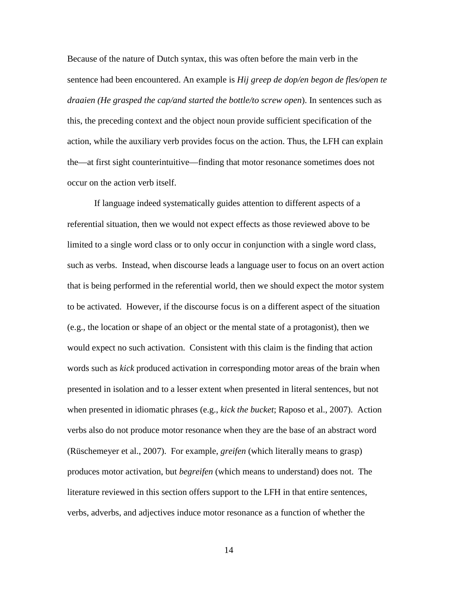Because of the nature of Dutch syntax, this was often before the main verb in the sentence had been encountered. An example is *Hij greep de dop/en begon de fles/open te draaien (He grasped the cap/and started the bottle/to screw open*). In sentences such as this, the preceding context and the object noun provide sufficient specification of the action, while the auxiliary verb provides focus on the action. Thus, the LFH can explain the—at first sight counterintuitive—finding that motor resonance sometimes does not occur on the action verb itself.

If language indeed systematically guides attention to different aspects of a referential situation, then we would not expect effects as those reviewed above to be limited to a single word class or to only occur in conjunction with a single word class, such as verbs. Instead, when discourse leads a language user to focus on an overt action that is being performed in the referential world, then we should expect the motor system to be activated. However, if the discourse focus is on a different aspect of the situation (e.g., the location or shape of an object or the mental state of a protagonist), then we would expect no such activation. Consistent with this claim is the finding that action words such as *kick* produced activation in corresponding motor areas of the brain when presented in isolation and to a lesser extent when presented in literal sentences, but not when presented in idiomatic phrases (e.g., *kick the bucket*; Raposo et al., 2007). Action verbs also do not produce motor resonance when they are the base of an abstract word (Rüschemeyer et al., 2007). For example, *greifen* (which literally means to grasp) produces motor activation, but *begreifen* (which means to understand) does not. The literature reviewed in this section offers support to the LFH in that entire sentences, verbs, adverbs, and adjectives induce motor resonance as a function of whether the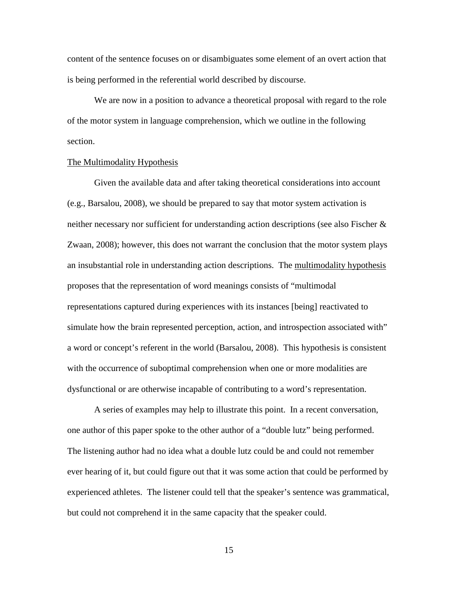content of the sentence focuses on or disambiguates some element of an overt action that is being performed in the referential world described by discourse.

We are now in a position to advance a theoretical proposal with regard to the role of the motor system in language comprehension, which we outline in the following section.

#### The Multimodality Hypothesis

Given the available data and after taking theoretical considerations into account (e.g., Barsalou, 2008), we should be prepared to say that motor system activation is neither necessary nor sufficient for understanding action descriptions (see also Fischer & Zwaan, 2008); however, this does not warrant the conclusion that the motor system plays an insubstantial role in understanding action descriptions. The multimodality hypothesis proposes that the representation of word meanings consists of "multimodal representations captured during experiences with its instances [being] reactivated to simulate how the brain represented perception, action, and introspection associated with" a word or concept's referent in the world (Barsalou, 2008). This hypothesis is consistent with the occurrence of suboptimal comprehension when one or more modalities are dysfunctional or are otherwise incapable of contributing to a word's representation.

A series of examples may help to illustrate this point. In a recent conversation, one author of this paper spoke to the other author of a "double lutz" being performed. The listening author had no idea what a double lutz could be and could not remember ever hearing of it, but could figure out that it was some action that could be performed by experienced athletes. The listener could tell that the speaker's sentence was grammatical, but could not comprehend it in the same capacity that the speaker could.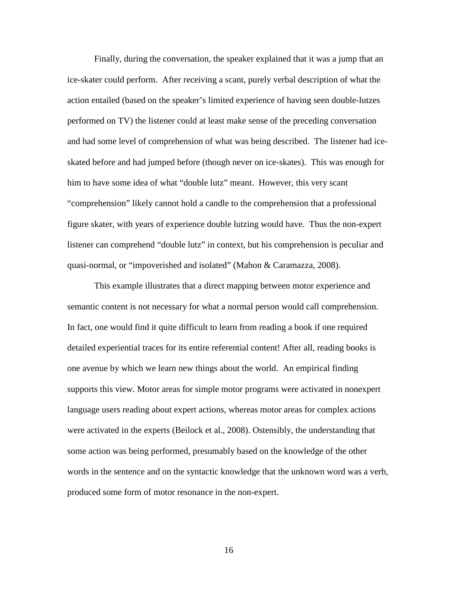Finally, during the conversation, the speaker explained that it was a jump that an ice-skater could perform. After receiving a scant, purely verbal description of what the action entailed (based on the speaker's limited experience of having seen double-lutzes performed on TV) the listener could at least make sense of the preceding conversation and had some level of comprehension of what was being described. The listener had iceskated before and had jumped before (though never on ice-skates). This was enough for him to have some idea of what "double lutz" meant. However, this very scant "comprehension" likely cannot hold a candle to the comprehension that a professional figure skater, with years of experience double lutzing would have. Thus the non-expert listener can comprehend "double lutz" in context, but his comprehension is peculiar and quasi-normal, or "impoverished and isolated" (Mahon & Caramazza, 2008).

This example illustrates that a direct mapping between motor experience and semantic content is not necessary for what a normal person would call comprehension. In fact, one would find it quite difficult to learn from reading a book if one required detailed experiential traces for its entire referential content! After all, reading books is one avenue by which we learn new things about the world. An empirical finding supports this view. Motor areas for simple motor programs were activated in nonexpert language users reading about expert actions, whereas motor areas for complex actions were activated in the experts (Beilock et al., 2008). Ostensibly, the understanding that some action was being performed, presumably based on the knowledge of the other words in the sentence and on the syntactic knowledge that the unknown word was a verb, produced some form of motor resonance in the non-expert.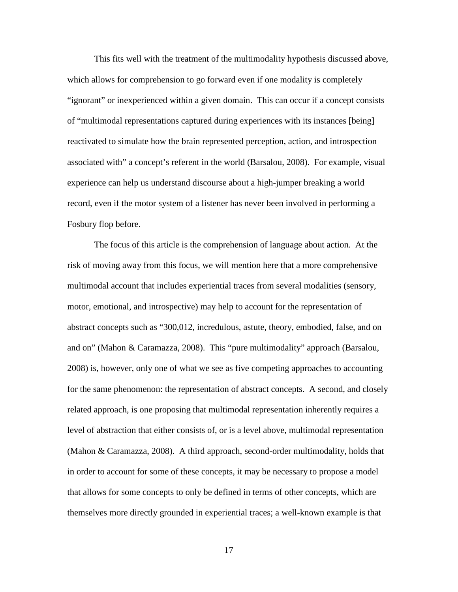This fits well with the treatment of the multimodality hypothesis discussed above, which allows for comprehension to go forward even if one modality is completely "ignorant" or inexperienced within a given domain. This can occur if a concept consists of "multimodal representations captured during experiences with its instances [being] reactivated to simulate how the brain represented perception, action, and introspection associated with" a concept's referent in the world (Barsalou, 2008). For example, visual experience can help us understand discourse about a high-jumper breaking a world record, even if the motor system of a listener has never been involved in performing a Fosbury flop before.

The focus of this article is the comprehension of language about action. At the risk of moving away from this focus, we will mention here that a more comprehensive multimodal account that includes experiential traces from several modalities (sensory, motor, emotional, and introspective) may help to account for the representation of abstract concepts such as "300,012, incredulous, astute, theory, embodied, false, and on and on" (Mahon & Caramazza, 2008). This "pure multimodality" approach (Barsalou, 2008) is, however, only one of what we see as five competing approaches to accounting for the same phenomenon: the representation of abstract concepts. A second, and closely related approach, is one proposing that multimodal representation inherently requires a level of abstraction that either consists of, or is a level above, multimodal representation (Mahon & Caramazza, 2008). A third approach, second-order multimodality, holds that in order to account for some of these concepts, it may be necessary to propose a model that allows for some concepts to only be defined in terms of other concepts, which are themselves more directly grounded in experiential traces; a well-known example is that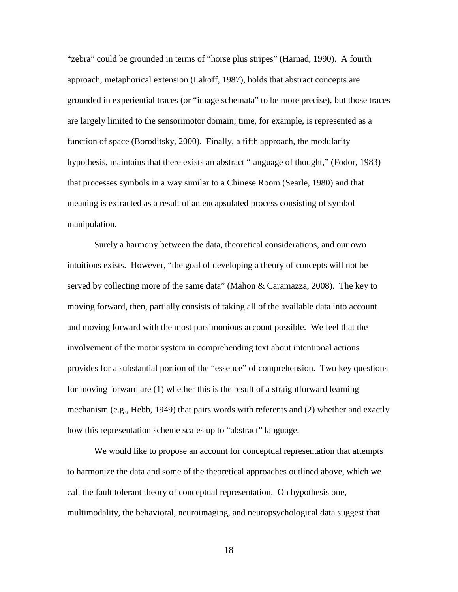"zebra" could be grounded in terms of "horse plus stripes" (Harnad, 1990). A fourth approach, metaphorical extension (Lakoff, 1987), holds that abstract concepts are grounded in experiential traces (or "image schemata" to be more precise), but those traces are largely limited to the sensorimotor domain; time, for example, is represented as a function of space (Boroditsky, 2000). Finally, a fifth approach, the modularity hypothesis, maintains that there exists an abstract "language of thought," (Fodor, 1983) that processes symbols in a way similar to a Chinese Room (Searle, 1980) and that meaning is extracted as a result of an encapsulated process consisting of symbol manipulation.

Surely a harmony between the data, theoretical considerations, and our own intuitions exists. However, "the goal of developing a theory of concepts will not be served by collecting more of the same data" (Mahon & Caramazza, 2008). The key to moving forward, then, partially consists of taking all of the available data into account and moving forward with the most parsimonious account possible. We feel that the involvement of the motor system in comprehending text about intentional actions provides for a substantial portion of the "essence" of comprehension. Two key questions for moving forward are (1) whether this is the result of a straightforward learning mechanism (e.g., Hebb, 1949) that pairs words with referents and (2) whether and exactly how this representation scheme scales up to "abstract" language.

We would like to propose an account for conceptual representation that attempts to harmonize the data and some of the theoretical approaches outlined above, which we call the fault tolerant theory of conceptual representation. On hypothesis one, multimodality, the behavioral, neuroimaging, and neuropsychological data suggest that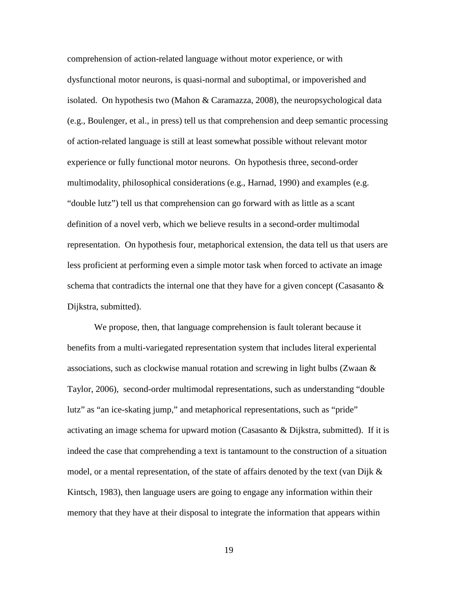comprehension of action-related language without motor experience, or with dysfunctional motor neurons, is quasi-normal and suboptimal, or impoverished and isolated. On hypothesis two (Mahon & Caramazza, 2008), the neuropsychological data (e.g., Boulenger, et al., in press) tell us that comprehension and deep semantic processing of action-related language is still at least somewhat possible without relevant motor experience or fully functional motor neurons. On hypothesis three, second-order multimodality, philosophical considerations (e.g., Harnad, 1990) and examples (e.g. "double lutz") tell us that comprehension can go forward with as little as a scant definition of a novel verb, which we believe results in a second-order multimodal representation. On hypothesis four, metaphorical extension, the data tell us that users are less proficient at performing even a simple motor task when forced to activate an image schema that contradicts the internal one that they have for a given concept (Casasanto  $\&$ Dijkstra, submitted).

We propose, then, that language comprehension is fault tolerant because it benefits from a multi-variegated representation system that includes literal experiental associations, such as clockwise manual rotation and screwing in light bulbs (Zwaan & Taylor, 2006), second-order multimodal representations, such as understanding "double lutz" as "an ice-skating jump," and metaphorical representations, such as "pride" activating an image schema for upward motion (Casasanto & Dijkstra, submitted). If it is indeed the case that comprehending a text is tantamount to the construction of a situation model, or a mental representation, of the state of affairs denoted by the text (van Dijk  $\&$ Kintsch, 1983), then language users are going to engage any information within their memory that they have at their disposal to integrate the information that appears within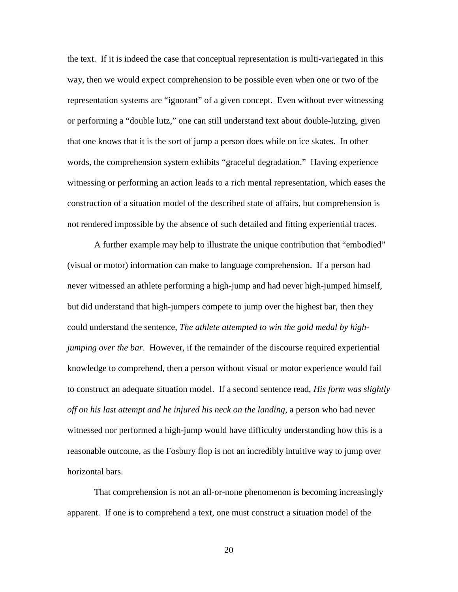the text. If it is indeed the case that conceptual representation is multi-variegated in this way, then we would expect comprehension to be possible even when one or two of the representation systems are "ignorant" of a given concept. Even without ever witnessing or performing a "double lutz," one can still understand text about double-lutzing, given that one knows that it is the sort of jump a person does while on ice skates. In other words, the comprehension system exhibits "graceful degradation." Having experience witnessing or performing an action leads to a rich mental representation, which eases the construction of a situation model of the described state of affairs, but comprehension is not rendered impossible by the absence of such detailed and fitting experiential traces.

A further example may help to illustrate the unique contribution that "embodied" (visual or motor) information can make to language comprehension. If a person had never witnessed an athlete performing a high-jump and had never high-jumped himself, but did understand that high-jumpers compete to jump over the highest bar, then they could understand the sentence, *The athlete attempted to win the gold medal by highjumping over the bar.* However, if the remainder of the discourse required experiential knowledge to comprehend, then a person without visual or motor experience would fail to construct an adequate situation model. If a second sentence read, *His form was slightly off on his last attempt and he injured his neck on the landing*, a person who had never witnessed nor performed a high-jump would have difficulty understanding how this is a reasonable outcome, as the Fosbury flop is not an incredibly intuitive way to jump over horizontal bars.

That comprehension is not an all-or-none phenomenon is becoming increasingly apparent. If one is to comprehend a text, one must construct a situation model of the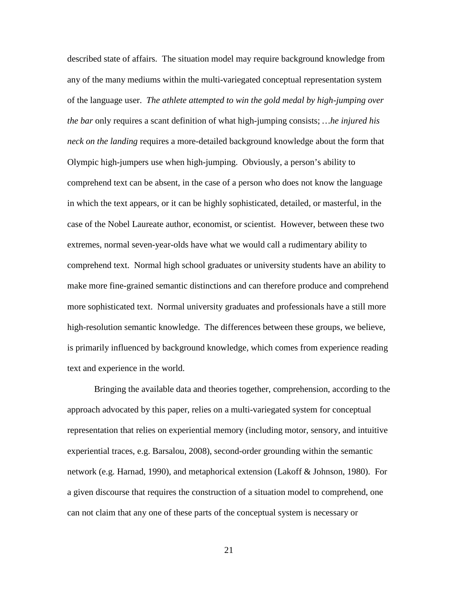described state of affairs. The situation model may require background knowledge from any of the many mediums within the multi-variegated conceptual representation system of the language user. *The athlete attempted to win the gold medal by high-jumping over the bar* only requires a scant definition of what high-jumping consists; *…he injured his neck on the landing* requires a more-detailed background knowledge about the form that Olympic high-jumpers use when high-jumping. Obviously, a person's ability to comprehend text can be absent, in the case of a person who does not know the language in which the text appears, or it can be highly sophisticated, detailed, or masterful, in the case of the Nobel Laureate author, economist, or scientist. However, between these two extremes, normal seven-year-olds have what we would call a rudimentary ability to comprehend text. Normal high school graduates or university students have an ability to make more fine-grained semantic distinctions and can therefore produce and comprehend more sophisticated text. Normal university graduates and professionals have a still more high-resolution semantic knowledge. The differences between these groups, we believe, is primarily influenced by background knowledge, which comes from experience reading text and experience in the world.

Bringing the available data and theories together, comprehension, according to the approach advocated by this paper, relies on a multi-variegated system for conceptual representation that relies on experiential memory (including motor, sensory, and intuitive experiential traces, e.g. Barsalou, 2008), second-order grounding within the semantic network (e.g. Harnad, 1990), and metaphorical extension (Lakoff & Johnson, 1980). For a given discourse that requires the construction of a situation model to comprehend, one can not claim that any one of these parts of the conceptual system is necessary or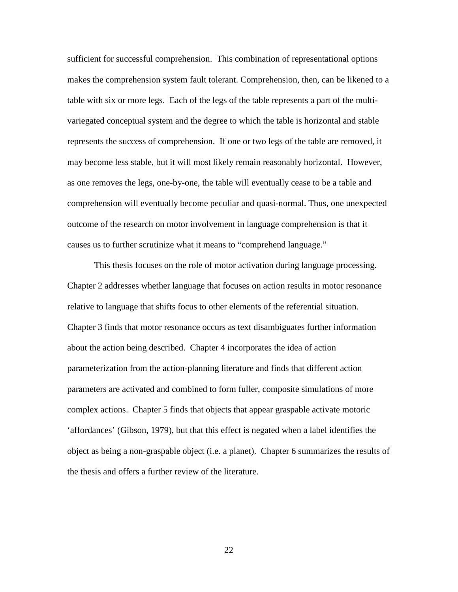sufficient for successful comprehension. This combination of representational options makes the comprehension system fault tolerant. Comprehension, then, can be likened to a table with six or more legs. Each of the legs of the table represents a part of the multivariegated conceptual system and the degree to which the table is horizontal and stable represents the success of comprehension. If one or two legs of the table are removed, it may become less stable, but it will most likely remain reasonably horizontal. However, as one removes the legs, one-by-one, the table will eventually cease to be a table and comprehension will eventually become peculiar and quasi-normal. Thus, one unexpected outcome of the research on motor involvement in language comprehension is that it causes us to further scrutinize what it means to "comprehend language."

This thesis focuses on the role of motor activation during language processing. Chapter 2 addresses whether language that focuses on action results in motor resonance relative to language that shifts focus to other elements of the referential situation. Chapter 3 finds that motor resonance occurs as text disambiguates further information about the action being described. Chapter 4 incorporates the idea of action parameterization from the action-planning literature and finds that different action parameters are activated and combined to form fuller, composite simulations of more complex actions. Chapter 5 finds that objects that appear graspable activate motoric 'affordances' (Gibson, 1979), but that this effect is negated when a label identifies the object as being a non-graspable object (i.e. a planet). Chapter 6 summarizes the results of the thesis and offers a further review of the literature.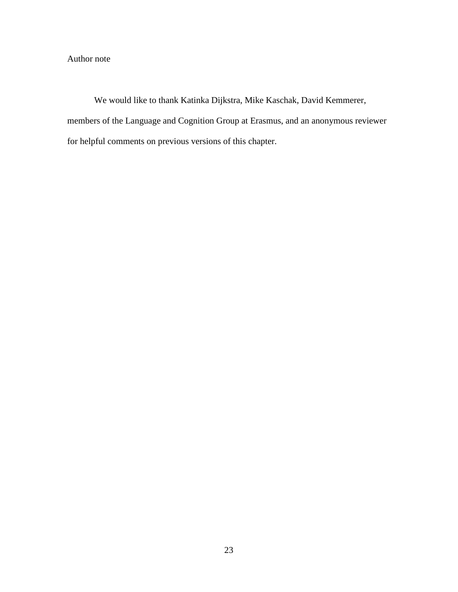### Author note

We would like to thank Katinka Dijkstra, Mike Kaschak, David Kemmerer, members of the Language and Cognition Group at Erasmus, and an anonymous reviewer for helpful comments on previous versions of this chapter.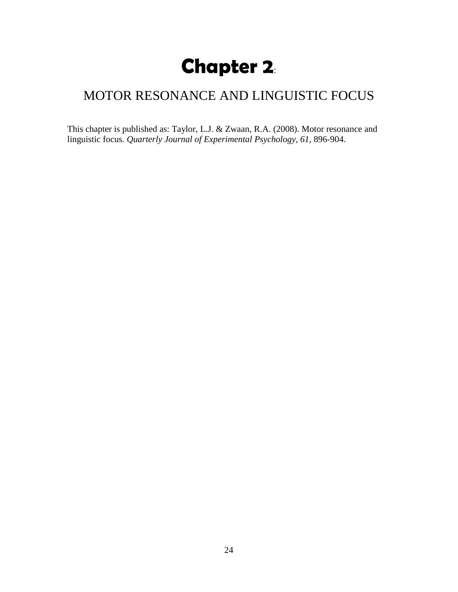# **Chapter 2**:

### MOTOR RESONANCE AND LINGUISTIC FOCUS

This chapter is published as: Taylor, L.J. & Zwaan, R.A. (2008). Motor resonance and linguistic focus. *Quarterly Journal of Experimental Psychology*, *61*, 896-904.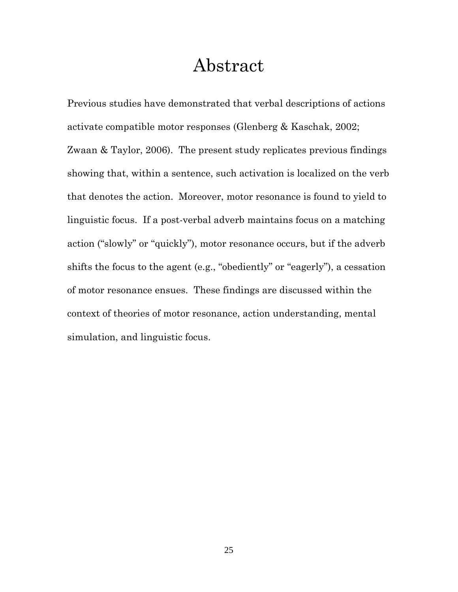## Abstract

Previous studies have demonstrated that verbal descriptions of actions activate compatible motor responses (Glenberg & Kaschak, 2002; Zwaan & Taylor, 2006). The present study replicates previous findings showing that, within a sentence, such activation is localized on the verb that denotes the action. Moreover, motor resonance is found to yield to linguistic focus. If a post-verbal adverb maintains focus on a matching action ("slowly" or "quickly"), motor resonance occurs, but if the adverb shifts the focus to the agent (e.g., "obediently" or "eagerly"), a cessation of motor resonance ensues. These findings are discussed within the context of theories of motor resonance, action understanding, mental simulation, and linguistic focus.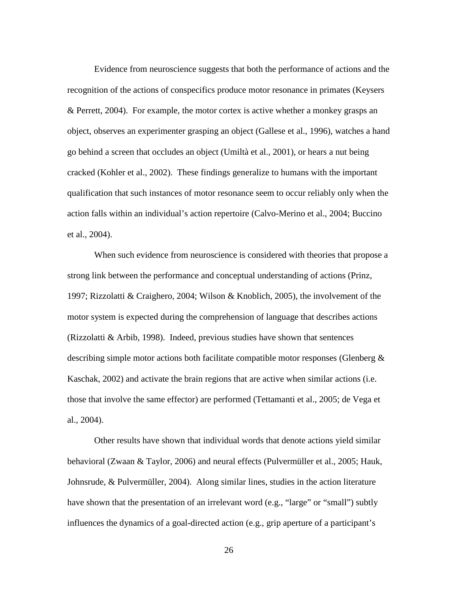Evidence from neuroscience suggests that both the performance of actions and the recognition of the actions of conspecifics produce motor resonance in primates (Keysers & Perrett, 2004). For example, the motor cortex is active whether a monkey grasps an object, observes an experimenter grasping an object (Gallese et al., 1996), watches a hand go behind a screen that occludes an object (Umiltà et al., 2001), or hears a nut being cracked (Kohler et al., 2002). These findings generalize to humans with the important qualification that such instances of motor resonance seem to occur reliably only when the action falls within an individual's action repertoire (Calvo-Merino et al., 2004; Buccino et al., 2004).

When such evidence from neuroscience is considered with theories that propose a strong link between the performance and conceptual understanding of actions (Prinz, 1997; Rizzolatti & Craighero, 2004; Wilson & Knoblich, 2005), the involvement of the motor system is expected during the comprehension of language that describes actions (Rizzolatti & Arbib, 1998). Indeed, previous studies have shown that sentences describing simple motor actions both facilitate compatible motor responses (Glenberg & Kaschak, 2002) and activate the brain regions that are active when similar actions (i.e. those that involve the same effector) are performed (Tettamanti et al., 2005; de Vega et al., 2004).

Other results have shown that individual words that denote actions yield similar behavioral (Zwaan & Taylor, 2006) and neural effects (Pulvermüller et al., 2005; Hauk, Johnsrude, & Pulvermüller, 2004). Along similar lines, studies in the action literature have shown that the presentation of an irrelevant word (e.g., "large" or "small") subtly influences the dynamics of a goal-directed action (e.g., grip aperture of a participant's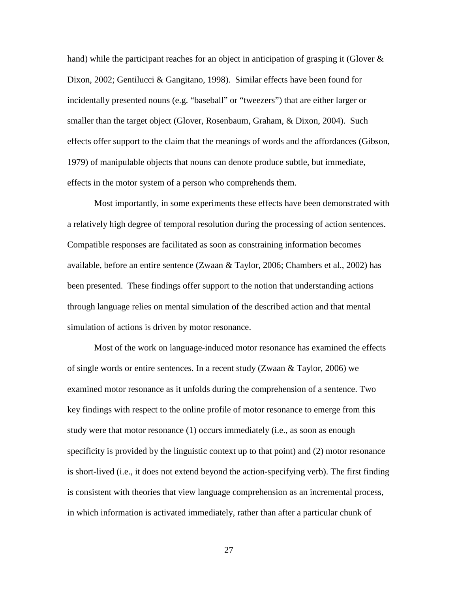hand) while the participant reaches for an object in anticipation of grasping it (Glover  $\&$ Dixon, 2002; Gentilucci & Gangitano, 1998). Similar effects have been found for incidentally presented nouns (e.g. "baseball" or "tweezers") that are either larger or smaller than the target object (Glover, Rosenbaum, Graham, & Dixon, 2004). Such effects offer support to the claim that the meanings of words and the affordances (Gibson, 1979) of manipulable objects that nouns can denote produce subtle, but immediate, effects in the motor system of a person who comprehends them.

Most importantly, in some experiments these effects have been demonstrated with a relatively high degree of temporal resolution during the processing of action sentences. Compatible responses are facilitated as soon as constraining information becomes available, before an entire sentence (Zwaan & Taylor, 2006; Chambers et al., 2002) has been presented. These findings offer support to the notion that understanding actions through language relies on mental simulation of the described action and that mental simulation of actions is driven by motor resonance.

Most of the work on language-induced motor resonance has examined the effects of single words or entire sentences. In a recent study (Zwaan & Taylor, 2006) we examined motor resonance as it unfolds during the comprehension of a sentence. Two key findings with respect to the online profile of motor resonance to emerge from this study were that motor resonance (1) occurs immediately (i.e., as soon as enough specificity is provided by the linguistic context up to that point) and (2) motor resonance is short-lived (i.e., it does not extend beyond the action-specifying verb). The first finding is consistent with theories that view language comprehension as an incremental process, in which information is activated immediately, rather than after a particular chunk of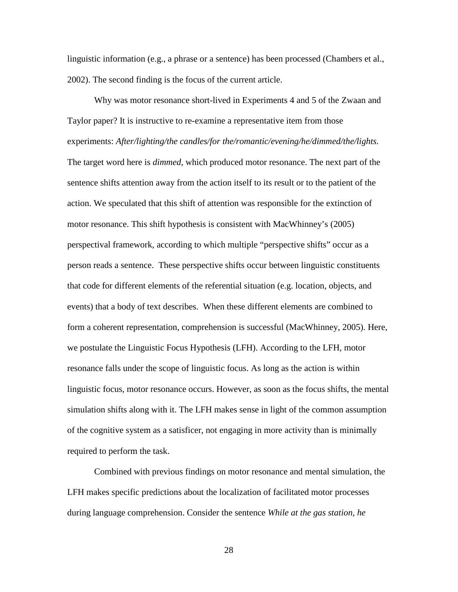linguistic information (e.g., a phrase or a sentence) has been processed (Chambers et al., 2002). The second finding is the focus of the current article.

Why was motor resonance short-lived in Experiments 4 and 5 of the Zwaan and Taylor paper? It is instructive to re-examine a representative item from those experiments: *After/lighting/the candles/for the/romantic/evening/he/dimmed/the/lights.* The target word here is *dimmed*, which produced motor resonance. The next part of the sentence shifts attention away from the action itself to its result or to the patient of the action. We speculated that this shift of attention was responsible for the extinction of motor resonance. This shift hypothesis is consistent with MacWhinney's (2005) perspectival framework, according to which multiple "perspective shifts" occur as a person reads a sentence. These perspective shifts occur between linguistic constituents that code for different elements of the referential situation (e.g. location, objects, and events) that a body of text describes. When these different elements are combined to form a coherent representation, comprehension is successful (MacWhinney, 2005). Here, we postulate the Linguistic Focus Hypothesis (LFH). According to the LFH, motor resonance falls under the scope of linguistic focus. As long as the action is within linguistic focus, motor resonance occurs. However, as soon as the focus shifts, the mental simulation shifts along with it. The LFH makes sense in light of the common assumption of the cognitive system as a satisficer, not engaging in more activity than is minimally required to perform the task.

Combined with previous findings on motor resonance and mental simulation, the LFH makes specific predictions about the localization of facilitated motor processes during language comprehension. Consider the sentence *While at the gas station, he*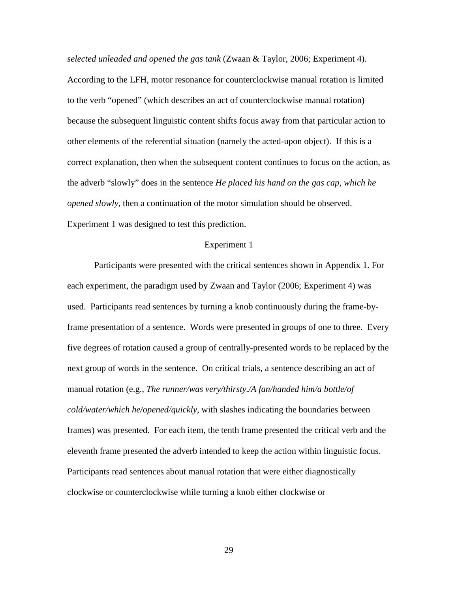*selected unleaded and opened the gas tank* (Zwaan & Taylor, 2006; Experiment 4). According to the LFH, motor resonance for counterclockwise manual rotation is limited to the verb "opened" (which describes an act of counterclockwise manual rotation) because the subsequent linguistic content shifts focus away from that particular action to other elements of the referential situation (namely the acted-upon object). If this is a correct explanation, then when the subsequent content continues to focus on the action, as the adverb "slowly" does in the sentence *He placed his hand on the gas cap, which he opened slowly*, then a continuation of the motor simulation should be observed. Experiment 1 was designed to test this prediction.

### Experiment 1

Participants were presented with the critical sentences shown in Appendix 1. For each experiment, the paradigm used by Zwaan and Taylor (2006; Experiment 4) was used. Participants read sentences by turning a knob continuously during the frame-byframe presentation of a sentence. Words were presented in groups of one to three. Every five degrees of rotation caused a group of centrally-presented words to be replaced by the next group of words in the sentence. On critical trials, a sentence describing an act of manual rotation (e.g., *The runner/was very/thirsty./A fan/handed him/a bottle/of cold/water/which he/opened/quickly*, with slashes indicating the boundaries between frames) was presented. For each item, the tenth frame presented the critical verb and the eleventh frame presented the adverb intended to keep the action within linguistic focus. Participants read sentences about manual rotation that were either diagnostically clockwise or counterclockwise while turning a knob either clockwise or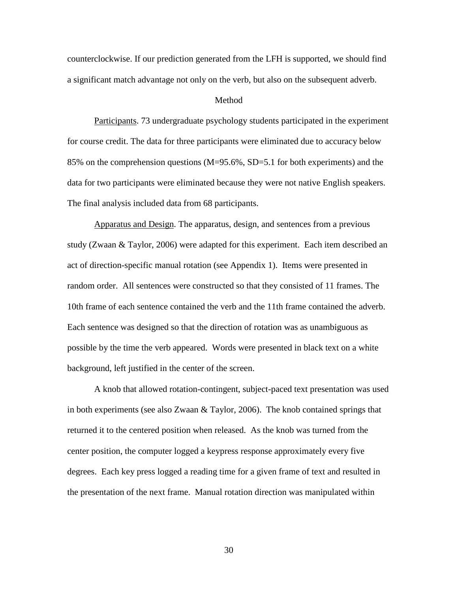counterclockwise. If our prediction generated from the LFH is supported, we should find a significant match advantage not only on the verb, but also on the subsequent adverb.

### Method

Participants. 73 undergraduate psychology students participated in the experiment for course credit. The data for three participants were eliminated due to accuracy below 85% on the comprehension questions (M=95.6%, SD=5.1 for both experiments) and the data for two participants were eliminated because they were not native English speakers. The final analysis included data from 68 participants.

Apparatus and Design. The apparatus, design, and sentences from a previous study (Zwaan & Taylor, 2006) were adapted for this experiment. Each item described an act of direction-specific manual rotation (see Appendix 1). Items were presented in random order. All sentences were constructed so that they consisted of 11 frames. The 10th frame of each sentence contained the verb and the 11th frame contained the adverb. Each sentence was designed so that the direction of rotation was as unambiguous as possible by the time the verb appeared. Words were presented in black text on a white background, left justified in the center of the screen.

A knob that allowed rotation-contingent, subject-paced text presentation was used in both experiments (see also Zwaan & Taylor, 2006). The knob contained springs that returned it to the centered position when released. As the knob was turned from the center position, the computer logged a keypress response approximately every five degrees. Each key press logged a reading time for a given frame of text and resulted in the presentation of the next frame. Manual rotation direction was manipulated within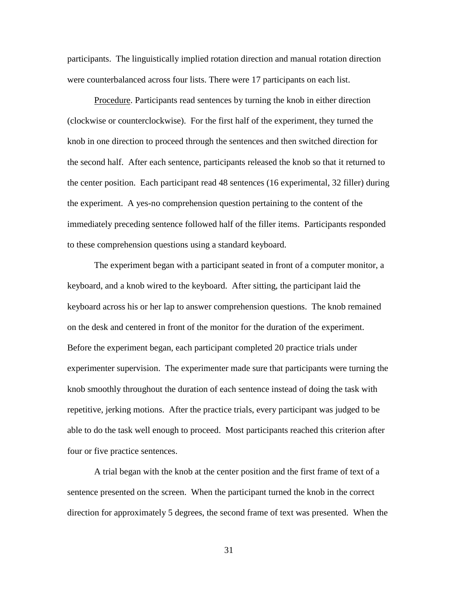participants. The linguistically implied rotation direction and manual rotation direction were counterbalanced across four lists. There were 17 participants on each list.

Procedure. Participants read sentences by turning the knob in either direction (clockwise or counterclockwise). For the first half of the experiment, they turned the knob in one direction to proceed through the sentences and then switched direction for the second half. After each sentence, participants released the knob so that it returned to the center position. Each participant read 48 sentences (16 experimental, 32 filler) during the experiment. A yes-no comprehension question pertaining to the content of the immediately preceding sentence followed half of the filler items. Participants responded to these comprehension questions using a standard keyboard.

The experiment began with a participant seated in front of a computer monitor, a keyboard, and a knob wired to the keyboard. After sitting, the participant laid the keyboard across his or her lap to answer comprehension questions. The knob remained on the desk and centered in front of the monitor for the duration of the experiment. Before the experiment began, each participant completed 20 practice trials under experimenter supervision. The experimenter made sure that participants were turning the knob smoothly throughout the duration of each sentence instead of doing the task with repetitive, jerking motions. After the practice trials, every participant was judged to be able to do the task well enough to proceed. Most participants reached this criterion after four or five practice sentences.

A trial began with the knob at the center position and the first frame of text of a sentence presented on the screen. When the participant turned the knob in the correct direction for approximately 5 degrees, the second frame of text was presented. When the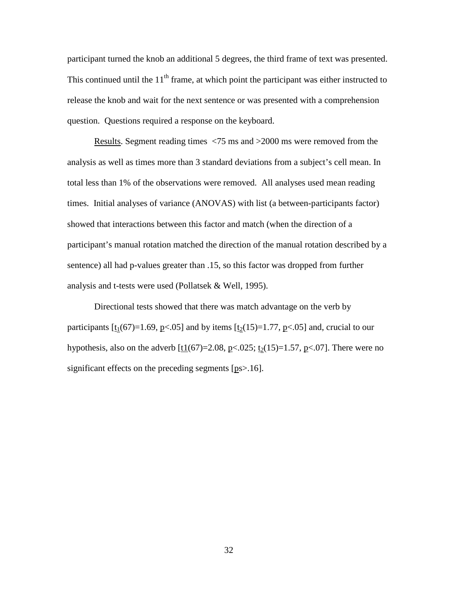participant turned the knob an additional 5 degrees, the third frame of text was presented. This continued until the  $11<sup>th</sup>$  frame, at which point the participant was either instructed to release the knob and wait for the next sentence or was presented with a comprehension question. Questions required a response on the keyboard.

Results. Segment reading times <75 ms and >2000 ms were removed from the analysis as well as times more than 3 standard deviations from a subject's cell mean. In total less than 1% of the observations were removed. All analyses used mean reading times. Initial analyses of variance (ANOVAS) with list (a between-participants factor) showed that interactions between this factor and match (when the direction of a participant's manual rotation matched the direction of the manual rotation described by a sentence) all had p-values greater than .15, so this factor was dropped from further analysis and t-tests were used (Pollatsek & Well, 1995).

Directional tests showed that there was match advantage on the verb by participants  $[t_1(67)=1.69, p<0.05]$  and by items  $[t_2(15)=1.77, p<0.05]$  and, crucial to our hypothesis, also on the adverb  $[\underline{t1}(67)=2.08, \underline{p} < .025; \underline{t_2}(15)=1.57, \underline{p} < .07]$ . There were no significant effects on the preceding segments [ps>.16].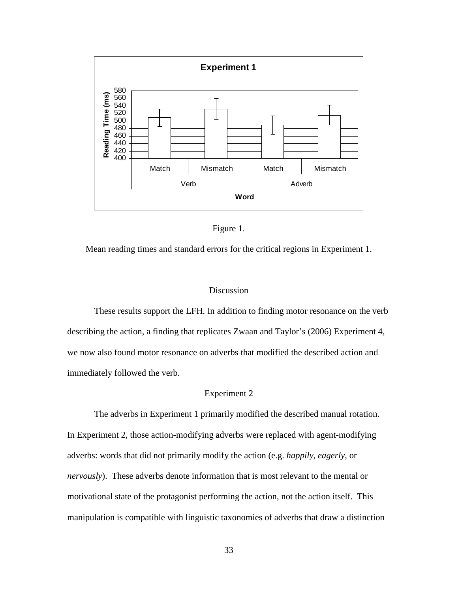



Mean reading times and standard errors for the critical regions in Experiment 1.

### Discussion

These results support the LFH. In addition to finding motor resonance on the verb describing the action, a finding that replicates Zwaan and Taylor's (2006) Experiment 4, we now also found motor resonance on adverbs that modified the described action and immediately followed the verb.

### Experiment 2

The adverbs in Experiment 1 primarily modified the described manual rotation. In Experiment 2, those action-modifying adverbs were replaced with agent-modifying adverbs: words that did not primarily modify the action (e.g. *happily*, *eagerly*, or *nervously*). These adverbs denote information that is most relevant to the mental or motivational state of the protagonist performing the action, not the action itself. This manipulation is compatible with linguistic taxonomies of adverbs that draw a distinction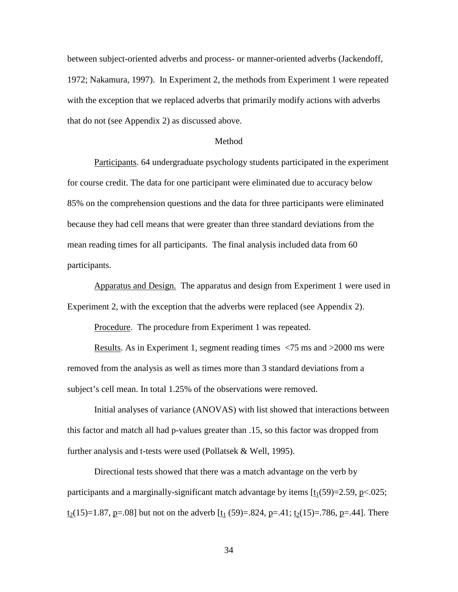between subject-oriented adverbs and process- or manner-oriented adverbs (Jackendoff, 1972; Nakamura, 1997). In Experiment 2, the methods from Experiment 1 were repeated with the exception that we replaced adverbs that primarily modify actions with adverbs that do not (see Appendix 2) as discussed above.

### Method

Participants. 64 undergraduate psychology students participated in the experiment for course credit. The data for one participant were eliminated due to accuracy below 85% on the comprehension questions and the data for three participants were eliminated because they had cell means that were greater than three standard deviations from the mean reading times for all participants. The final analysis included data from 60 participants.

Apparatus and Design. The apparatus and design from Experiment 1 were used in Experiment 2, with the exception that the adverbs were replaced (see Appendix 2).

Procedure. The procedure from Experiment 1 was repeated.

Results. As in Experiment 1, segment reading times <75 ms and >2000 ms were removed from the analysis as well as times more than 3 standard deviations from a subject's cell mean. In total 1.25% of the observations were removed.

Initial analyses of variance (ANOVAS) with list showed that interactions between this factor and match all had p-values greater than .15, so this factor was dropped from further analysis and t-tests were used (Pollatsek & Well, 1995).

Directional tests showed that there was a match advantage on the verb by participants and a marginally-significant match advantage by items  $[t_1(59)=2.59, p<.025;$  $t_2(15)=1.87$ , p=.08] but not on the adverb  $[t_1 (59)=.824, p=.41; t_2(15)=.786, p=.44]$ . There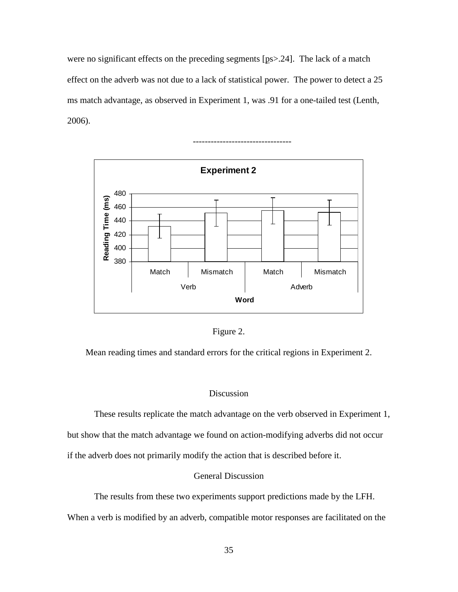were no significant effects on the preceding segments [ps>.24]. The lack of a match effect on the adverb was not due to a lack of statistical power. The power to detect a 25 ms match advantage, as observed in Experiment 1, was .91 for a one-tailed test (Lenth, 2006).

---------------------------------





Mean reading times and standard errors for the critical regions in Experiment 2.

### Discussion

These results replicate the match advantage on the verb observed in Experiment 1, but show that the match advantage we found on action-modifying adverbs did not occur if the adverb does not primarily modify the action that is described before it.

### General Discussion

The results from these two experiments support predictions made by the LFH.

When a verb is modified by an adverb, compatible motor responses are facilitated on the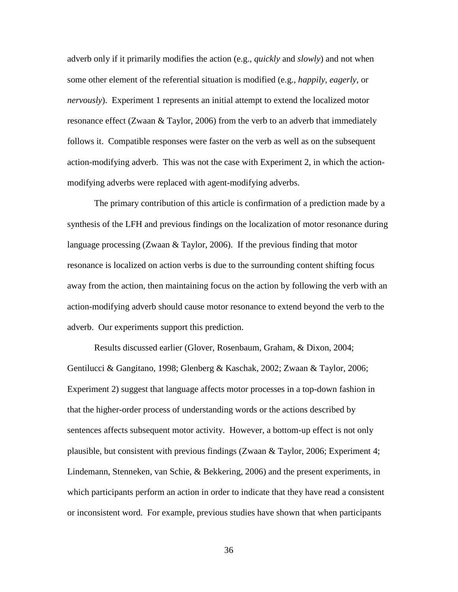adverb only if it primarily modifies the action (e.g., *quickly* and *slowly*) and not when some other element of the referential situation is modified (e.g., *happily*, *eagerly*, or *nervously*). Experiment 1 represents an initial attempt to extend the localized motor resonance effect (Zwaan & Taylor, 2006) from the verb to an adverb that immediately follows it. Compatible responses were faster on the verb as well as on the subsequent action-modifying adverb. This was not the case with Experiment 2, in which the actionmodifying adverbs were replaced with agent-modifying adverbs.

The primary contribution of this article is confirmation of a prediction made by a synthesis of the LFH and previous findings on the localization of motor resonance during language processing (Zwaan & Taylor, 2006). If the previous finding that motor resonance is localized on action verbs is due to the surrounding content shifting focus away from the action, then maintaining focus on the action by following the verb with an action-modifying adverb should cause motor resonance to extend beyond the verb to the adverb. Our experiments support this prediction.

Results discussed earlier (Glover, Rosenbaum, Graham, & Dixon, 2004; Gentilucci & Gangitano, 1998; Glenberg & Kaschak, 2002; Zwaan & Taylor, 2006; Experiment 2) suggest that language affects motor processes in a top-down fashion in that the higher-order process of understanding words or the actions described by sentences affects subsequent motor activity. However, a bottom-up effect is not only plausible, but consistent with previous findings (Zwaan & Taylor, 2006; Experiment 4; Lindemann, Stenneken, van Schie, & Bekkering, 2006) and the present experiments, in which participants perform an action in order to indicate that they have read a consistent or inconsistent word. For example, previous studies have shown that when participants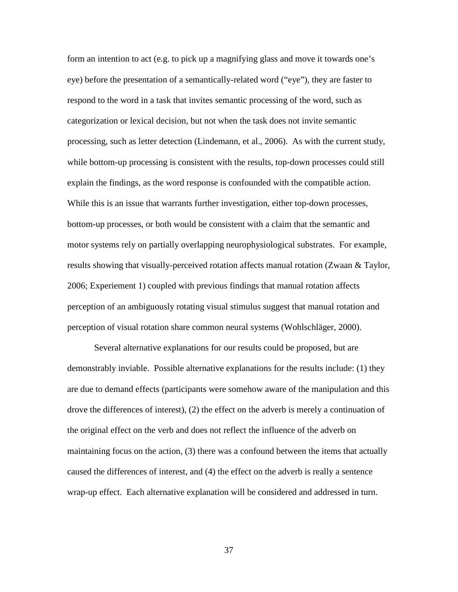form an intention to act (e.g. to pick up a magnifying glass and move it towards one's eye) before the presentation of a semantically-related word ("eye"), they are faster to respond to the word in a task that invites semantic processing of the word, such as categorization or lexical decision, but not when the task does not invite semantic processing, such as letter detection (Lindemann, et al., 2006). As with the current study, while bottom-up processing is consistent with the results, top-down processes could still explain the findings, as the word response is confounded with the compatible action. While this is an issue that warrants further investigation, either top-down processes, bottom-up processes, or both would be consistent with a claim that the semantic and motor systems rely on partially overlapping neurophysiological substrates. For example, results showing that visually-perceived rotation affects manual rotation (Zwaan & Taylor, 2006; Experiement 1) coupled with previous findings that manual rotation affects perception of an ambiguously rotating visual stimulus suggest that manual rotation and perception of visual rotation share common neural systems (Wohlschläger, 2000).

Several alternative explanations for our results could be proposed, but are demonstrably inviable. Possible alternative explanations for the results include: (1) they are due to demand effects (participants were somehow aware of the manipulation and this drove the differences of interest), (2) the effect on the adverb is merely a continuation of the original effect on the verb and does not reflect the influence of the adverb on maintaining focus on the action, (3) there was a confound between the items that actually caused the differences of interest, and (4) the effect on the adverb is really a sentence wrap-up effect. Each alternative explanation will be considered and addressed in turn.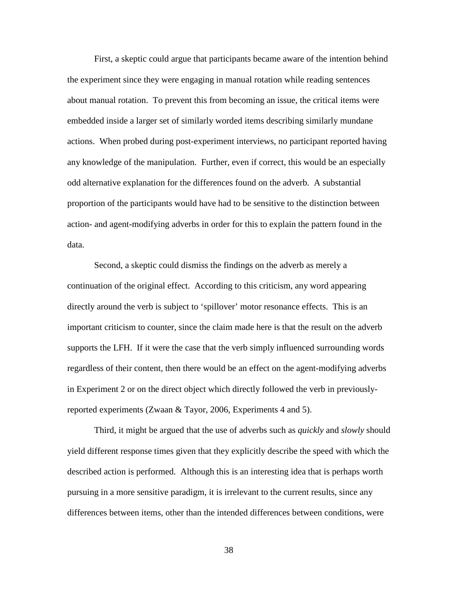First, a skeptic could argue that participants became aware of the intention behind the experiment since they were engaging in manual rotation while reading sentences about manual rotation. To prevent this from becoming an issue, the critical items were embedded inside a larger set of similarly worded items describing similarly mundane actions. When probed during post-experiment interviews, no participant reported having any knowledge of the manipulation. Further, even if correct, this would be an especially odd alternative explanation for the differences found on the adverb. A substantial proportion of the participants would have had to be sensitive to the distinction between action- and agent-modifying adverbs in order for this to explain the pattern found in the data.

Second, a skeptic could dismiss the findings on the adverb as merely a continuation of the original effect. According to this criticism, any word appearing directly around the verb is subject to 'spillover' motor resonance effects. This is an important criticism to counter, since the claim made here is that the result on the adverb supports the LFH. If it were the case that the verb simply influenced surrounding words regardless of their content, then there would be an effect on the agent-modifying adverbs in Experiment 2 or on the direct object which directly followed the verb in previouslyreported experiments (Zwaan & Tayor, 2006, Experiments 4 and 5).

Third, it might be argued that the use of adverbs such as *quickly* and *slowly* should yield different response times given that they explicitly describe the speed with which the described action is performed. Although this is an interesting idea that is perhaps worth pursuing in a more sensitive paradigm, it is irrelevant to the current results, since any differences between items, other than the intended differences between conditions, were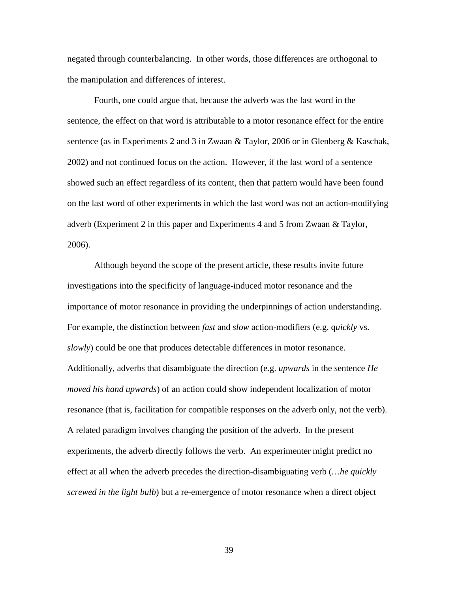negated through counterbalancing. In other words, those differences are orthogonal to the manipulation and differences of interest.

Fourth, one could argue that, because the adverb was the last word in the sentence, the effect on that word is attributable to a motor resonance effect for the entire sentence (as in Experiments 2 and 3 in Zwaan & Taylor, 2006 or in Glenberg & Kaschak, 2002) and not continued focus on the action. However, if the last word of a sentence showed such an effect regardless of its content, then that pattern would have been found on the last word of other experiments in which the last word was not an action-modifying adverb (Experiment 2 in this paper and Experiments 4 and 5 from Zwaan & Taylor, 2006).

Although beyond the scope of the present article, these results invite future investigations into the specificity of language-induced motor resonance and the importance of motor resonance in providing the underpinnings of action understanding. For example, the distinction between *fast* and *slow* action-modifiers (e.g. q*uickly* vs. *slowly*) could be one that produces detectable differences in motor resonance. Additionally, adverbs that disambiguate the direction (e.g. *upwards* in the sentence *He moved his hand upwards*) of an action could show independent localization of motor resonance (that is, facilitation for compatible responses on the adverb only, not the verb). A related paradigm involves changing the position of the adverb. In the present experiments, the adverb directly follows the verb. An experimenter might predict no effect at all when the adverb precedes the direction-disambiguating verb (*…he quickly screwed in the light bulb*) but a re-emergence of motor resonance when a direct object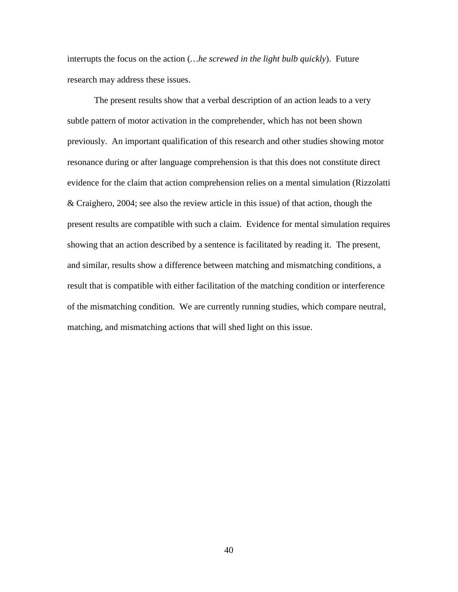interrupts the focus on the action (*…he screwed in the light bulb quickly*). Future research may address these issues.

The present results show that a verbal description of an action leads to a very subtle pattern of motor activation in the comprehender, which has not been shown previously. An important qualification of this research and other studies showing motor resonance during or after language comprehension is that this does not constitute direct evidence for the claim that action comprehension relies on a mental simulation (Rizzolatti & Craighero, 2004; see also the review article in this issue) of that action, though the present results are compatible with such a claim. Evidence for mental simulation requires showing that an action described by a sentence is facilitated by reading it. The present, and similar, results show a difference between matching and mismatching conditions, a result that is compatible with either facilitation of the matching condition or interference of the mismatching condition. We are currently running studies, which compare neutral, matching, and mismatching actions that will shed light on this issue.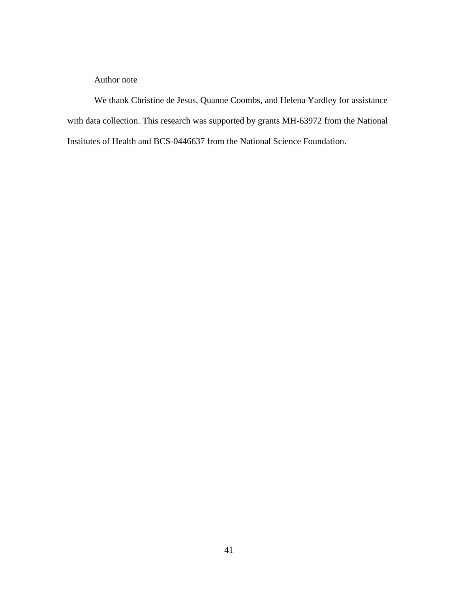Author note

We thank Christine de Jesus, Quanne Coombs, and Helena Yardley for assistance with data collection. This research was supported by grants MH-63972 from the National Institutes of Health and BCS-0446637 from the National Science Foundation.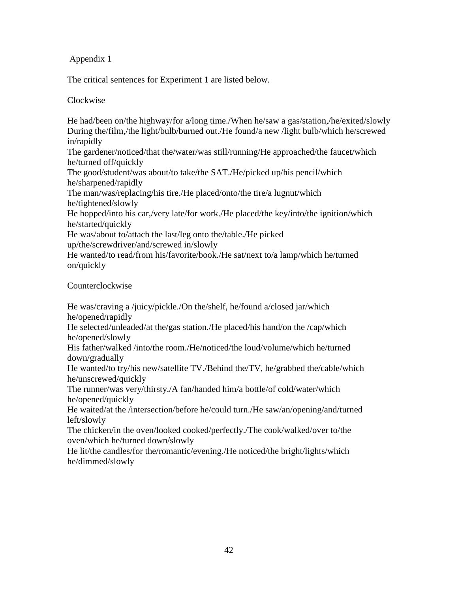## Appendix 1

The critical sentences for Experiment 1 are listed below.

## Clockwise

He had/been on/the highway/for a/long time./When he/saw a gas/station,/he/exited/slowly During the/film,/the light/bulb/burned out./He found/a new /light bulb/which he/screwed in/rapidly

The gardener/noticed/that the/water/was still/running/He approached/the faucet/which he/turned off/quickly

The good/student/was about/to take/the SAT./He/picked up/his pencil/which he/sharpened/rapidly

The man/was/replacing/his tire./He placed/onto/the tire/a lugnut/which he/tightened/slowly

He hopped/into his car,/very late/for work./He placed/the key/into/the ignition/which he/started/quickly

He was/about to/attach the last/leg onto the/table./He picked

up/the/screwdriver/and/screwed in/slowly

He wanted/to read/from his/favorite/book./He sat/next to/a lamp/which he/turned on/quickly

Counterclockwise

He was/craving a /juicy/pickle./On the/shelf, he/found a/closed jar/which he/opened/rapidly

He selected/unleaded/at the/gas station./He placed/his hand/on the /cap/which he/opened/slowly

His father/walked /into/the room./He/noticed/the loud/volume/which he/turned down/gradually

He wanted/to try/his new/satellite TV./Behind the/TV, he/grabbed the/cable/which he/unscrewed/quickly

The runner/was very/thirsty./A fan/handed him/a bottle/of cold/water/which he/opened/quickly

He waited/at the /intersection/before he/could turn./He saw/an/opening/and/turned left/slowly

The chicken/in the oven/looked cooked/perfectly./The cook/walked/over to/the oven/which he/turned down/slowly

He lit/the candles/for the/romantic/evening./He noticed/the bright/lights/which he/dimmed/slowly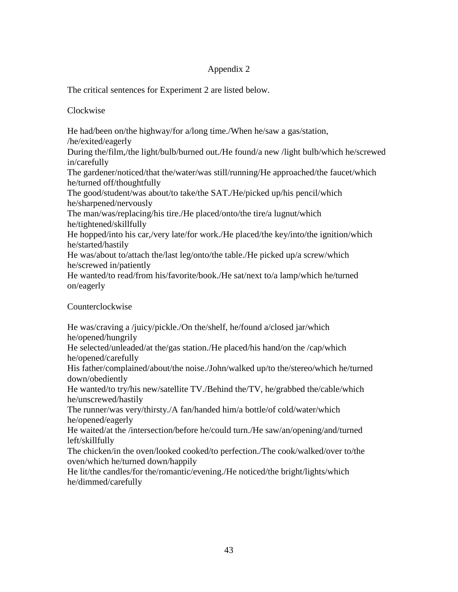## Appendix 2

The critical sentences for Experiment 2 are listed below.

Clockwise

He had/been on/the highway/for a/long time./When he/saw a gas/station,

/he/exited/eagerly

During the/film,/the light/bulb/burned out./He found/a new /light bulb/which he/screwed in/carefully

The gardener/noticed/that the/water/was still/running/He approached/the faucet/which he/turned off/thoughtfully

The good/student/was about/to take/the SAT./He/picked up/his pencil/which he/sharpened/nervously

The man/was/replacing/his tire./He placed/onto/the tire/a lugnut/which he/tightened/skillfully

He hopped/into his car,/very late/for work./He placed/the key/into/the ignition/which he/started/hastily

He was/about to/attach the/last leg/onto/the table./He picked up/a screw/which he/screwed in/patiently

He wanted/to read/from his/favorite/book./He sat/next to/a lamp/which he/turned on/eagerly

Counterclockwise

He was/craving a /juicy/pickle./On the/shelf, he/found a/closed jar/which he/opened/hungrily

He selected/unleaded/at the/gas station./He placed/his hand/on the /cap/which he/opened/carefully

His father/complained/about/the noise./John/walked up/to the/stereo/which he/turned down/obediently

He wanted/to try/his new/satellite TV./Behind the/TV, he/grabbed the/cable/which he/unscrewed/hastily

The runner/was very/thirsty./A fan/handed him/a bottle/of cold/water/which he/opened/eagerly

He waited/at the /intersection/before he/could turn./He saw/an/opening/and/turned left/skillfully

The chicken/in the oven/looked cooked/to perfection./The cook/walked/over to/the oven/which he/turned down/happily

He lit/the candles/for the/romantic/evening./He noticed/the bright/lights/which he/dimmed/carefully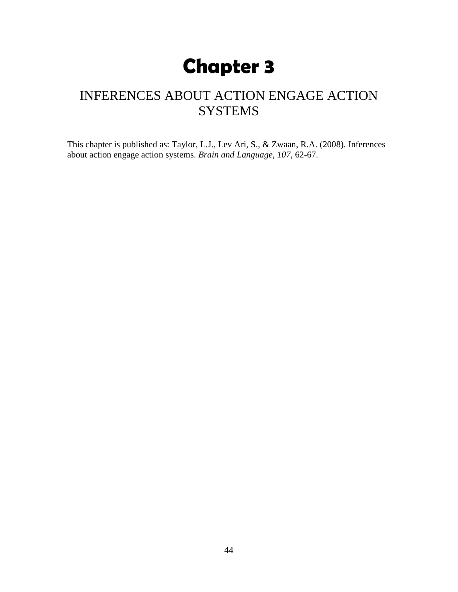# **Chapter 3**

# INFERENCES ABOUT ACTION ENGAGE ACTION **SYSTEMS**

This chapter is published as: Taylor, L.J., Lev Ari, S., & Zwaan, R.A. (2008). Inferences about action engage action systems. *Brain and Language*, *107*, 62-67.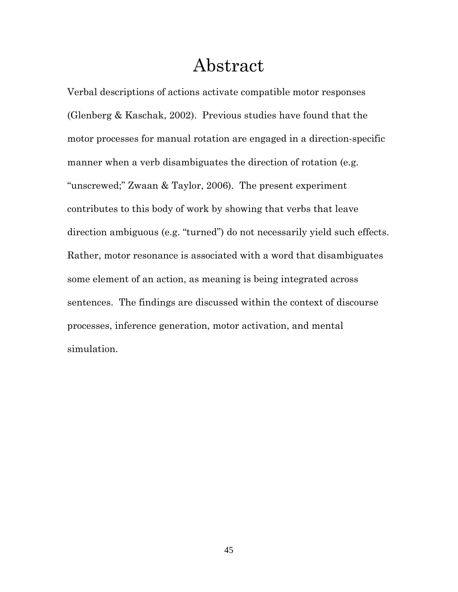# Abstract

Verbal descriptions of actions activate compatible motor responses (Glenberg & Kaschak, 2002). Previous studies have found that the motor processes for manual rotation are engaged in a direction-specific manner when a verb disambiguates the direction of rotation (e.g. "unscrewed;" Zwaan & Taylor, 2006). The present experiment contributes to this body of work by showing that verbs that leave direction ambiguous (e.g. "turned") do not necessarily yield such effects. Rather, motor resonance is associated with a word that disambiguates some element of an action, as meaning is being integrated across sentences. The findings are discussed within the context of discourse processes, inference generation, motor activation, and mental simulation.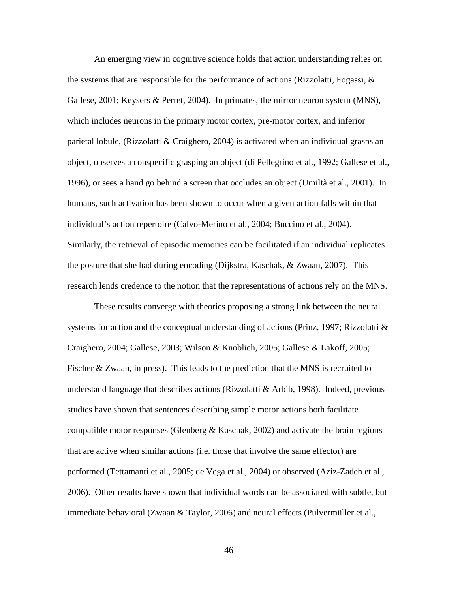An emerging view in cognitive science holds that action understanding relies on the systems that are responsible for the performance of actions (Rizzolatti, Fogassi, & Gallese, 2001; Keysers & Perret, 2004). In primates, the mirror neuron system (MNS), which includes neurons in the primary motor cortex, pre-motor cortex, and inferior parietal lobule, (Rizzolatti & Craighero, 2004) is activated when an individual grasps an object, observes a conspecific grasping an object (di Pellegrino et al., 1992; Gallese et al., 1996), or sees a hand go behind a screen that occludes an object (Umiltà et al., 2001). In humans, such activation has been shown to occur when a given action falls within that individual's action repertoire (Calvo-Merino et al., 2004; Buccino et al., 2004). Similarly, the retrieval of episodic memories can be facilitated if an individual replicates the posture that she had during encoding (Dijkstra, Kaschak, & Zwaan, 2007). This research lends credence to the notion that the representations of actions rely on the MNS.

These results converge with theories proposing a strong link between the neural systems for action and the conceptual understanding of actions (Prinz, 1997; Rizzolatti  $\&$ Craighero, 2004; Gallese, 2003; Wilson & Knoblich, 2005; Gallese & Lakoff, 2005; Fischer & Zwaan, in press). This leads to the prediction that the MNS is recruited to understand language that describes actions (Rizzolatti  $\&$  Arbib, 1998). Indeed, previous studies have shown that sentences describing simple motor actions both facilitate compatible motor responses (Glenberg  $\&$  Kaschak, 2002) and activate the brain regions that are active when similar actions (i.e. those that involve the same effector) are performed (Tettamanti et al., 2005; de Vega et al., 2004) or observed (Aziz-Zadeh et al., 2006). Other results have shown that individual words can be associated with subtle, but immediate behavioral (Zwaan & Taylor, 2006) and neural effects (Pulvermüller et al.,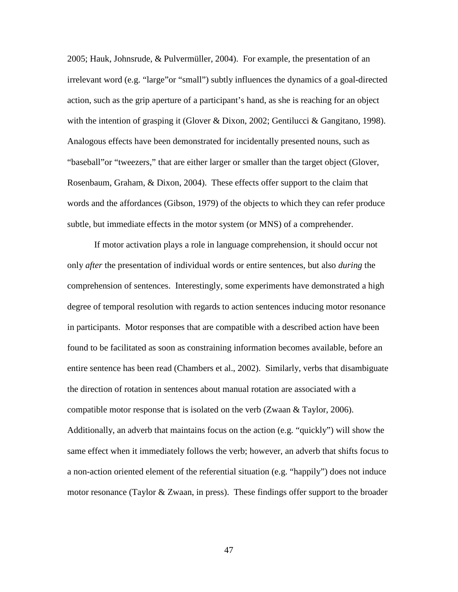2005; Hauk, Johnsrude, & Pulvermüller, 2004). For example, the presentation of an irrelevant word (e.g. "large"or "small") subtly influences the dynamics of a goal-directed action, such as the grip aperture of a participant's hand, as she is reaching for an object with the intention of grasping it (Glover & Dixon, 2002; Gentilucci & Gangitano, 1998). Analogous effects have been demonstrated for incidentally presented nouns, such as "baseball"or "tweezers," that are either larger or smaller than the target object (Glover, Rosenbaum, Graham, & Dixon, 2004). These effects offer support to the claim that words and the affordances (Gibson, 1979) of the objects to which they can refer produce subtle, but immediate effects in the motor system (or MNS) of a comprehender.

If motor activation plays a role in language comprehension, it should occur not only *after* the presentation of individual words or entire sentences, but also *during* the comprehension of sentences. Interestingly, some experiments have demonstrated a high degree of temporal resolution with regards to action sentences inducing motor resonance in participants. Motor responses that are compatible with a described action have been found to be facilitated as soon as constraining information becomes available, before an entire sentence has been read (Chambers et al., 2002). Similarly, verbs that disambiguate the direction of rotation in sentences about manual rotation are associated with a compatible motor response that is isolated on the verb (Zwaan & Taylor, 2006). Additionally, an adverb that maintains focus on the action (e.g. "quickly") will show the same effect when it immediately follows the verb; however, an adverb that shifts focus to a non-action oriented element of the referential situation (e.g. "happily") does not induce motor resonance (Taylor & Zwaan, in press). These findings offer support to the broader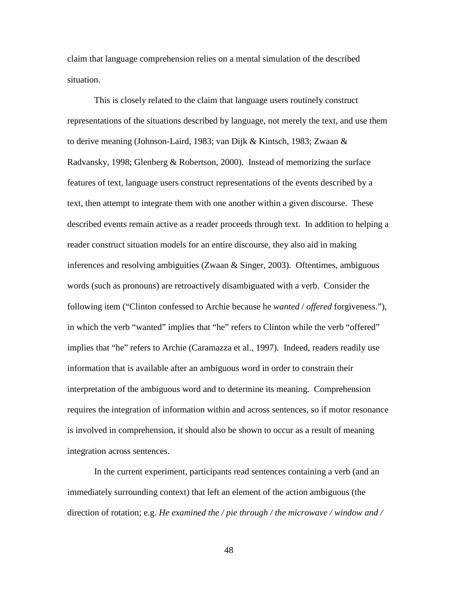claim that language comprehension relies on a mental simulation of the described situation.

This is closely related to the claim that language users routinely construct representations of the situations described by language, not merely the text, and use them to derive meaning (Johnson-Laird, 1983; van Dijk & Kintsch, 1983; Zwaan & Radvansky, 1998; Glenberg & Robertson, 2000). Instead of memorizing the surface features of text, language users construct representations of the events described by a text, then attempt to integrate them with one another within a given discourse. These described events remain active as a reader proceeds through text. In addition to helping a reader construct situation models for an entire discourse, they also aid in making inferences and resolving ambiguities (Zwaan & Singer, 2003). Oftentimes, ambiguous words (such as pronouns) are retroactively disambiguated with a verb. Consider the following item ("Clinton confessed to Archie because he *wanted* / *offered* forgiveness."), in which the verb "wanted" implies that "he" refers to Clinton while the verb "offered" implies that "he" refers to Archie (Caramazza et al., 1997). Indeed, readers readily use information that is available after an ambiguous word in order to constrain their interpretation of the ambiguous word and to determine its meaning. Comprehension requires the integration of information within and across sentences, so if motor resonance is involved in comprehension, it should also be shown to occur as a result of meaning integration across sentences.

In the current experiment, participants read sentences containing a verb (and an immediately surrounding context) that left an element of the action ambiguous (the direction of rotation; e.g. *He examined the / pie through / the microwave / window and /*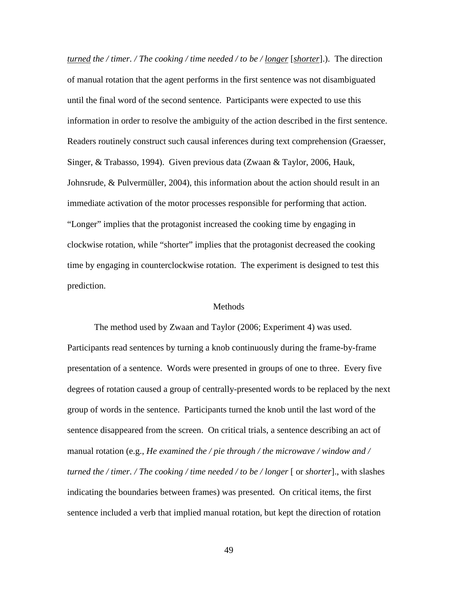*turned the / timer. / The cooking / time needed / to be / longer* [*shorter*].). The direction of manual rotation that the agent performs in the first sentence was not disambiguated until the final word of the second sentence. Participants were expected to use this information in order to resolve the ambiguity of the action described in the first sentence. Readers routinely construct such causal inferences during text comprehension (Graesser, Singer, & Trabasso, 1994). Given previous data (Zwaan & Taylor, 2006, Hauk, Johnsrude, & Pulvermüller, 2004), this information about the action should result in an immediate activation of the motor processes responsible for performing that action. "Longer" implies that the protagonist increased the cooking time by engaging in clockwise rotation, while "shorter" implies that the protagonist decreased the cooking time by engaging in counterclockwise rotation. The experiment is designed to test this prediction.

#### Methods

The method used by Zwaan and Taylor (2006; Experiment 4) was used. Participants read sentences by turning a knob continuously during the frame-by-frame presentation of a sentence. Words were presented in groups of one to three. Every five degrees of rotation caused a group of centrally-presented words to be replaced by the next group of words in the sentence. Participants turned the knob until the last word of the sentence disappeared from the screen. On critical trials, a sentence describing an act of manual rotation (e.g., *He examined the / pie through / the microwave / window and / turned the / timer. / The cooking / time needed / to be / longer* [ or *shorter*]., with slashes indicating the boundaries between frames) was presented. On critical items, the first sentence included a verb that implied manual rotation, but kept the direction of rotation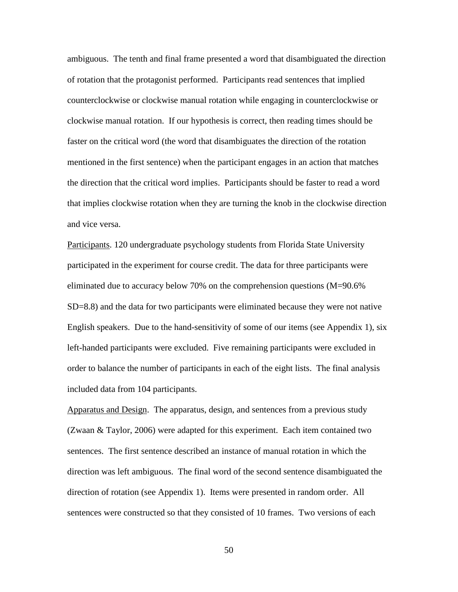ambiguous. The tenth and final frame presented a word that disambiguated the direction of rotation that the protagonist performed. Participants read sentences that implied counterclockwise or clockwise manual rotation while engaging in counterclockwise or clockwise manual rotation. If our hypothesis is correct, then reading times should be faster on the critical word (the word that disambiguates the direction of the rotation mentioned in the first sentence) when the participant engages in an action that matches the direction that the critical word implies. Participants should be faster to read a word that implies clockwise rotation when they are turning the knob in the clockwise direction and vice versa.

Participants. 120 undergraduate psychology students from Florida State University participated in the experiment for course credit. The data for three participants were eliminated due to accuracy below 70% on the comprehension questions (M=90.6% SD=8.8) and the data for two participants were eliminated because they were not native English speakers. Due to the hand-sensitivity of some of our items (see Appendix 1), six left-handed participants were excluded. Five remaining participants were excluded in order to balance the number of participants in each of the eight lists. The final analysis included data from 104 participants.

Apparatus and Design. The apparatus, design, and sentences from a previous study (Zwaan & Taylor, 2006) were adapted for this experiment. Each item contained two sentences. The first sentence described an instance of manual rotation in which the direction was left ambiguous. The final word of the second sentence disambiguated the direction of rotation (see Appendix 1). Items were presented in random order. All sentences were constructed so that they consisted of 10 frames. Two versions of each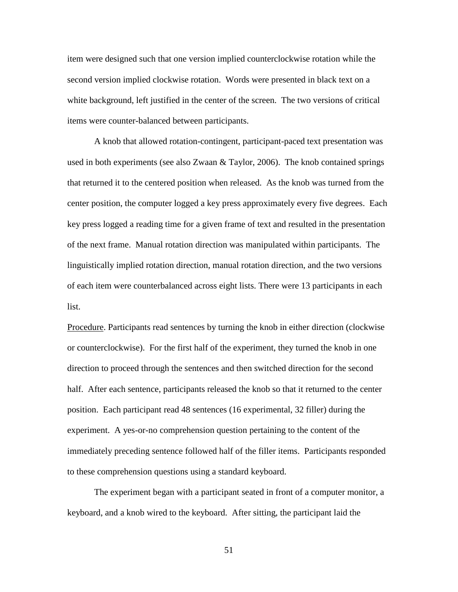item were designed such that one version implied counterclockwise rotation while the second version implied clockwise rotation. Words were presented in black text on a white background, left justified in the center of the screen. The two versions of critical items were counter-balanced between participants.

A knob that allowed rotation-contingent, participant-paced text presentation was used in both experiments (see also Zwaan & Taylor, 2006). The knob contained springs that returned it to the centered position when released. As the knob was turned from the center position, the computer logged a key press approximately every five degrees. Each key press logged a reading time for a given frame of text and resulted in the presentation of the next frame. Manual rotation direction was manipulated within participants. The linguistically implied rotation direction, manual rotation direction, and the two versions of each item were counterbalanced across eight lists. There were 13 participants in each list.

Procedure. Participants read sentences by turning the knob in either direction (clockwise or counterclockwise). For the first half of the experiment, they turned the knob in one direction to proceed through the sentences and then switched direction for the second half. After each sentence, participants released the knob so that it returned to the center position. Each participant read 48 sentences (16 experimental, 32 filler) during the experiment. A yes-or-no comprehension question pertaining to the content of the immediately preceding sentence followed half of the filler items. Participants responded to these comprehension questions using a standard keyboard.

The experiment began with a participant seated in front of a computer monitor, a keyboard, and a knob wired to the keyboard. After sitting, the participant laid the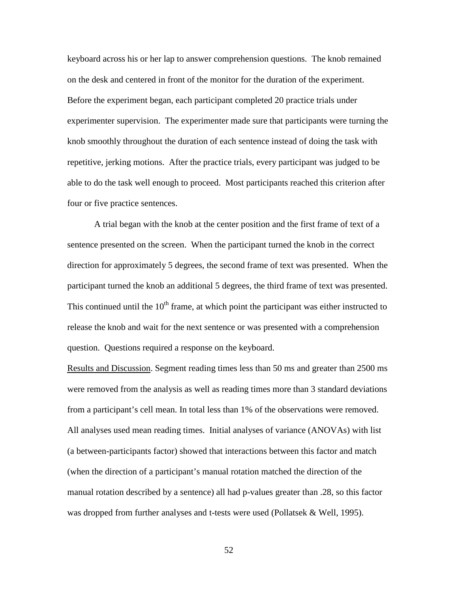keyboard across his or her lap to answer comprehension questions. The knob remained on the desk and centered in front of the monitor for the duration of the experiment. Before the experiment began, each participant completed 20 practice trials under experimenter supervision. The experimenter made sure that participants were turning the knob smoothly throughout the duration of each sentence instead of doing the task with repetitive, jerking motions. After the practice trials, every participant was judged to be able to do the task well enough to proceed. Most participants reached this criterion after four or five practice sentences.

A trial began with the knob at the center position and the first frame of text of a sentence presented on the screen. When the participant turned the knob in the correct direction for approximately 5 degrees, the second frame of text was presented. When the participant turned the knob an additional 5 degrees, the third frame of text was presented. This continued until the  $10<sup>th</sup>$  frame, at which point the participant was either instructed to release the knob and wait for the next sentence or was presented with a comprehension question. Questions required a response on the keyboard.

Results and Discussion. Segment reading times less than 50 ms and greater than 2500 ms were removed from the analysis as well as reading times more than 3 standard deviations from a participant's cell mean. In total less than 1% of the observations were removed. All analyses used mean reading times. Initial analyses of variance (ANOVAs) with list (a between-participants factor) showed that interactions between this factor and match (when the direction of a participant's manual rotation matched the direction of the manual rotation described by a sentence) all had p-values greater than .28, so this factor was dropped from further analyses and t-tests were used (Pollatsek & Well, 1995).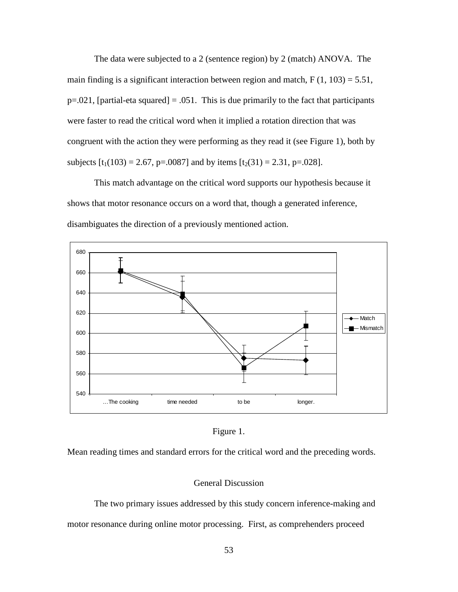The data were subjected to a 2 (sentence region) by 2 (match) ANOVA. The main finding is a significant interaction between region and match,  $F(1, 103) = 5.51$ ,  $p=.021$ , [partial-eta squared] = .051. This is due primarily to the fact that participants were faster to read the critical word when it implied a rotation direction that was congruent with the action they were performing as they read it (see Figure 1), both by subjects  $[t_1(103) = 2.67$ , p=.0087] and by items  $[t_2(31) = 2.31$ , p=.028].

This match advantage on the critical word supports our hypothesis because it shows that motor resonance occurs on a word that, though a generated inference, disambiguates the direction of a previously mentioned action.





Mean reading times and standard errors for the critical word and the preceding words.

## General Discussion

The two primary issues addressed by this study concern inference-making and motor resonance during online motor processing. First, as comprehenders proceed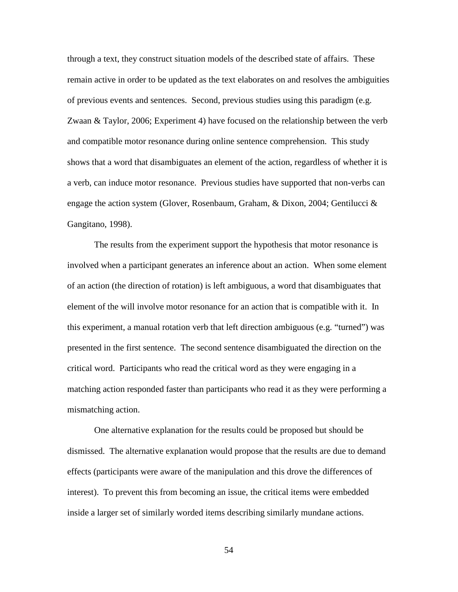through a text, they construct situation models of the described state of affairs. These remain active in order to be updated as the text elaborates on and resolves the ambiguities of previous events and sentences. Second, previous studies using this paradigm (e.g. Zwaan & Taylor, 2006; Experiment 4) have focused on the relationship between the verb and compatible motor resonance during online sentence comprehension. This study shows that a word that disambiguates an element of the action, regardless of whether it is a verb, can induce motor resonance. Previous studies have supported that non-verbs can engage the action system (Glover, Rosenbaum, Graham, & Dixon, 2004; Gentilucci & Gangitano, 1998).

The results from the experiment support the hypothesis that motor resonance is involved when a participant generates an inference about an action. When some element of an action (the direction of rotation) is left ambiguous, a word that disambiguates that element of the will involve motor resonance for an action that is compatible with it. In this experiment, a manual rotation verb that left direction ambiguous (e.g. "turned") was presented in the first sentence. The second sentence disambiguated the direction on the critical word. Participants who read the critical word as they were engaging in a matching action responded faster than participants who read it as they were performing a mismatching action.

One alternative explanation for the results could be proposed but should be dismissed. The alternative explanation would propose that the results are due to demand effects (participants were aware of the manipulation and this drove the differences of interest). To prevent this from becoming an issue, the critical items were embedded inside a larger set of similarly worded items describing similarly mundane actions.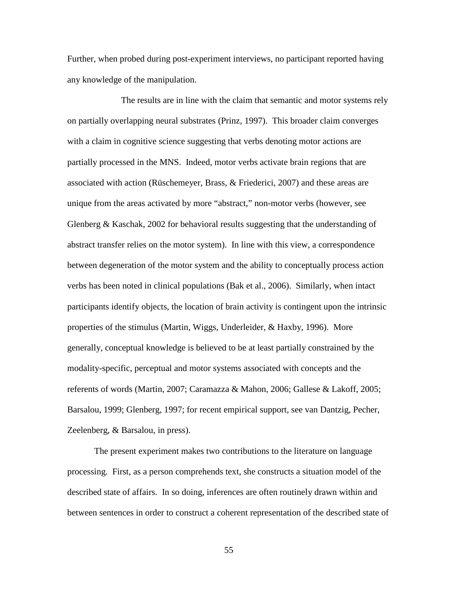Further, when probed during post-experiment interviews, no participant reported having any knowledge of the manipulation.

The results are in line with the claim that semantic and motor systems rely on partially overlapping neural substrates (Prinz, 1997). This broader claim converges with a claim in cognitive science suggesting that verbs denoting motor actions are partially processed in the MNS. Indeed, motor verbs activate brain regions that are associated with action (Rüschemeyer, Brass, & Friederici, 2007) and these areas are unique from the areas activated by more "abstract," non-motor verbs (however, see Glenberg & Kaschak, 2002 for behavioral results suggesting that the understanding of abstract transfer relies on the motor system). In line with this view, a correspondence between degeneration of the motor system and the ability to conceptually process action verbs has been noted in clinical populations (Bak et al., 2006). Similarly, when intact participants identify objects, the location of brain activity is contingent upon the intrinsic properties of the stimulus (Martin, Wiggs, Underleider, & Haxby, 1996). More generally, conceptual knowledge is believed to be at least partially constrained by the modality-specific, perceptual and motor systems associated with concepts and the referents of words (Martin, 2007; Caramazza & Mahon, 2006; Gallese & Lakoff, 2005; Barsalou, 1999; Glenberg, 1997; for recent empirical support, see van Dantzig, Pecher, Zeelenberg, & Barsalou, in press).

The present experiment makes two contributions to the literature on language processing. First, as a person comprehends text, she constructs a situation model of the described state of affairs. In so doing, inferences are often routinely drawn within and between sentences in order to construct a coherent representation of the described state of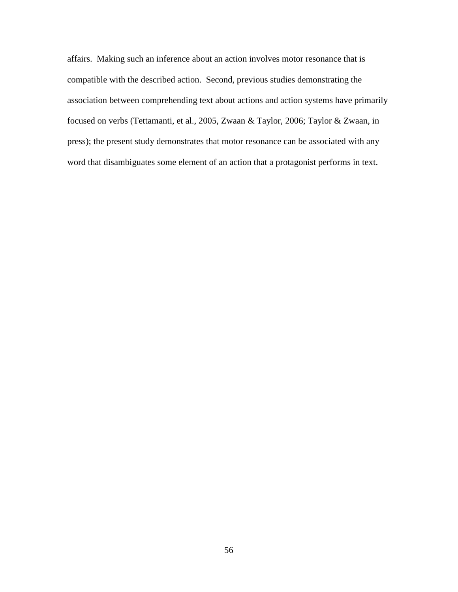affairs. Making such an inference about an action involves motor resonance that is compatible with the described action. Second, previous studies demonstrating the association between comprehending text about actions and action systems have primarily focused on verbs (Tettamanti, et al., 2005, Zwaan & Taylor, 2006; Taylor & Zwaan, in press); the present study demonstrates that motor resonance can be associated with any word that disambiguates some element of an action that a protagonist performs in text.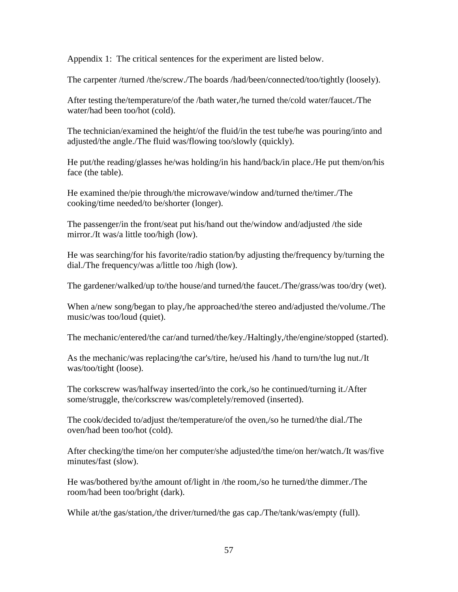Appendix 1: The critical sentences for the experiment are listed below.

The carpenter /turned /the/screw./The boards /had/been/connected/too/tightly (loosely).

After testing the/temperature/of the /bath water,/he turned the/cold water/faucet./The water/had been too/hot (cold).

The technician/examined the height/of the fluid/in the test tube/he was pouring/into and adjusted/the angle./The fluid was/flowing too/slowly (quickly).

He put/the reading/glasses he/was holding/in his hand/back/in place./He put them/on/his face (the table).

He examined the/pie through/the microwave/window and/turned the/timer./The cooking/time needed/to be/shorter (longer).

The passenger/in the front/seat put his/hand out the/window and/adjusted /the side mirror./It was/a little too/high (low).

He was searching/for his favorite/radio station/by adjusting the/frequency by/turning the dial./The frequency/was a/little too /high (low).

The gardener/walked/up to/the house/and turned/the faucet./The/grass/was too/dry (wet).

When a/new song/began to play,/he approached/the stereo and/adjusted the/volume./The music/was too/loud (quiet).

The mechanic/entered/the car/and turned/the/key./Haltingly,/the/engine/stopped (started).

As the mechanic/was replacing/the car's/tire, he/used his /hand to turn/the lug nut./It was/too/tight (loose).

The corkscrew was/halfway inserted/into the cork,/so he continued/turning it./After some/struggle, the/corkscrew was/completely/removed (inserted).

The cook/decided to/adjust the/temperature/of the oven,/so he turned/the dial./The oven/had been too/hot (cold).

After checking/the time/on her computer/she adjusted/the time/on her/watch./It was/five minutes/fast (slow).

He was/bothered by/the amount of/light in /the room,/so he turned/the dimmer./The room/had been too/bright (dark).

While at/the gas/station,/the driver/turned/the gas cap./The/tank/was/empty (full).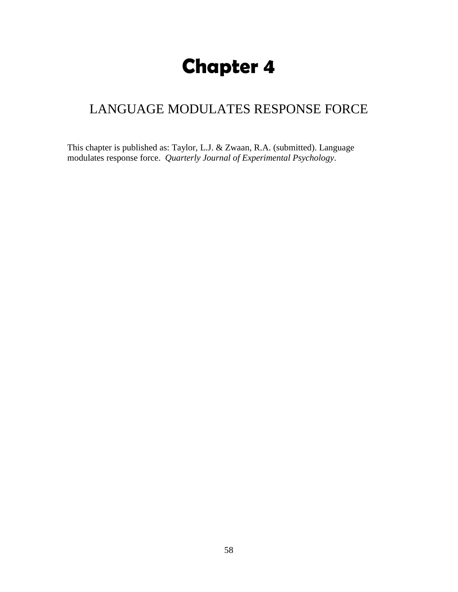# **Chapter 4**

# LANGUAGE MODULATES RESPONSE FORCE

This chapter is published as: Taylor, L.J. & Zwaan, R.A. (submitted). Language modulates response force. *Quarterly Journal of Experimental Psychology*.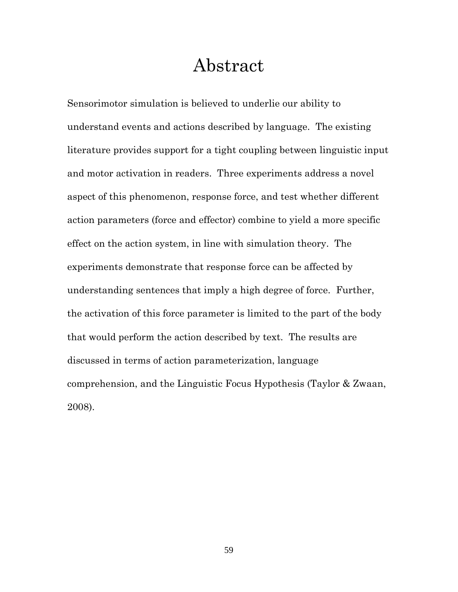# Abstract

Sensorimotor simulation is believed to underlie our ability to understand events and actions described by language. The existing literature provides support for a tight coupling between linguistic input and motor activation in readers. Three experiments address a novel aspect of this phenomenon, response force, and test whether different action parameters (force and effector) combine to yield a more specific effect on the action system, in line with simulation theory. The experiments demonstrate that response force can be affected by understanding sentences that imply a high degree of force. Further, the activation of this force parameter is limited to the part of the body that would perform the action described by text. The results are discussed in terms of action parameterization, language comprehension, and the Linguistic Focus Hypothesis (Taylor & Zwaan, 2008).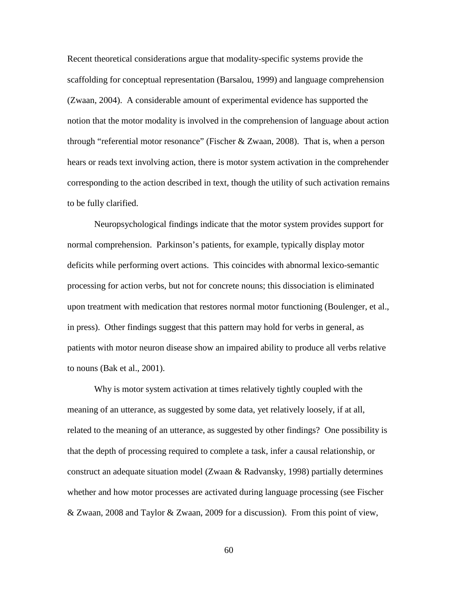Recent theoretical considerations argue that modality-specific systems provide the scaffolding for conceptual representation (Barsalou, 1999) and language comprehension (Zwaan, 2004). A considerable amount of experimental evidence has supported the notion that the motor modality is involved in the comprehension of language about action through "referential motor resonance" (Fischer & Zwaan, 2008). That is, when a person hears or reads text involving action, there is motor system activation in the comprehender corresponding to the action described in text, though the utility of such activation remains to be fully clarified.

Neuropsychological findings indicate that the motor system provides support for normal comprehension. Parkinson's patients, for example, typically display motor deficits while performing overt actions. This coincides with abnormal lexico-semantic processing for action verbs, but not for concrete nouns; this dissociation is eliminated upon treatment with medication that restores normal motor functioning (Boulenger, et al., in press). Other findings suggest that this pattern may hold for verbs in general, as patients with motor neuron disease show an impaired ability to produce all verbs relative to nouns (Bak et al., 2001).

Why is motor system activation at times relatively tightly coupled with the meaning of an utterance, as suggested by some data, yet relatively loosely, if at all, related to the meaning of an utterance, as suggested by other findings? One possibility is that the depth of processing required to complete a task, infer a causal relationship, or construct an adequate situation model (Zwaan & Radvansky, 1998) partially determines whether and how motor processes are activated during language processing (see Fischer & Zwaan, 2008 and Taylor & Zwaan, 2009 for a discussion). From this point of view,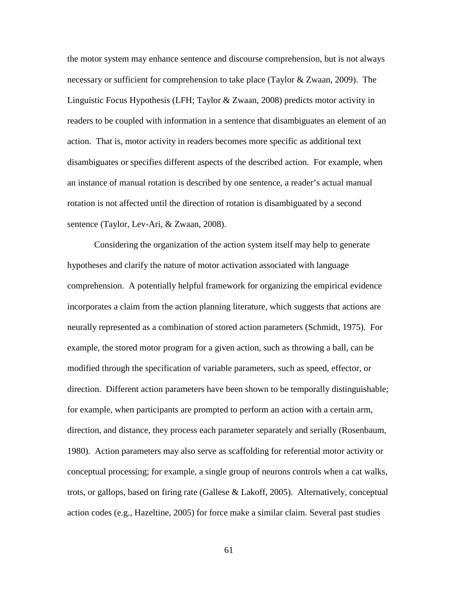the motor system may enhance sentence and discourse comprehension, but is not always necessary or sufficient for comprehension to take place (Taylor & Zwaan, 2009). The Linguistic Focus Hypothesis (LFH; Taylor & Zwaan, 2008) predicts motor activity in readers to be coupled with information in a sentence that disambiguates an element of an action. That is, motor activity in readers becomes more specific as additional text disambiguates or specifies different aspects of the described action. For example, when an instance of manual rotation is described by one sentence, a reader's actual manual rotation is not affected until the direction of rotation is disambiguated by a second sentence (Taylor, Lev-Ari, & Zwaan, 2008).

Considering the organization of the action system itself may help to generate hypotheses and clarify the nature of motor activation associated with language comprehension. A potentially helpful framework for organizing the empirical evidence incorporates a claim from the action planning literature, which suggests that actions are neurally represented as a combination of stored action parameters (Schmidt, 1975). For example, the stored motor program for a given action, such as throwing a ball, can be modified through the specification of variable parameters, such as speed, effector, or direction. Different action parameters have been shown to be temporally distinguishable; for example, when participants are prompted to perform an action with a certain arm, direction, and distance, they process each parameter separately and serially (Rosenbaum, 1980). Action parameters may also serve as scaffolding for referential motor activity or conceptual processing; for example, a single group of neurons controls when a cat walks, trots, or gallops, based on firing rate (Gallese & Lakoff, 2005). Alternatively, conceptual action codes (e.g., Hazeltine, 2005) for force make a similar claim. Several past studies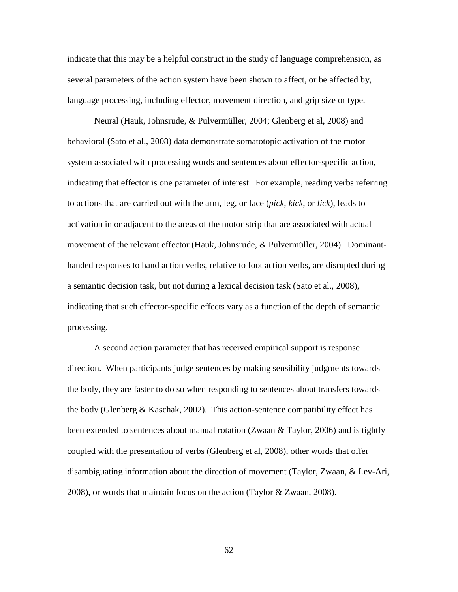indicate that this may be a helpful construct in the study of language comprehension, as several parameters of the action system have been shown to affect, or be affected by, language processing, including effector, movement direction, and grip size or type.

Neural (Hauk, Johnsrude, & Pulvermüller, 2004; Glenberg et al, 2008) and behavioral (Sato et al., 2008) data demonstrate somatotopic activation of the motor system associated with processing words and sentences about effector-specific action, indicating that effector is one parameter of interest. For example, reading verbs referring to actions that are carried out with the arm, leg, or face (*pick*, *kick*, or *lick*), leads to activation in or adjacent to the areas of the motor strip that are associated with actual movement of the relevant effector (Hauk, Johnsrude, & Pulvermüller, 2004). Dominanthanded responses to hand action verbs, relative to foot action verbs, are disrupted during a semantic decision task, but not during a lexical decision task (Sato et al., 2008), indicating that such effector-specific effects vary as a function of the depth of semantic processing.

A second action parameter that has received empirical support is response direction. When participants judge sentences by making sensibility judgments towards the body, they are faster to do so when responding to sentences about transfers towards the body (Glenberg & Kaschak, 2002). This action-sentence compatibility effect has been extended to sentences about manual rotation (Zwaan & Taylor, 2006) and is tightly coupled with the presentation of verbs (Glenberg et al, 2008), other words that offer disambiguating information about the direction of movement (Taylor, Zwaan, & Lev-Ari, 2008), or words that maintain focus on the action (Taylor & Zwaan, 2008).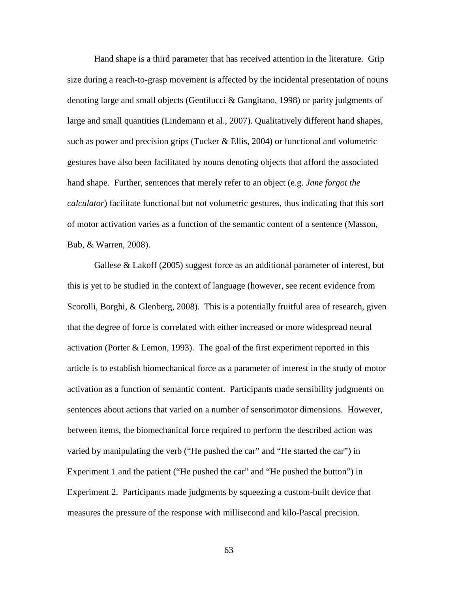Hand shape is a third parameter that has received attention in the literature. Grip size during a reach-to-grasp movement is affected by the incidental presentation of nouns denoting large and small objects (Gentilucci & Gangitano, 1998) or parity judgments of large and small quantities (Lindemann et al., 2007). Qualitatively different hand shapes, such as power and precision grips (Tucker  $\&$  Ellis, 2004) or functional and volumetric gestures have also been facilitated by nouns denoting objects that afford the associated hand shape. Further, sentences that merely refer to an object (e.g. *Jane forgot the calculator*) facilitate functional but not volumetric gestures, thus indicating that this sort of motor activation varies as a function of the semantic content of a sentence (Masson, Bub, & Warren, 2008).

Gallese & Lakoff (2005) suggest force as an additional parameter of interest, but this is yet to be studied in the context of language (however, see recent evidence from Scorolli, Borghi, & Glenberg, 2008). This is a potentially fruitful area of research, given that the degree of force is correlated with either increased or more widespread neural activation (Porter & Lemon, 1993). The goal of the first experiment reported in this article is to establish biomechanical force as a parameter of interest in the study of motor activation as a function of semantic content. Participants made sensibility judgments on sentences about actions that varied on a number of sensorimotor dimensions. However, between items, the biomechanical force required to perform the described action was varied by manipulating the verb ("He pushed the car" and "He started the car") in Experiment 1 and the patient ("He pushed the car" and "He pushed the button") in Experiment 2. Participants made judgments by squeezing a custom-built device that measures the pressure of the response with millisecond and kilo-Pascal precision.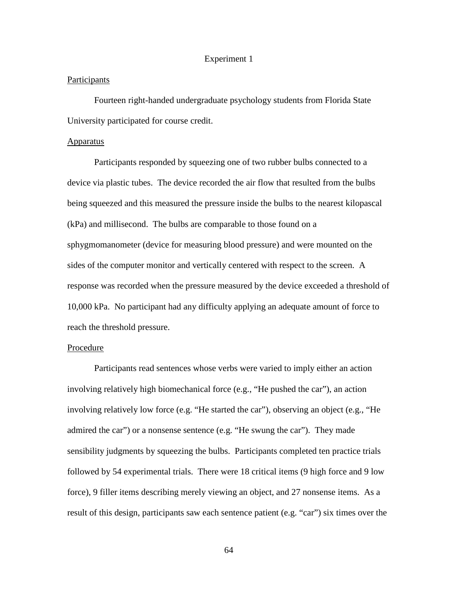#### Experiment 1

#### **Participants**

Fourteen right-handed undergraduate psychology students from Florida State University participated for course credit.

#### Apparatus

Participants responded by squeezing one of two rubber bulbs connected to a device via plastic tubes. The device recorded the air flow that resulted from the bulbs being squeezed and this measured the pressure inside the bulbs to the nearest kilopascal (kPa) and millisecond. The bulbs are comparable to those found on a sphygmomanometer (device for measuring blood pressure) and were mounted on the sides of the computer monitor and vertically centered with respect to the screen. A response was recorded when the pressure measured by the device exceeded a threshold of 10,000 kPa. No participant had any difficulty applying an adequate amount of force to reach the threshold pressure.

#### Procedure

Participants read sentences whose verbs were varied to imply either an action involving relatively high biomechanical force (e.g., "He pushed the car"), an action involving relatively low force (e.g. "He started the car"), observing an object (e.g., "He admired the car") or a nonsense sentence (e.g. "He swung the car"). They made sensibility judgments by squeezing the bulbs. Participants completed ten practice trials followed by 54 experimental trials. There were 18 critical items (9 high force and 9 low force), 9 filler items describing merely viewing an object, and 27 nonsense items. As a result of this design, participants saw each sentence patient (e.g. "car") six times over the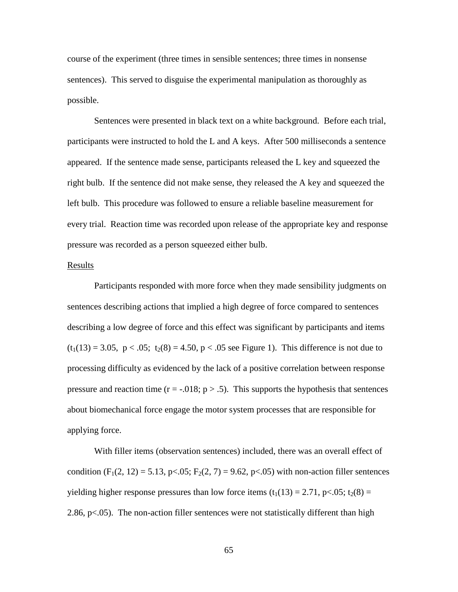course of the experiment (three times in sensible sentences; three times in nonsense sentences). This served to disguise the experimental manipulation as thoroughly as possible.

Sentences were presented in black text on a white background. Before each trial, participants were instructed to hold the L and A keys. After 500 milliseconds a sentence appeared. If the sentence made sense, participants released the L key and squeezed the right bulb. If the sentence did not make sense, they released the A key and squeezed the left bulb. This procedure was followed to ensure a reliable baseline measurement for every trial. Reaction time was recorded upon release of the appropriate key and response pressure was recorded as a person squeezed either bulb.

#### Results

Participants responded with more force when they made sensibility judgments on sentences describing actions that implied a high degree of force compared to sentences describing a low degree of force and this effect was significant by participants and items  $(t_1(13) = 3.05, p < .05; t_2(8) = 4.50, p < .05$  see Figure 1). This difference is not due to processing difficulty as evidenced by the lack of a positive correlation between response pressure and reaction time ( $r = -0.018$ ;  $p > .5$ ). This supports the hypothesis that sentences about biomechanical force engage the motor system processes that are responsible for applying force.

With filler items (observation sentences) included, there was an overall effect of condition  $(F_1(2, 12) = 5.13, p<0.05; F_2(2, 7) = 9.62, p<0.05)$  with non-action filler sentences yielding higher response pressures than low force items  $(t_1(13) = 2.71, p < 0.05; t_2(8) =$ 2.86,  $p<0.05$ ). The non-action filler sentences were not statistically different than high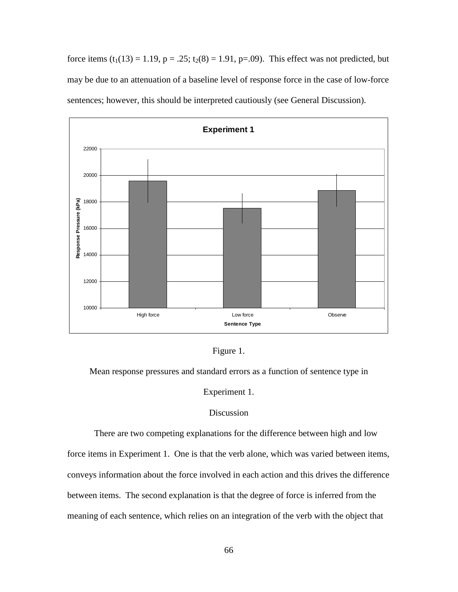force items  $(t_1(13) = 1.19, p = .25; t_2(8) = 1.91, p = .09)$ . This effect was not predicted, but may be due to an attenuation of a baseline level of response force in the case of low-force sentences; however, this should be interpreted cautiously (see General Discussion).





Mean response pressures and standard errors as a function of sentence type in

Experiment 1.

### **Discussion**

There are two competing explanations for the difference between high and low force items in Experiment 1. One is that the verb alone, which was varied between items, conveys information about the force involved in each action and this drives the difference between items. The second explanation is that the degree of force is inferred from the meaning of each sentence, which relies on an integration of the verb with the object that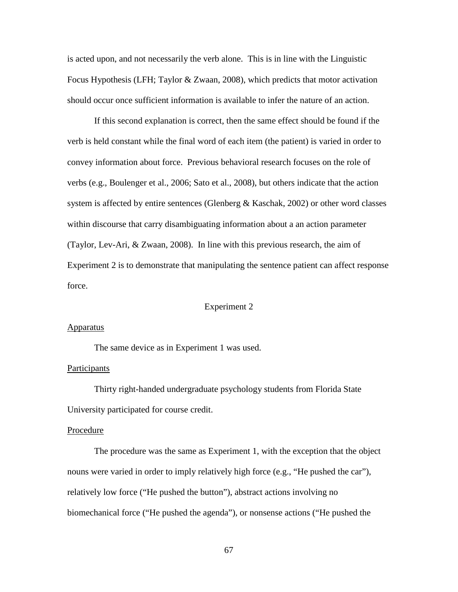is acted upon, and not necessarily the verb alone. This is in line with the Linguistic Focus Hypothesis (LFH; Taylor & Zwaan, 2008), which predicts that motor activation should occur once sufficient information is available to infer the nature of an action.

If this second explanation is correct, then the same effect should be found if the verb is held constant while the final word of each item (the patient) is varied in order to convey information about force. Previous behavioral research focuses on the role of verbs (e.g., Boulenger et al., 2006; Sato et al., 2008), but others indicate that the action system is affected by entire sentences (Glenberg  $\&$  Kaschak, 2002) or other word classes within discourse that carry disambiguating information about a an action parameter (Taylor, Lev-Ari, & Zwaan, 2008). In line with this previous research, the aim of Experiment 2 is to demonstrate that manipulating the sentence patient can affect response force.

#### Experiment 2

#### Apparatus

The same device as in Experiment 1 was used.

#### **Participants**

Thirty right-handed undergraduate psychology students from Florida State University participated for course credit.

#### Procedure

The procedure was the same as Experiment 1, with the exception that the object nouns were varied in order to imply relatively high force (e.g., "He pushed the car"), relatively low force ("He pushed the button"), abstract actions involving no biomechanical force ("He pushed the agenda"), or nonsense actions ("He pushed the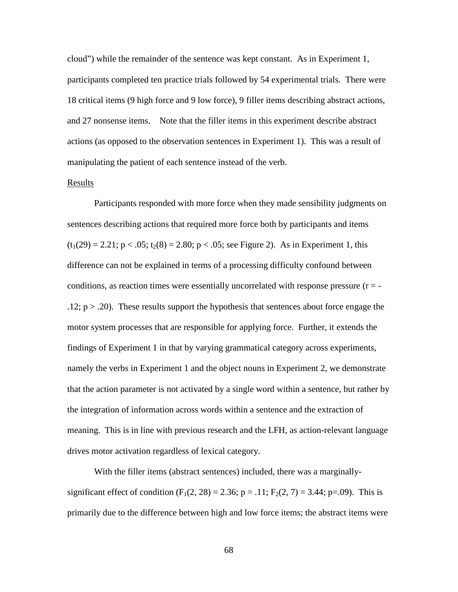cloud") while the remainder of the sentence was kept constant. As in Experiment 1, participants completed ten practice trials followed by 54 experimental trials. There were 18 critical items (9 high force and 9 low force), 9 filler items describing abstract actions, and 27 nonsense items. Note that the filler items in this experiment describe abstract actions (as opposed to the observation sentences in Experiment 1). This was a result of manipulating the patient of each sentence instead of the verb.

#### Results

Participants responded with more force when they made sensibility judgments on sentences describing actions that required more force both by participants and items  $(t_1(29) = 2.21; p < .05; t_2(8) = 2.80; p < .05;$  see Figure 2). As in Experiment 1, this difference can not be explained in terms of a processing difficulty confound between conditions, as reaction times were essentially uncorrelated with response pressure  $(r = -1)$ .12;  $p > .20$ ). These results support the hypothesis that sentences about force engage the motor system processes that are responsible for applying force. Further, it extends the findings of Experiment 1 in that by varying grammatical category across experiments, namely the verbs in Experiment 1 and the object nouns in Experiment 2, we demonstrate that the action parameter is not activated by a single word within a sentence, but rather by the integration of information across words within a sentence and the extraction of meaning. This is in line with previous research and the LFH, as action-relevant language drives motor activation regardless of lexical category.

With the filler items (abstract sentences) included, there was a marginallysignificant effect of condition (F<sub>1</sub>(2, 28) = 2.36; p = .11; F<sub>2</sub>(2, 7) = 3.44; p=.09). This is primarily due to the difference between high and low force items; the abstract items were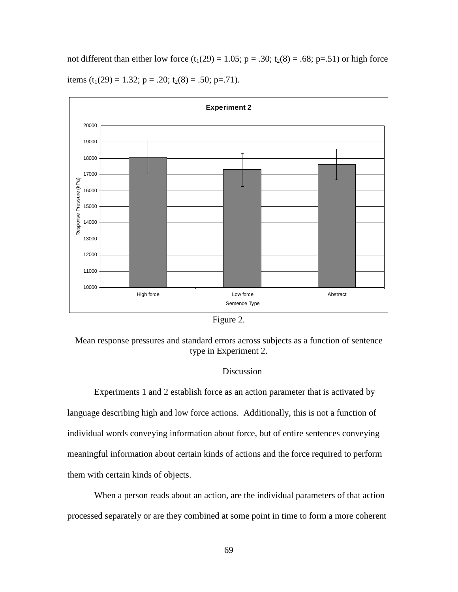not different than either low force  $(t_1(29) = 1.05; p = .30; t_2(8) = .68; p = .51)$  or high force items  $(t_1(29) = 1.32; p = .20; t_2(8) = .50; p = .71)$ .



Figure 2.

## **Discussion**

Experiments 1 and 2 establish force as an action parameter that is activated by language describing high and low force actions. Additionally, this is not a function of individual words conveying information about force, but of entire sentences conveying meaningful information about certain kinds of actions and the force required to perform them with certain kinds of objects.

When a person reads about an action, are the individual parameters of that action processed separately or are they combined at some point in time to form a more coherent

Mean response pressures and standard errors across subjects as a function of sentence type in Experiment 2.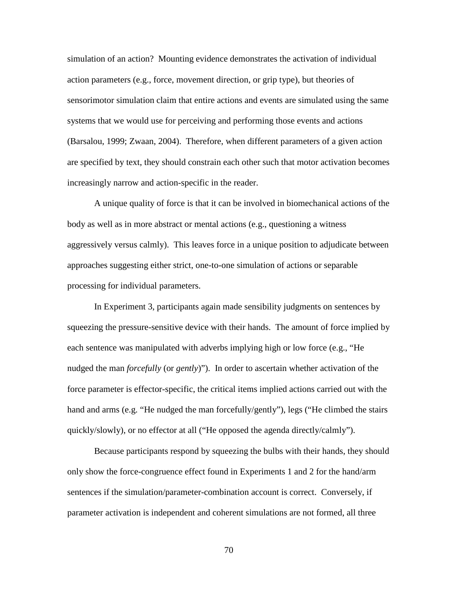simulation of an action? Mounting evidence demonstrates the activation of individual action parameters (e.g., force, movement direction, or grip type), but theories of sensorimotor simulation claim that entire actions and events are simulated using the same systems that we would use for perceiving and performing those events and actions (Barsalou, 1999; Zwaan, 2004). Therefore, when different parameters of a given action are specified by text, they should constrain each other such that motor activation becomes increasingly narrow and action-specific in the reader.

A unique quality of force is that it can be involved in biomechanical actions of the body as well as in more abstract or mental actions (e.g., questioning a witness aggressively versus calmly). This leaves force in a unique position to adjudicate between approaches suggesting either strict, one-to-one simulation of actions or separable processing for individual parameters.

In Experiment 3, participants again made sensibility judgments on sentences by squeezing the pressure-sensitive device with their hands. The amount of force implied by each sentence was manipulated with adverbs implying high or low force (e.g., "He nudged the man *forcefully* (or *gently*)"). In order to ascertain whether activation of the force parameter is effector-specific, the critical items implied actions carried out with the hand and arms (e.g. "He nudged the man forcefully/gently"), legs ("He climbed the stairs quickly/slowly), or no effector at all ("He opposed the agenda directly/calmly").

Because participants respond by squeezing the bulbs with their hands, they should only show the force-congruence effect found in Experiments 1 and 2 for the hand/arm sentences if the simulation/parameter-combination account is correct. Conversely, if parameter activation is independent and coherent simulations are not formed, all three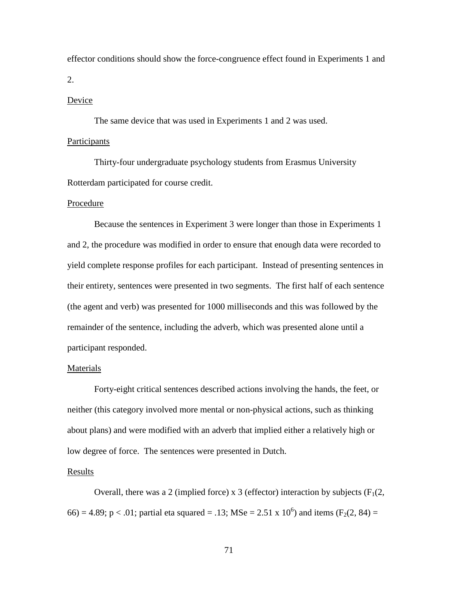effector conditions should show the force-congruence effect found in Experiments 1 and 2.

#### Device

The same device that was used in Experiments 1 and 2 was used.

#### Participants

Thirty-four undergraduate psychology students from Erasmus University Rotterdam participated for course credit.

#### **Procedure**

Because the sentences in Experiment 3 were longer than those in Experiments 1 and 2, the procedure was modified in order to ensure that enough data were recorded to yield complete response profiles for each participant. Instead of presenting sentences in their entirety, sentences were presented in two segments. The first half of each sentence (the agent and verb) was presented for 1000 milliseconds and this was followed by the remainder of the sentence, including the adverb, which was presented alone until a participant responded.

#### Materials

Forty-eight critical sentences described actions involving the hands, the feet, or neither (this category involved more mental or non-physical actions, such as thinking about plans) and were modified with an adverb that implied either a relatively high or low degree of force. The sentences were presented in Dutch.

#### Results

Overall, there was a 2 (implied force) x 3 (effector) interaction by subjects ( $F_1(2)$ , 66) = 4.89; p < .01; partial eta squared = .13; MSe = 2.51 x 10<sup>6</sup>) and items (F<sub>2</sub>(2, 84) =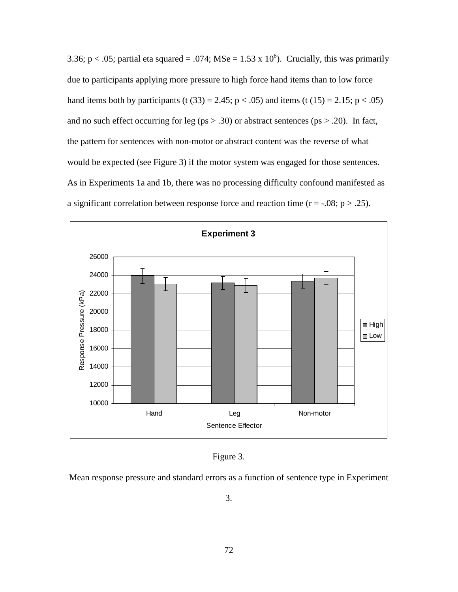3.36; p < .05; partial eta squared = .074; MSe =  $1.53 \times 10^6$ ). Crucially, this was primarily due to participants applying more pressure to high force hand items than to low force hand items both by participants (t  $(33) = 2.45$ ;  $p < .05$ ) and items (t  $(15) = 2.15$ ;  $p < .05$ ) and no such effect occurring for leg ( $ps > .30$ ) or abstract sentences ( $ps > .20$ ). In fact, the pattern for sentences with non-motor or abstract content was the reverse of what would be expected (see Figure 3) if the motor system was engaged for those sentences. As in Experiments 1a and 1b, there was no processing difficulty confound manifested as a significant correlation between response force and reaction time ( $r = -0.08$ ;  $p > 0.25$ ).



Figure 3.

Mean response pressure and standard errors as a function of sentence type in Experiment

3.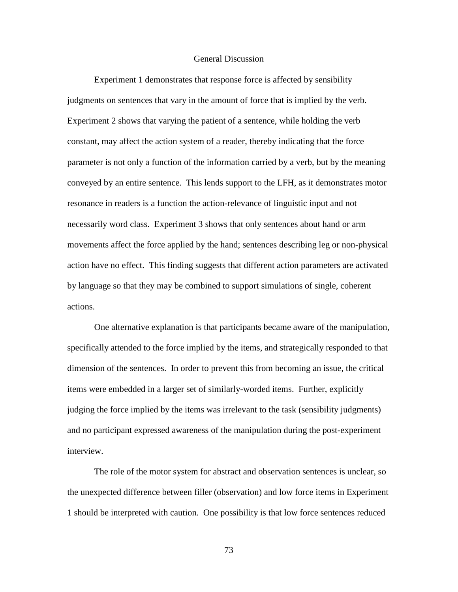### General Discussion

Experiment 1 demonstrates that response force is affected by sensibility judgments on sentences that vary in the amount of force that is implied by the verb. Experiment 2 shows that varying the patient of a sentence, while holding the verb constant, may affect the action system of a reader, thereby indicating that the force parameter is not only a function of the information carried by a verb, but by the meaning conveyed by an entire sentence. This lends support to the LFH, as it demonstrates motor resonance in readers is a function the action-relevance of linguistic input and not necessarily word class. Experiment 3 shows that only sentences about hand or arm movements affect the force applied by the hand; sentences describing leg or non-physical action have no effect. This finding suggests that different action parameters are activated by language so that they may be combined to support simulations of single, coherent actions.

One alternative explanation is that participants became aware of the manipulation, specifically attended to the force implied by the items, and strategically responded to that dimension of the sentences. In order to prevent this from becoming an issue, the critical items were embedded in a larger set of similarly-worded items. Further, explicitly judging the force implied by the items was irrelevant to the task (sensibility judgments) and no participant expressed awareness of the manipulation during the post-experiment interview.

The role of the motor system for abstract and observation sentences is unclear, so the unexpected difference between filler (observation) and low force items in Experiment 1 should be interpreted with caution. One possibility is that low force sentences reduced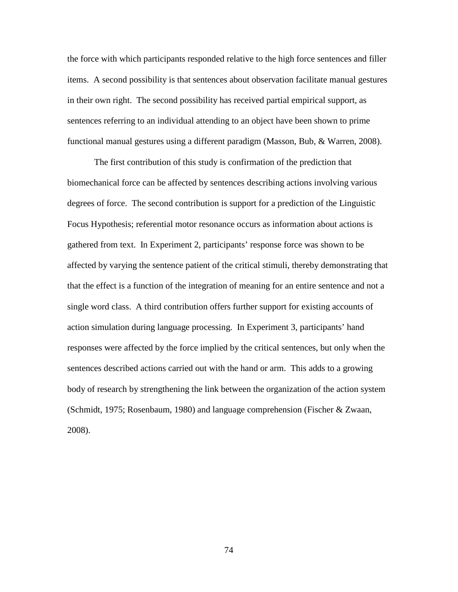the force with which participants responded relative to the high force sentences and filler items. A second possibility is that sentences about observation facilitate manual gestures in their own right. The second possibility has received partial empirical support, as sentences referring to an individual attending to an object have been shown to prime functional manual gestures using a different paradigm (Masson, Bub, & Warren, 2008).

The first contribution of this study is confirmation of the prediction that biomechanical force can be affected by sentences describing actions involving various degrees of force. The second contribution is support for a prediction of the Linguistic Focus Hypothesis; referential motor resonance occurs as information about actions is gathered from text. In Experiment 2, participants' response force was shown to be affected by varying the sentence patient of the critical stimuli, thereby demonstrating that that the effect is a function of the integration of meaning for an entire sentence and not a single word class. A third contribution offers further support for existing accounts of action simulation during language processing. In Experiment 3, participants' hand responses were affected by the force implied by the critical sentences, but only when the sentences described actions carried out with the hand or arm. This adds to a growing body of research by strengthening the link between the organization of the action system (Schmidt, 1975; Rosenbaum, 1980) and language comprehension (Fischer & Zwaan, 2008).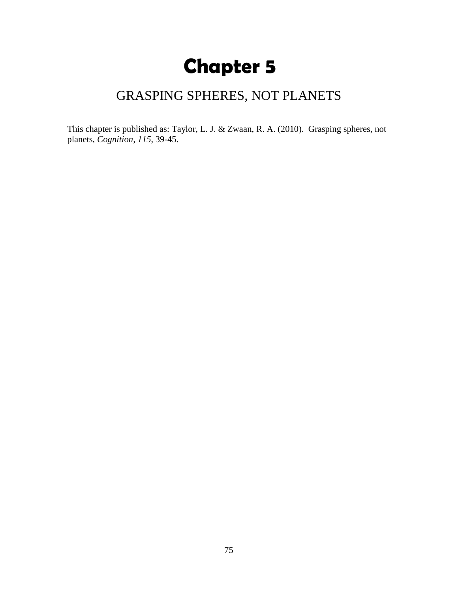# **Chapter 5**

# GRASPING SPHERES, NOT PLANETS

This chapter is published as: Taylor, L. J. & Zwaan, R. A. (2010). Grasping spheres, not planets, *Cognition, 115*, 39-45.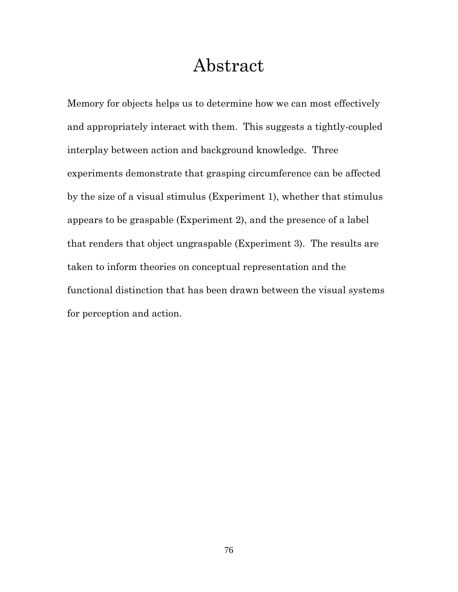# Abstract

Memory for objects helps us to determine how we can most effectively and appropriately interact with them. This suggests a tightly-coupled interplay between action and background knowledge. Three experiments demonstrate that grasping circumference can be affected by the size of a visual stimulus (Experiment 1), whether that stimulus appears to be graspable (Experiment 2), and the presence of a label that renders that object ungraspable (Experiment 3). The results are taken to inform theories on conceptual representation and the functional distinction that has been drawn between the visual systems for perception and action.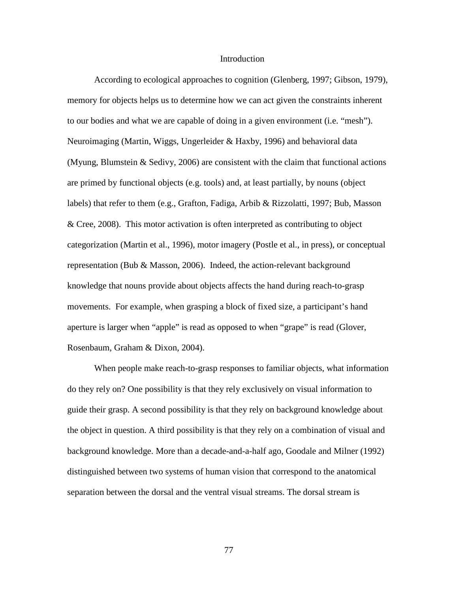#### Introduction

According to ecological approaches to cognition (Glenberg, 1997; Gibson, 1979), memory for objects helps us to determine how we can act given the constraints inherent to our bodies and what we are capable of doing in a given environment (i.e. "mesh"). Neuroimaging (Martin, Wiggs, Ungerleider & Haxby, 1996) and behavioral data (Myung, Blumstein  $\&$  Sedivy, 2006) are consistent with the claim that functional actions are primed by functional objects (e.g. tools) and, at least partially, by nouns (object labels) that refer to them (e.g., Grafton, Fadiga, Arbib & Rizzolatti, 1997; Bub, Masson & Cree, 2008). This motor activation is often interpreted as contributing to object categorization (Martin et al., 1996), motor imagery (Postle et al., in press), or conceptual representation (Bub & Masson, 2006). Indeed, the action-relevant background knowledge that nouns provide about objects affects the hand during reach-to-grasp movements. For example, when grasping a block of fixed size, a participant's hand aperture is larger when "apple" is read as opposed to when "grape" is read (Glover, Rosenbaum, Graham & Dixon, 2004).

When people make reach-to-grasp responses to familiar objects, what information do they rely on? One possibility is that they rely exclusively on visual information to guide their grasp. A second possibility is that they rely on background knowledge about the object in question. A third possibility is that they rely on a combination of visual and background knowledge. More than a decade-and-a-half ago, Goodale and Milner (1992) distinguished between two systems of human vision that correspond to the anatomical separation between the dorsal and the ventral visual streams. The dorsal stream is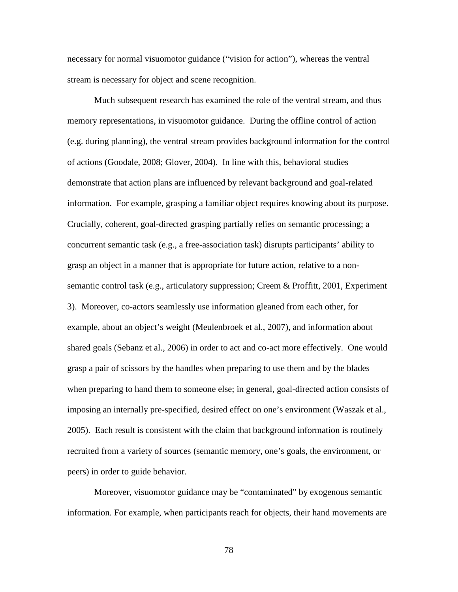necessary for normal visuomotor guidance ("vision for action"), whereas the ventral stream is necessary for object and scene recognition.

Much subsequent research has examined the role of the ventral stream, and thus memory representations, in visuomotor guidance. During the offline control of action (e.g. during planning), the ventral stream provides background information for the control of actions (Goodale, 2008; Glover, 2004). In line with this, behavioral studies demonstrate that action plans are influenced by relevant background and goal-related information. For example, grasping a familiar object requires knowing about its purpose. Crucially, coherent, goal-directed grasping partially relies on semantic processing; a concurrent semantic task (e.g., a free-association task) disrupts participants' ability to grasp an object in a manner that is appropriate for future action, relative to a nonsemantic control task (e.g., articulatory suppression; Creem & Proffitt, 2001, Experiment 3). Moreover, co-actors seamlessly use information gleaned from each other, for example, about an object's weight (Meulenbroek et al., 2007), and information about shared goals (Sebanz et al., 2006) in order to act and co-act more effectively. One would grasp a pair of scissors by the handles when preparing to use them and by the blades when preparing to hand them to someone else; in general, goal-directed action consists of imposing an internally pre-specified, desired effect on one's environment (Waszak et al., 2005). Each result is consistent with the claim that background information is routinely recruited from a variety of sources (semantic memory, one's goals, the environment, or peers) in order to guide behavior.

Moreover, visuomotor guidance may be "contaminated" by exogenous semantic information. For example, when participants reach for objects, their hand movements are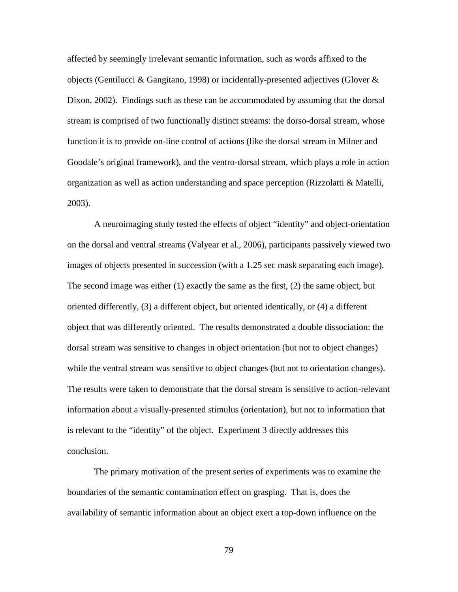affected by seemingly irrelevant semantic information, such as words affixed to the objects (Gentilucci & Gangitano, 1998) or incidentally-presented adjectives (Glover & Dixon, 2002). Findings such as these can be accommodated by assuming that the dorsal stream is comprised of two functionally distinct streams: the dorso-dorsal stream, whose function it is to provide on-line control of actions (like the dorsal stream in Milner and Goodale's original framework), and the ventro-dorsal stream, which plays a role in action organization as well as action understanding and space perception (Rizzolatti & Matelli, 2003).

A neuroimaging study tested the effects of object "identity" and object-orientation on the dorsal and ventral streams (Valyear et al., 2006), participants passively viewed two images of objects presented in succession (with a 1.25 sec mask separating each image). The second image was either (1) exactly the same as the first, (2) the same object, but oriented differently, (3) a different object, but oriented identically, or (4) a different object that was differently oriented. The results demonstrated a double dissociation: the dorsal stream was sensitive to changes in object orientation (but not to object changes) while the ventral stream was sensitive to object changes (but not to orientation changes). The results were taken to demonstrate that the dorsal stream is sensitive to action-relevant information about a visually-presented stimulus (orientation), but not to information that is relevant to the "identity" of the object. Experiment 3 directly addresses this conclusion.

The primary motivation of the present series of experiments was to examine the boundaries of the semantic contamination effect on grasping. That is, does the availability of semantic information about an object exert a top-down influence on the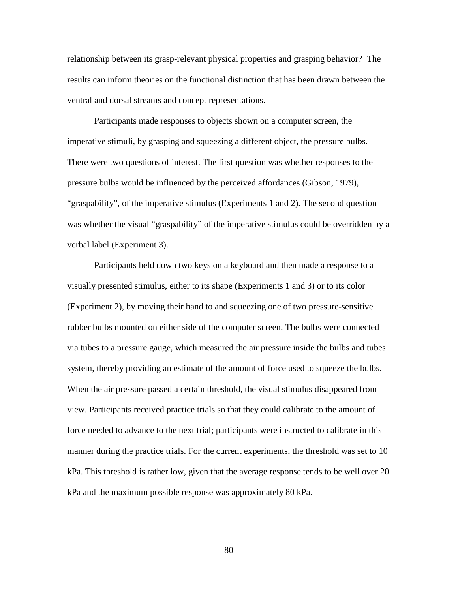relationship between its grasp-relevant physical properties and grasping behavior? The results can inform theories on the functional distinction that has been drawn between the ventral and dorsal streams and concept representations.

Participants made responses to objects shown on a computer screen, the imperative stimuli, by grasping and squeezing a different object, the pressure bulbs. There were two questions of interest. The first question was whether responses to the pressure bulbs would be influenced by the perceived affordances (Gibson, 1979), "graspability", of the imperative stimulus (Experiments 1 and 2). The second question was whether the visual "graspability" of the imperative stimulus could be overridden by a verbal label (Experiment 3).

Participants held down two keys on a keyboard and then made a response to a visually presented stimulus, either to its shape (Experiments 1 and 3) or to its color (Experiment 2), by moving their hand to and squeezing one of two pressure-sensitive rubber bulbs mounted on either side of the computer screen. The bulbs were connected via tubes to a pressure gauge, which measured the air pressure inside the bulbs and tubes system, thereby providing an estimate of the amount of force used to squeeze the bulbs. When the air pressure passed a certain threshold, the visual stimulus disappeared from view. Participants received practice trials so that they could calibrate to the amount of force needed to advance to the next trial; participants were instructed to calibrate in this manner during the practice trials. For the current experiments, the threshold was set to 10 kPa. This threshold is rather low, given that the average response tends to be well over 20 kPa and the maximum possible response was approximately 80 kPa.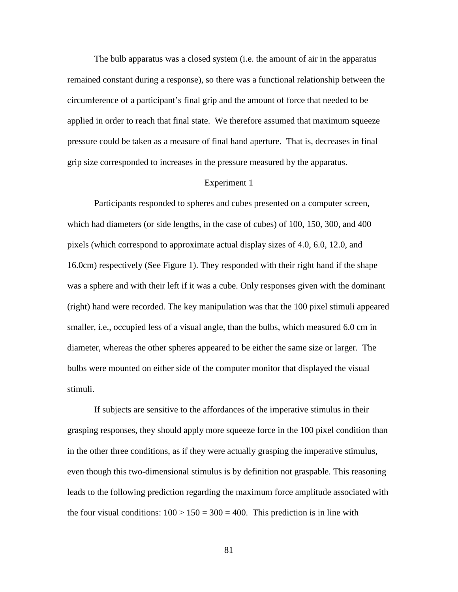The bulb apparatus was a closed system (i.e. the amount of air in the apparatus remained constant during a response), so there was a functional relationship between the circumference of a participant's final grip and the amount of force that needed to be applied in order to reach that final state. We therefore assumed that maximum squeeze pressure could be taken as a measure of final hand aperture. That is, decreases in final grip size corresponded to increases in the pressure measured by the apparatus.

## Experiment 1

Participants responded to spheres and cubes presented on a computer screen, which had diameters (or side lengths, in the case of cubes) of 100, 150, 300, and 400 pixels (which correspond to approximate actual display sizes of 4.0, 6.0, 12.0, and 16.0cm) respectively (See Figure 1). They responded with their right hand if the shape was a sphere and with their left if it was a cube. Only responses given with the dominant (right) hand were recorded. The key manipulation was that the 100 pixel stimuli appeared smaller, i.e., occupied less of a visual angle, than the bulbs, which measured 6.0 cm in diameter, whereas the other spheres appeared to be either the same size or larger. The bulbs were mounted on either side of the computer monitor that displayed the visual stimuli.

If subjects are sensitive to the affordances of the imperative stimulus in their grasping responses, they should apply more squeeze force in the 100 pixel condition than in the other three conditions, as if they were actually grasping the imperative stimulus, even though this two-dimensional stimulus is by definition not graspable. This reasoning leads to the following prediction regarding the maximum force amplitude associated with the four visual conditions:  $100 > 150 = 300 = 400$ . This prediction is in line with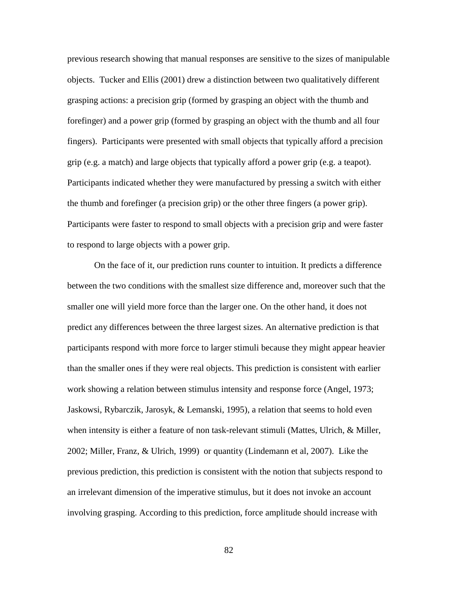previous research showing that manual responses are sensitive to the sizes of manipulable objects. Tucker and Ellis (2001) drew a distinction between two qualitatively different grasping actions: a precision grip (formed by grasping an object with the thumb and forefinger) and a power grip (formed by grasping an object with the thumb and all four fingers). Participants were presented with small objects that typically afford a precision grip (e.g. a match) and large objects that typically afford a power grip (e.g. a teapot). Participants indicated whether they were manufactured by pressing a switch with either the thumb and forefinger (a precision grip) or the other three fingers (a power grip). Participants were faster to respond to small objects with a precision grip and were faster to respond to large objects with a power grip.

On the face of it, our prediction runs counter to intuition. It predicts a difference between the two conditions with the smallest size difference and, moreover such that the smaller one will yield more force than the larger one. On the other hand, it does not predict any differences between the three largest sizes. An alternative prediction is that participants respond with more force to larger stimuli because they might appear heavier than the smaller ones if they were real objects. This prediction is consistent with earlier work showing a relation between stimulus intensity and response force (Angel, 1973; Jaskowsi, Rybarczik, Jarosyk, & Lemanski, 1995), a relation that seems to hold even when intensity is either a feature of non task-relevant stimuli (Mattes, Ulrich, & Miller, 2002; Miller, Franz, & Ulrich, 1999) or quantity (Lindemann et al, 2007). Like the previous prediction, this prediction is consistent with the notion that subjects respond to an irrelevant dimension of the imperative stimulus, but it does not invoke an account involving grasping. According to this prediction, force amplitude should increase with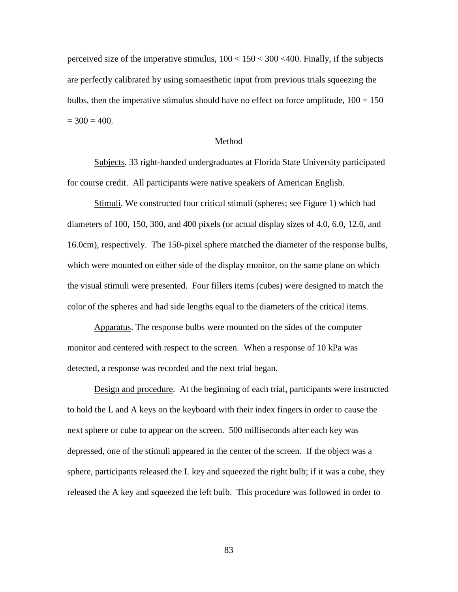perceived size of the imperative stimulus,  $100 < 150 < 300 < 400$ . Finally, if the subjects are perfectly calibrated by using somaesthetic input from previous trials squeezing the bulbs, then the imperative stimulus should have no effect on force amplitude,  $100 = 150$  $= 300 = 400.$ 

### Method

Subjects. 33 right-handed undergraduates at Florida State University participated for course credit. All participants were native speakers of American English.

Stimuli. We constructed four critical stimuli (spheres; see Figure 1) which had diameters of 100, 150, 300, and 400 pixels (or actual display sizes of 4.0, 6.0, 12.0, and 16.0cm), respectively. The 150-pixel sphere matched the diameter of the response bulbs, which were mounted on either side of the display monitor, on the same plane on which the visual stimuli were presented. Four fillers items (cubes) were designed to match the color of the spheres and had side lengths equal to the diameters of the critical items.

Apparatus. The response bulbs were mounted on the sides of the computer monitor and centered with respect to the screen. When a response of 10 kPa was detected, a response was recorded and the next trial began.

Design and procedure. At the beginning of each trial, participants were instructed to hold the L and A keys on the keyboard with their index fingers in order to cause the next sphere or cube to appear on the screen. 500 milliseconds after each key was depressed, one of the stimuli appeared in the center of the screen. If the object was a sphere, participants released the L key and squeezed the right bulb; if it was a cube, they released the A key and squeezed the left bulb. This procedure was followed in order to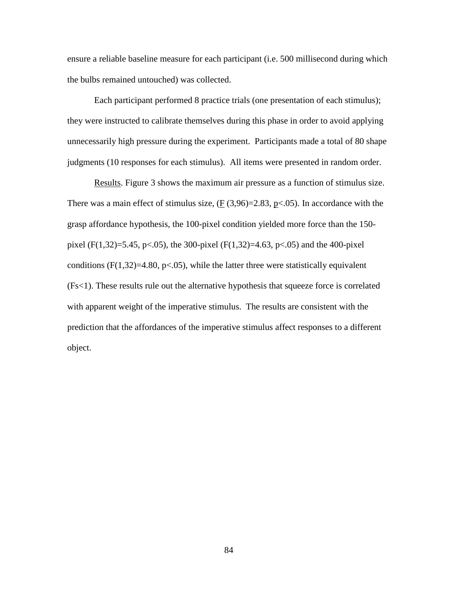ensure a reliable baseline measure for each participant (i.e. 500 millisecond during which the bulbs remained untouched) was collected.

Each participant performed 8 practice trials (one presentation of each stimulus); they were instructed to calibrate themselves during this phase in order to avoid applying unnecessarily high pressure during the experiment. Participants made a total of 80 shape judgments (10 responses for each stimulus). All items were presented in random order.

Results. Figure 3 shows the maximum air pressure as a function of stimulus size. There was a main effect of stimulus size,  $(E(3, 96)=2.83, p<0.05)$ . In accordance with the grasp affordance hypothesis, the 100-pixel condition yielded more force than the 150 pixel (F(1,32)=5.45, p<.05), the 300-pixel (F(1,32)=4.63, p<.05) and the 400-pixel conditions ( $F(1,32)=4.80$ ,  $p<.05$ ), while the latter three were statistically equivalent (Fs<1). These results rule out the alternative hypothesis that squeeze force is correlated with apparent weight of the imperative stimulus. The results are consistent with the prediction that the affordances of the imperative stimulus affect responses to a different object.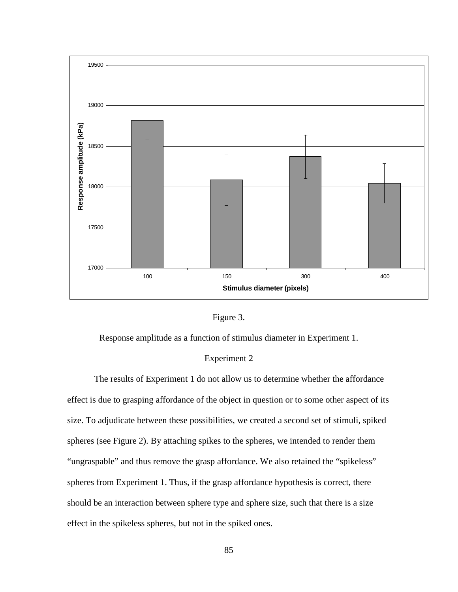



Response amplitude as a function of stimulus diameter in Experiment 1.

# Experiment 2

The results of Experiment 1 do not allow us to determine whether the affordance effect is due to grasping affordance of the object in question or to some other aspect of its size. To adjudicate between these possibilities, we created a second set of stimuli, spiked spheres (see Figure 2). By attaching spikes to the spheres, we intended to render them "ungraspable" and thus remove the grasp affordance. We also retained the "spikeless" spheres from Experiment 1. Thus, if the grasp affordance hypothesis is correct, there should be an interaction between sphere type and sphere size, such that there is a size effect in the spikeless spheres, but not in the spiked ones.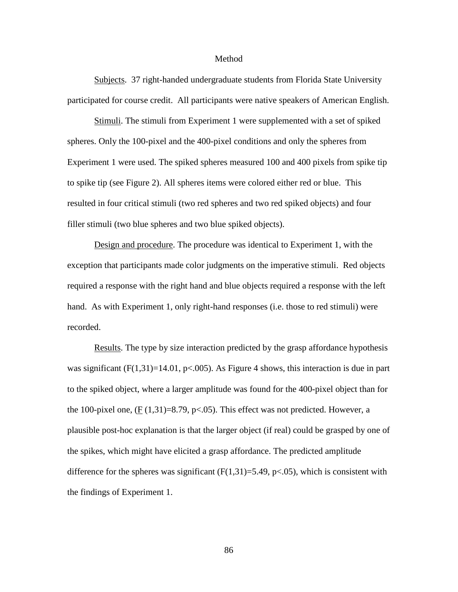#### Method

Subjects. 37 right-handed undergraduate students from Florida State University participated for course credit. All participants were native speakers of American English.

Stimuli. The stimuli from Experiment 1 were supplemented with a set of spiked spheres. Only the 100-pixel and the 400-pixel conditions and only the spheres from Experiment 1 were used. The spiked spheres measured 100 and 400 pixels from spike tip to spike tip (see Figure 2). All spheres items were colored either red or blue. This resulted in four critical stimuli (two red spheres and two red spiked objects) and four filler stimuli (two blue spheres and two blue spiked objects).

Design and procedure. The procedure was identical to Experiment 1, with the exception that participants made color judgments on the imperative stimuli. Red objects required a response with the right hand and blue objects required a response with the left hand. As with Experiment 1, only right-hand responses (i.e. those to red stimuli) were recorded.

Results. The type by size interaction predicted by the grasp affordance hypothesis was significant  $(F(1,31)=14.01, p<0.005)$ . As Figure 4 shows, this interaction is due in part to the spiked object, where a larger amplitude was found for the 400-pixel object than for the 100-pixel one,  $(E(1,31)=8.79, p<0.05)$ . This effect was not predicted. However, a plausible post-hoc explanation is that the larger object (if real) could be grasped by one of the spikes, which might have elicited a grasp affordance. The predicted amplitude difference for the spheres was significant  $(F(1,31)=5.49, p<0.05)$ , which is consistent with the findings of Experiment 1.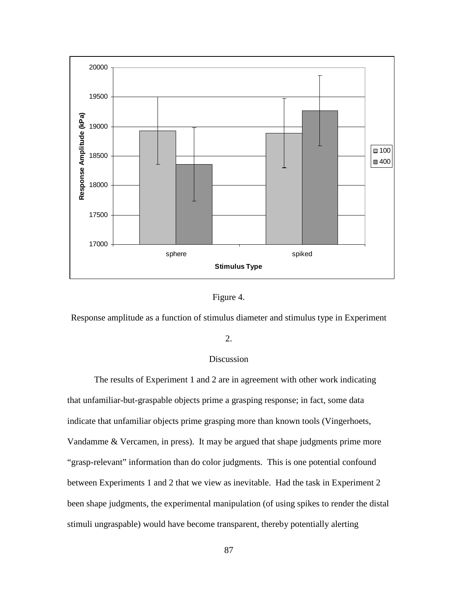



Response amplitude as a function of stimulus diameter and stimulus type in Experiment

2.

# **Discussion**

The results of Experiment 1 and 2 are in agreement with other work indicating that unfamiliar-but-graspable objects prime a grasping response; in fact, some data indicate that unfamiliar objects prime grasping more than known tools (Vingerhoets, Vandamme & Vercamen, in press). It may be argued that shape judgments prime more "grasp-relevant" information than do color judgments. This is one potential confound between Experiments 1 and 2 that we view as inevitable. Had the task in Experiment 2 been shape judgments, the experimental manipulation (of using spikes to render the distal stimuli ungraspable) would have become transparent, thereby potentially alerting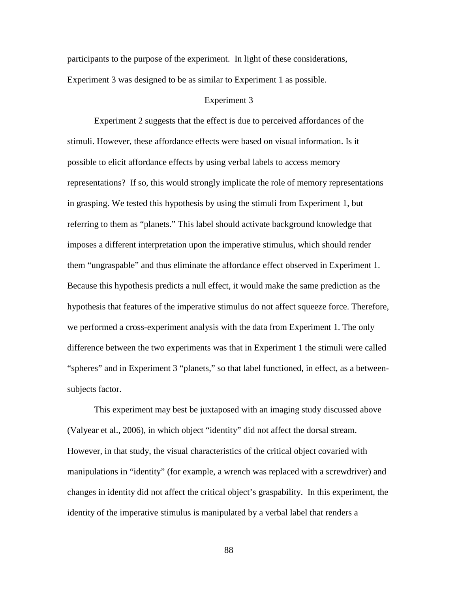participants to the purpose of the experiment. In light of these considerations, Experiment 3 was designed to be as similar to Experiment 1 as possible.

#### Experiment 3

Experiment 2 suggests that the effect is due to perceived affordances of the stimuli. However, these affordance effects were based on visual information. Is it possible to elicit affordance effects by using verbal labels to access memory representations? If so, this would strongly implicate the role of memory representations in grasping. We tested this hypothesis by using the stimuli from Experiment 1, but referring to them as "planets." This label should activate background knowledge that imposes a different interpretation upon the imperative stimulus, which should render them "ungraspable" and thus eliminate the affordance effect observed in Experiment 1. Because this hypothesis predicts a null effect, it would make the same prediction as the hypothesis that features of the imperative stimulus do not affect squeeze force. Therefore, we performed a cross-experiment analysis with the data from Experiment 1. The only difference between the two experiments was that in Experiment 1 the stimuli were called "spheres" and in Experiment 3 "planets," so that label functioned, in effect, as a betweensubjects factor.

This experiment may best be juxtaposed with an imaging study discussed above (Valyear et al., 2006), in which object "identity" did not affect the dorsal stream. However, in that study, the visual characteristics of the critical object covaried with manipulations in "identity" (for example, a wrench was replaced with a screwdriver) and changes in identity did not affect the critical object's graspability. In this experiment, the identity of the imperative stimulus is manipulated by a verbal label that renders a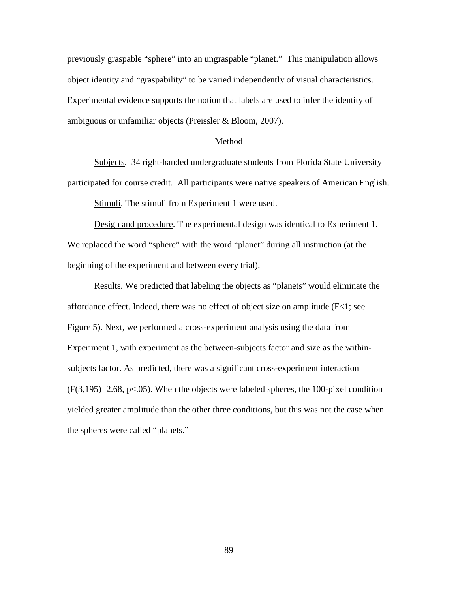previously graspable "sphere" into an ungraspable "planet." This manipulation allows object identity and "graspability" to be varied independently of visual characteristics. Experimental evidence supports the notion that labels are used to infer the identity of ambiguous or unfamiliar objects (Preissler & Bloom, 2007).

## Method

Subjects. 34 right-handed undergraduate students from Florida State University participated for course credit. All participants were native speakers of American English.

Stimuli. The stimuli from Experiment 1 were used.

Design and procedure. The experimental design was identical to Experiment 1. We replaced the word "sphere" with the word "planet" during all instruction (at the beginning of the experiment and between every trial).

Results. We predicted that labeling the objects as "planets" would eliminate the affordance effect. Indeed, there was no effect of object size on amplitude (F<1; see Figure 5). Next, we performed a cross-experiment analysis using the data from Experiment 1, with experiment as the between-subjects factor and size as the withinsubjects factor. As predicted, there was a significant cross-experiment interaction  $(F(3,195)=2.68, p<0.05)$ . When the objects were labeled spheres, the 100-pixel condition yielded greater amplitude than the other three conditions, but this was not the case when the spheres were called "planets."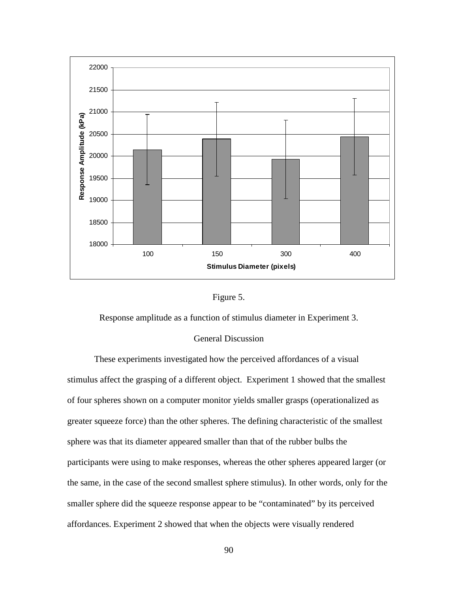



Response amplitude as a function of stimulus diameter in Experiment 3.

## General Discussion

These experiments investigated how the perceived affordances of a visual stimulus affect the grasping of a different object. Experiment 1 showed that the smallest of four spheres shown on a computer monitor yields smaller grasps (operationalized as greater squeeze force) than the other spheres. The defining characteristic of the smallest sphere was that its diameter appeared smaller than that of the rubber bulbs the participants were using to make responses, whereas the other spheres appeared larger (or the same, in the case of the second smallest sphere stimulus). In other words, only for the smaller sphere did the squeeze response appear to be "contaminated" by its perceived affordances. Experiment 2 showed that when the objects were visually rendered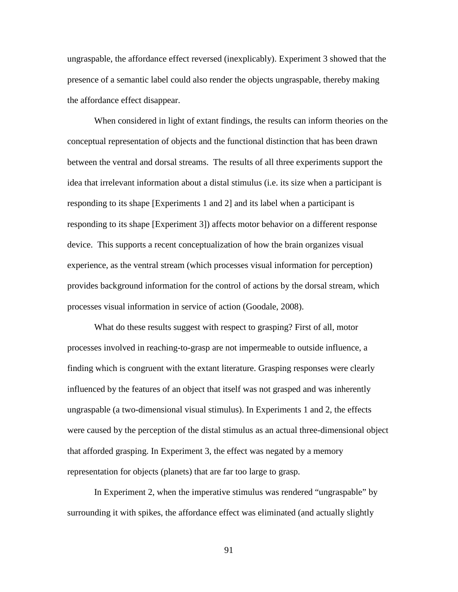ungraspable, the affordance effect reversed (inexplicably). Experiment 3 showed that the presence of a semantic label could also render the objects ungraspable, thereby making the affordance effect disappear.

When considered in light of extant findings, the results can inform theories on the conceptual representation of objects and the functional distinction that has been drawn between the ventral and dorsal streams. The results of all three experiments support the idea that irrelevant information about a distal stimulus (i.e. its size when a participant is responding to its shape [Experiments 1 and 2] and its label when a participant is responding to its shape [Experiment 3]) affects motor behavior on a different response device. This supports a recent conceptualization of how the brain organizes visual experience, as the ventral stream (which processes visual information for perception) provides background information for the control of actions by the dorsal stream, which processes visual information in service of action (Goodale, 2008).

What do these results suggest with respect to grasping? First of all, motor processes involved in reaching-to-grasp are not impermeable to outside influence, a finding which is congruent with the extant literature. Grasping responses were clearly influenced by the features of an object that itself was not grasped and was inherently ungraspable (a two-dimensional visual stimulus). In Experiments 1 and 2, the effects were caused by the perception of the distal stimulus as an actual three-dimensional object that afforded grasping. In Experiment 3, the effect was negated by a memory representation for objects (planets) that are far too large to grasp.

In Experiment 2, when the imperative stimulus was rendered "ungraspable" by surrounding it with spikes, the affordance effect was eliminated (and actually slightly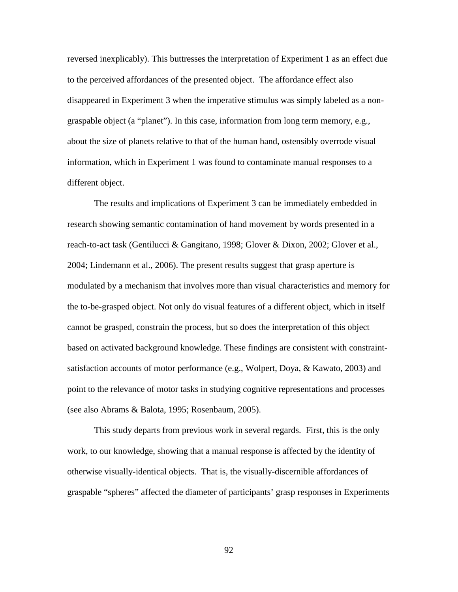reversed inexplicably). This buttresses the interpretation of Experiment 1 as an effect due to the perceived affordances of the presented object. The affordance effect also disappeared in Experiment 3 when the imperative stimulus was simply labeled as a nongraspable object (a "planet"). In this case, information from long term memory, e.g., about the size of planets relative to that of the human hand, ostensibly overrode visual information, which in Experiment 1 was found to contaminate manual responses to a different object.

The results and implications of Experiment 3 can be immediately embedded in research showing semantic contamination of hand movement by words presented in a reach-to-act task (Gentilucci & Gangitano, 1998; Glover & Dixon, 2002; Glover et al., 2004; Lindemann et al., 2006). The present results suggest that grasp aperture is modulated by a mechanism that involves more than visual characteristics and memory for the to-be-grasped object. Not only do visual features of a different object, which in itself cannot be grasped, constrain the process, but so does the interpretation of this object based on activated background knowledge. These findings are consistent with constraintsatisfaction accounts of motor performance (e.g., Wolpert, Doya, & Kawato, 2003) and point to the relevance of motor tasks in studying cognitive representations and processes (see also Abrams & Balota, 1995; Rosenbaum, 2005).

This study departs from previous work in several regards. First, this is the only work, to our knowledge, showing that a manual response is affected by the identity of otherwise visually-identical objects. That is, the visually-discernible affordances of graspable "spheres" affected the diameter of participants' grasp responses in Experiments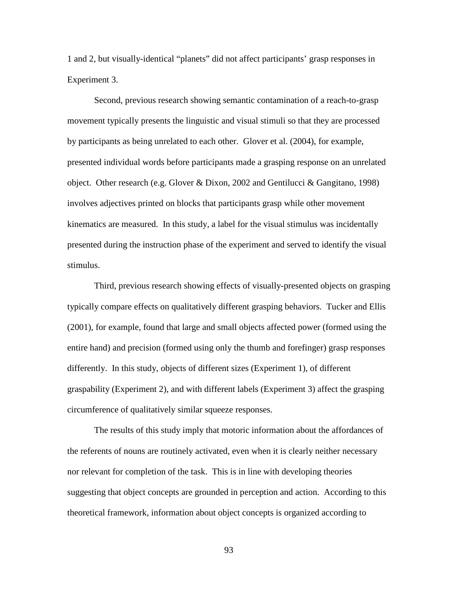1 and 2, but visually-identical "planets" did not affect participants' grasp responses in Experiment 3.

Second, previous research showing semantic contamination of a reach-to-grasp movement typically presents the linguistic and visual stimuli so that they are processed by participants as being unrelated to each other. Glover et al. (2004), for example, presented individual words before participants made a grasping response on an unrelated object. Other research (e.g. Glover & Dixon, 2002 and Gentilucci & Gangitano, 1998) involves adjectives printed on blocks that participants grasp while other movement kinematics are measured. In this study, a label for the visual stimulus was incidentally presented during the instruction phase of the experiment and served to identify the visual stimulus.

Third, previous research showing effects of visually-presented objects on grasping typically compare effects on qualitatively different grasping behaviors. Tucker and Ellis (2001), for example, found that large and small objects affected power (formed using the entire hand) and precision (formed using only the thumb and forefinger) grasp responses differently. In this study, objects of different sizes (Experiment 1), of different graspability (Experiment 2), and with different labels (Experiment 3) affect the grasping circumference of qualitatively similar squeeze responses.

The results of this study imply that motoric information about the affordances of the referents of nouns are routinely activated, even when it is clearly neither necessary nor relevant for completion of the task. This is in line with developing theories suggesting that object concepts are grounded in perception and action. According to this theoretical framework, information about object concepts is organized according to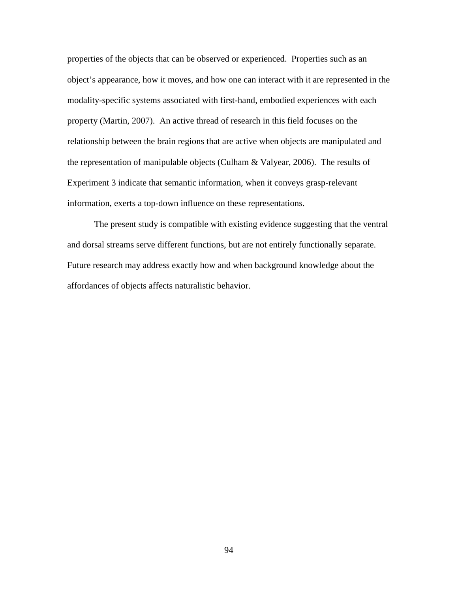properties of the objects that can be observed or experienced. Properties such as an object's appearance, how it moves, and how one can interact with it are represented in the modality-specific systems associated with first-hand, embodied experiences with each property (Martin, 2007). An active thread of research in this field focuses on the relationship between the brain regions that are active when objects are manipulated and the representation of manipulable objects (Culham & Valyear, 2006). The results of Experiment 3 indicate that semantic information, when it conveys grasp-relevant information, exerts a top-down influence on these representations.

The present study is compatible with existing evidence suggesting that the ventral and dorsal streams serve different functions, but are not entirely functionally separate. Future research may address exactly how and when background knowledge about the affordances of objects affects naturalistic behavior.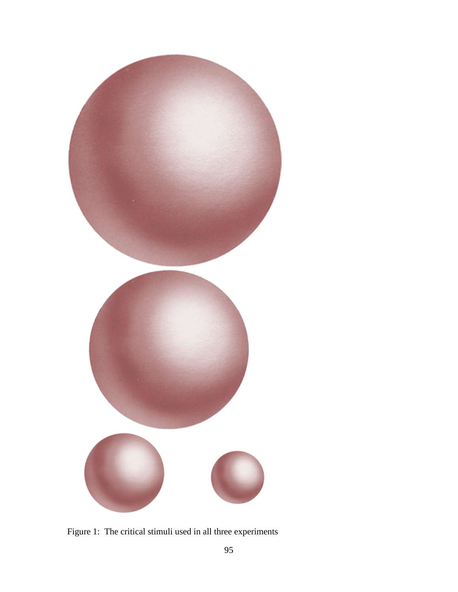

Figure 1: The critical stimuli used in all three experiments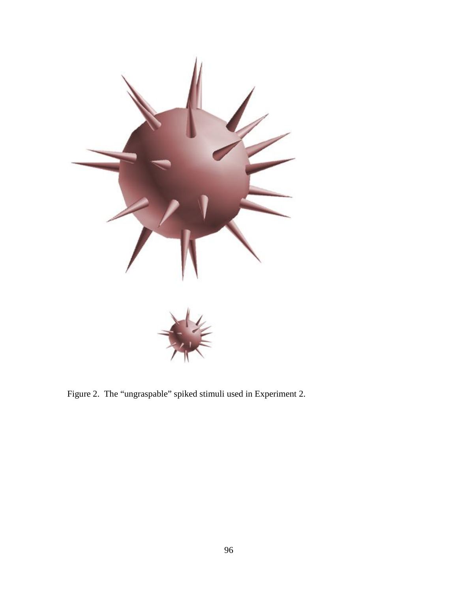

Figure 2. The "ungraspable" spiked stimuli used in Experiment 2.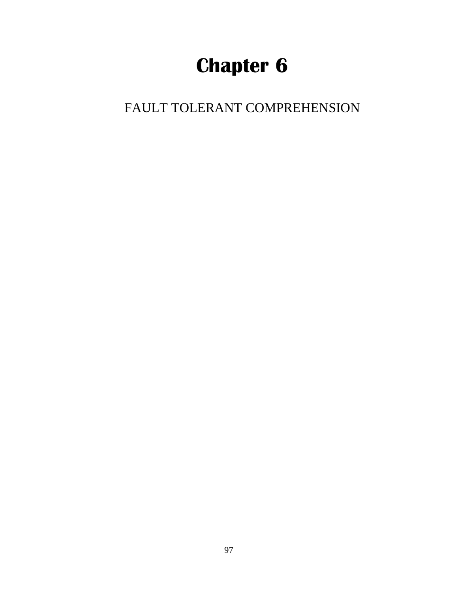# **Chapter 6**

# FAULT TOLERANT COMPREHENSION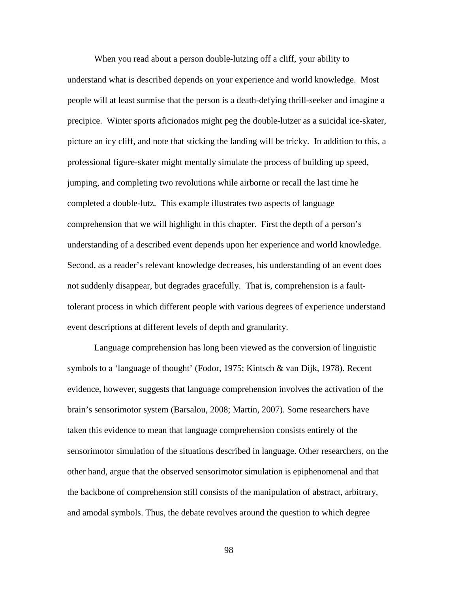When you read about a person double-lutzing off a cliff, your ability to understand what is described depends on your experience and world knowledge. Most people will at least surmise that the person is a death-defying thrill-seeker and imagine a precipice. Winter sports aficionados might peg the double-lutzer as a suicidal ice-skater, picture an icy cliff, and note that sticking the landing will be tricky. In addition to this, a professional figure-skater might mentally simulate the process of building up speed, jumping, and completing two revolutions while airborne or recall the last time he completed a double-lutz. This example illustrates two aspects of language comprehension that we will highlight in this chapter. First the depth of a person's understanding of a described event depends upon her experience and world knowledge. Second, as a reader's relevant knowledge decreases, his understanding of an event does not suddenly disappear, but degrades gracefully. That is, comprehension is a faulttolerant process in which different people with various degrees of experience understand event descriptions at different levels of depth and granularity.

Language comprehension has long been viewed as the conversion of linguistic symbols to a 'language of thought' (Fodor, 1975; Kintsch & van Dijk, 1978). Recent evidence, however, suggests that language comprehension involves the activation of the brain's sensorimotor system (Barsalou, 2008; Martin, 2007). Some researchers have taken this evidence to mean that language comprehension consists entirely of the sensorimotor simulation of the situations described in language. Other researchers, on the other hand, argue that the observed sensorimotor simulation is epiphenomenal and that the backbone of comprehension still consists of the manipulation of abstract, arbitrary, and amodal symbols. Thus, the debate revolves around the question to which degree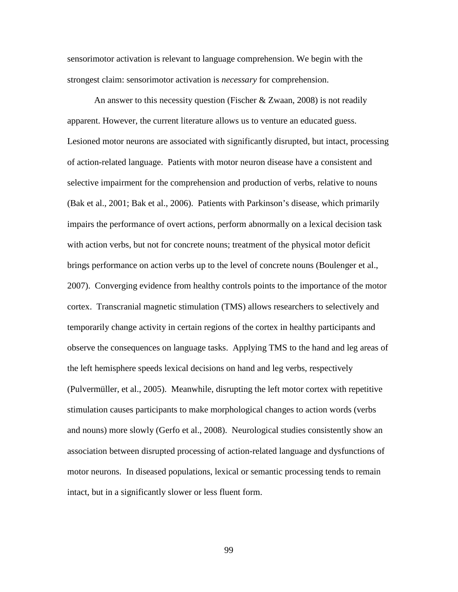sensorimotor activation is relevant to language comprehension. We begin with the strongest claim: sensorimotor activation is *necessary* for comprehension.

An answer to this necessity question (Fischer  $&$  Zwaan, 2008) is not readily apparent. However, the current literature allows us to venture an educated guess. Lesioned motor neurons are associated with significantly disrupted, but intact, processing of action-related language. Patients with motor neuron disease have a consistent and selective impairment for the comprehension and production of verbs, relative to nouns (Bak et al., 2001; Bak et al., 2006). Patients with Parkinson's disease, which primarily impairs the performance of overt actions, perform abnormally on a lexical decision task with action verbs, but not for concrete nouns; treatment of the physical motor deficit brings performance on action verbs up to the level of concrete nouns (Boulenger et al., 2007). Converging evidence from healthy controls points to the importance of the motor cortex. Transcranial magnetic stimulation (TMS) allows researchers to selectively and temporarily change activity in certain regions of the cortex in healthy participants and observe the consequences on language tasks. Applying TMS to the hand and leg areas of the left hemisphere speeds lexical decisions on hand and leg verbs, respectively (Pulvermüller, et al., 2005). Meanwhile, disrupting the left motor cortex with repetitive stimulation causes participants to make morphological changes to action words (verbs and nouns) more slowly (Gerfo et al., 2008). Neurological studies consistently show an association between disrupted processing of action-related language and dysfunctions of motor neurons. In diseased populations, lexical or semantic processing tends to remain intact, but in a significantly slower or less fluent form.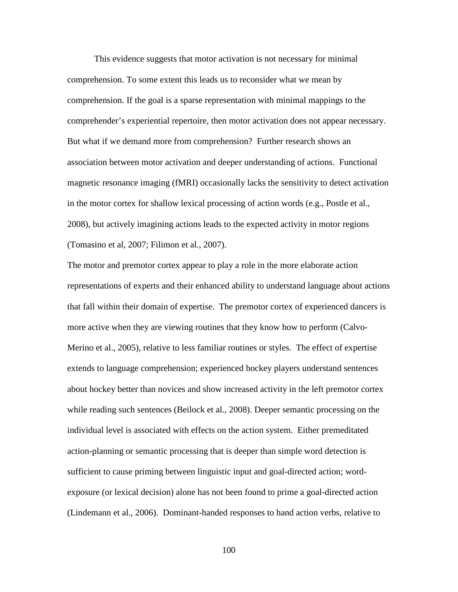This evidence suggests that motor activation is not necessary for minimal comprehension. To some extent this leads us to reconsider what we mean by comprehension. If the goal is a sparse representation with minimal mappings to the comprehender's experiential repertoire, then motor activation does not appear necessary. But what if we demand more from comprehension? Further research shows an association between motor activation and deeper understanding of actions. Functional magnetic resonance imaging (fMRI) occasionally lacks the sensitivity to detect activation in the motor cortex for shallow lexical processing of action words (e.g., Postle et al., 2008), but actively imagining actions leads to the expected activity in motor regions (Tomasino et al, 2007; Filimon et al., 2007).

The motor and premotor cortex appear to play a role in the more elaborate action representations of experts and their enhanced ability to understand language about actions that fall within their domain of expertise. The premotor cortex of experienced dancers is more active when they are viewing routines that they know how to perform (Calvo-Merino et al., 2005), relative to less familiar routines or styles. The effect of expertise extends to language comprehension; experienced hockey players understand sentences about hockey better than novices and show increased activity in the left premotor cortex while reading such sentences (Beilock et al., 2008). Deeper semantic processing on the individual level is associated with effects on the action system. Either premeditated action-planning or semantic processing that is deeper than simple word detection is sufficient to cause priming between linguistic input and goal-directed action; wordexposure (or lexical decision) alone has not been found to prime a goal-directed action (Lindemann et al., 2006). Dominant-handed responses to hand action verbs, relative to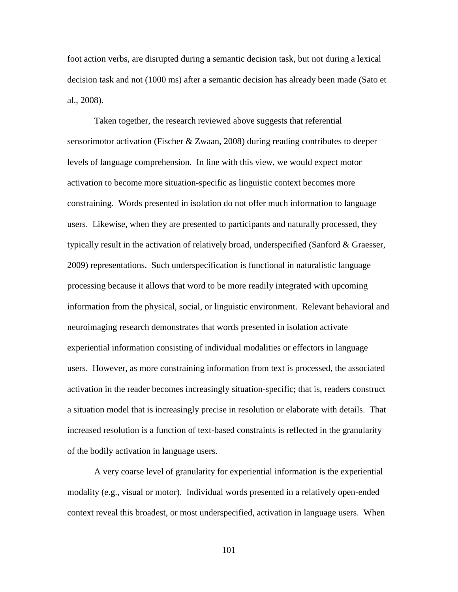foot action verbs, are disrupted during a semantic decision task, but not during a lexical decision task and not (1000 ms) after a semantic decision has already been made (Sato et al., 2008).

Taken together, the research reviewed above suggests that referential sensorimotor activation (Fischer & Zwaan, 2008) during reading contributes to deeper levels of language comprehension. In line with this view, we would expect motor activation to become more situation-specific as linguistic context becomes more constraining. Words presented in isolation do not offer much information to language users. Likewise, when they are presented to participants and naturally processed, they typically result in the activation of relatively broad, underspecified (Sanford & Graesser, 2009) representations. Such underspecification is functional in naturalistic language processing because it allows that word to be more readily integrated with upcoming information from the physical, social, or linguistic environment. Relevant behavioral and neuroimaging research demonstrates that words presented in isolation activate experiential information consisting of individual modalities or effectors in language users. However, as more constraining information from text is processed, the associated activation in the reader becomes increasingly situation-specific; that is, readers construct a situation model that is increasingly precise in resolution or elaborate with details. That increased resolution is a function of text-based constraints is reflected in the granularity of the bodily activation in language users.

A very coarse level of granularity for experiential information is the experiential modality (e.g., visual or motor). Individual words presented in a relatively open-ended context reveal this broadest, or most underspecified, activation in language users. When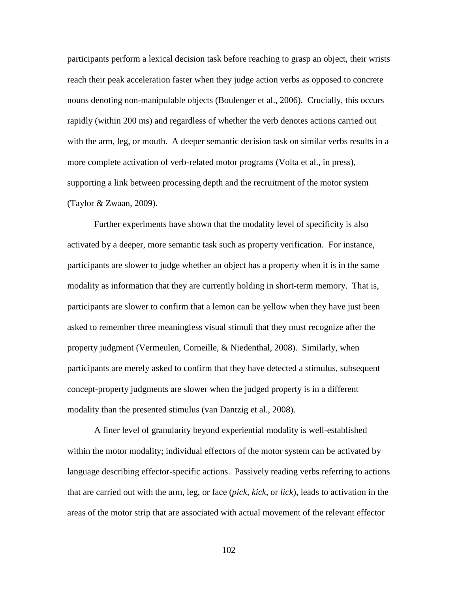participants perform a lexical decision task before reaching to grasp an object, their wrists reach their peak acceleration faster when they judge action verbs as opposed to concrete nouns denoting non-manipulable objects (Boulenger et al., 2006). Crucially, this occurs rapidly (within 200 ms) and regardless of whether the verb denotes actions carried out with the arm, leg, or mouth. A deeper semantic decision task on similar verbs results in a more complete activation of verb-related motor programs (Volta et al., in press), supporting a link between processing depth and the recruitment of the motor system (Taylor & Zwaan, 2009).

Further experiments have shown that the modality level of specificity is also activated by a deeper, more semantic task such as property verification. For instance, participants are slower to judge whether an object has a property when it is in the same modality as information that they are currently holding in short-term memory. That is, participants are slower to confirm that a lemon can be yellow when they have just been asked to remember three meaningless visual stimuli that they must recognize after the property judgment (Vermeulen, Corneille, & Niedenthal, 2008). Similarly, when participants are merely asked to confirm that they have detected a stimulus, subsequent concept-property judgments are slower when the judged property is in a different modality than the presented stimulus (van Dantzig et al., 2008).

A finer level of granularity beyond experiential modality is well-established within the motor modality; individual effectors of the motor system can be activated by language describing effector-specific actions. Passively reading verbs referring to actions that are carried out with the arm, leg, or face (*pick*, *kick*, or *lick*), leads to activation in the areas of the motor strip that are associated with actual movement of the relevant effector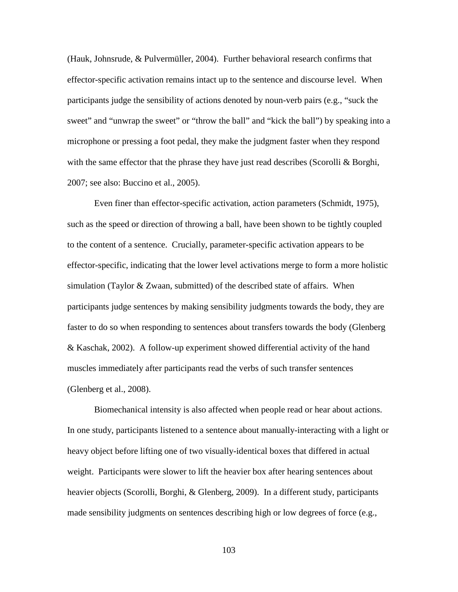(Hauk, Johnsrude, & Pulvermüller, 2004). Further behavioral research confirms that effector-specific activation remains intact up to the sentence and discourse level. When participants judge the sensibility of actions denoted by noun-verb pairs (e.g., "suck the sweet" and "unwrap the sweet" or "throw the ball" and "kick the ball") by speaking into a microphone or pressing a foot pedal, they make the judgment faster when they respond with the same effector that the phrase they have just read describes (Scorolli & Borghi, 2007; see also: Buccino et al., 2005).

Even finer than effector-specific activation, action parameters (Schmidt, 1975), such as the speed or direction of throwing a ball, have been shown to be tightly coupled to the content of a sentence. Crucially, parameter-specific activation appears to be effector-specific, indicating that the lower level activations merge to form a more holistic simulation (Taylor & Zwaan, submitted) of the described state of affairs. When participants judge sentences by making sensibility judgments towards the body, they are faster to do so when responding to sentences about transfers towards the body (Glenberg & Kaschak, 2002). A follow-up experiment showed differential activity of the hand muscles immediately after participants read the verbs of such transfer sentences (Glenberg et al., 2008).

Biomechanical intensity is also affected when people read or hear about actions. In one study, participants listened to a sentence about manually-interacting with a light or heavy object before lifting one of two visually-identical boxes that differed in actual weight. Participants were slower to lift the heavier box after hearing sentences about heavier objects (Scorolli, Borghi, & Glenberg, 2009). In a different study, participants made sensibility judgments on sentences describing high or low degrees of force (e.g.,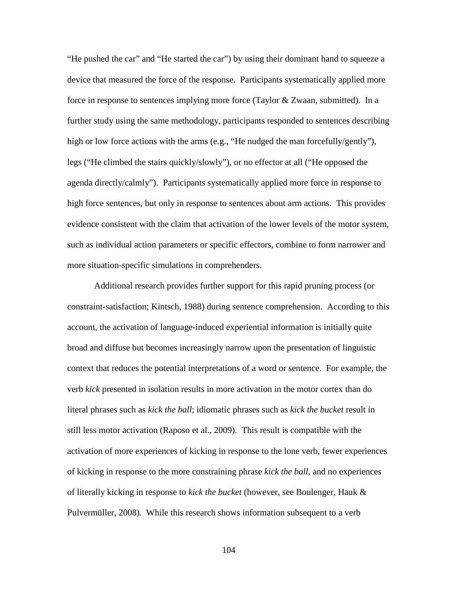"He pushed the car" and "He started the car") by using their dominant hand to squeeze a device that measured the force of the response. Participants systematically applied more force in response to sentences implying more force (Taylor & Zwaan, submitted). In a further study using the same methodology, participants responded to sentences describing high or low force actions with the arms (e.g., "He nudged the man forcefully/gently"), legs ("He climbed the stairs quickly/slowly"), or no effector at all ("He opposed the agenda directly/calmly"). Participants systematically applied more force in response to high force sentences, but only in response to sentences about arm actions. This provides evidence consistent with the claim that activation of the lower levels of the motor system, such as individual action parameters or specific effectors, combine to form narrower and more situation-specific simulations in comprehenders.

Additional research provides further support for this rapid pruning process (or constraint-satisfaction; Kintsch, 1988) during sentence comprehension. According to this account, the activation of language-induced experiential information is initially quite broad and diffuse but becomes increasingly narrow upon the presentation of linguistic context that reduces the potential interpretations of a word or sentence. For example, the verb *kick* presented in isolation results in more activation in the motor cortex than do literal phrases such as *kick the ball*; idiomatic phrases such as *kick the bucket* result in still less motor activation (Raposo et al., 2009). This result is compatible with the activation of more experiences of kicking in response to the lone verb, fewer experiences of kicking in response to the more constraining phrase *kick the ball*, and no experiences of literally kicking in response to *kick the bucket* (however, see Boulenger, Hauk & Pulvermüller, 2008)*.* While this research shows information subsequent to a verb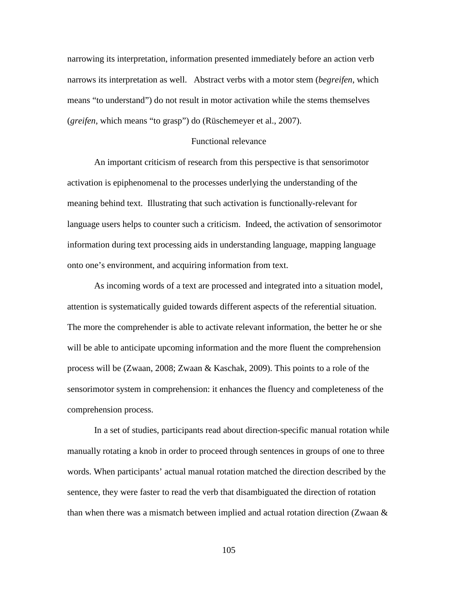narrowing its interpretation, information presented immediately before an action verb narrows its interpretation as well. Abstract verbs with a motor stem (*begreifen*, which means "to understand") do not result in motor activation while the stems themselves (*greifen*, which means "to grasp") do (Rüschemeyer et al., 2007).

### Functional relevance

An important criticism of research from this perspective is that sensorimotor activation is epiphenomenal to the processes underlying the understanding of the meaning behind text. Illustrating that such activation is functionally-relevant for language users helps to counter such a criticism. Indeed, the activation of sensorimotor information during text processing aids in understanding language, mapping language onto one's environment, and acquiring information from text.

As incoming words of a text are processed and integrated into a situation model, attention is systematically guided towards different aspects of the referential situation. The more the comprehender is able to activate relevant information, the better he or she will be able to anticipate upcoming information and the more fluent the comprehension process will be (Zwaan, 2008; Zwaan & Kaschak, 2009). This points to a role of the sensorimotor system in comprehension: it enhances the fluency and completeness of the comprehension process.

In a set of studies, participants read about direction-specific manual rotation while manually rotating a knob in order to proceed through sentences in groups of one to three words. When participants' actual manual rotation matched the direction described by the sentence, they were faster to read the verb that disambiguated the direction of rotation than when there was a mismatch between implied and actual rotation direction (Zwaan &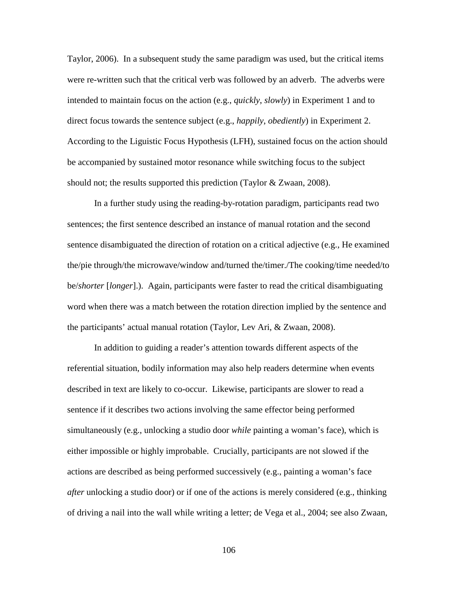Taylor, 2006). In a subsequent study the same paradigm was used, but the critical items were re-written such that the critical verb was followed by an adverb. The adverbs were intended to maintain focus on the action (e.g., *quickly*, *slowly*) in Experiment 1 and to direct focus towards the sentence subject (e.g., *happily*, *obediently*) in Experiment 2. According to the Liguistic Focus Hypothesis (LFH), sustained focus on the action should be accompanied by sustained motor resonance while switching focus to the subject should not; the results supported this prediction (Taylor & Zwaan, 2008).

In a further study using the reading-by-rotation paradigm, participants read two sentences; the first sentence described an instance of manual rotation and the second sentence disambiguated the direction of rotation on a critical adjective (e.g., He examined the/pie through/the microwave/window and/turned the/timer./The cooking/time needed/to be/*shorter* [*longer*].). Again, participants were faster to read the critical disambiguating word when there was a match between the rotation direction implied by the sentence and the participants' actual manual rotation (Taylor, Lev Ari, & Zwaan, 2008).

In addition to guiding a reader's attention towards different aspects of the referential situation, bodily information may also help readers determine when events described in text are likely to co-occur. Likewise, participants are slower to read a sentence if it describes two actions involving the same effector being performed simultaneously (e.g., unlocking a studio door *while* painting a woman's face), which is either impossible or highly improbable. Crucially, participants are not slowed if the actions are described as being performed successively (e.g., painting a woman's face *after* unlocking a studio door) or if one of the actions is merely considered (e.g., thinking of driving a nail into the wall while writing a letter; de Vega et al., 2004; see also Zwaan,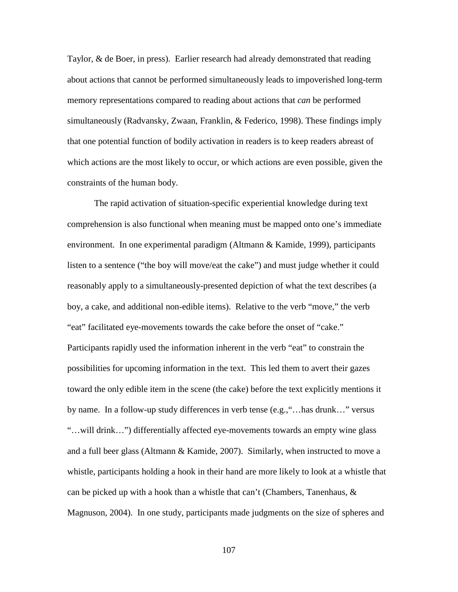Taylor, & de Boer, in press). Earlier research had already demonstrated that reading about actions that cannot be performed simultaneously leads to impoverished long-term memory representations compared to reading about actions that *can* be performed simultaneously (Radvansky, Zwaan, Franklin, & Federico, 1998). These findings imply that one potential function of bodily activation in readers is to keep readers abreast of which actions are the most likely to occur, or which actions are even possible, given the constraints of the human body.

The rapid activation of situation-specific experiential knowledge during text comprehension is also functional when meaning must be mapped onto one's immediate environment. In one experimental paradigm (Altmann & Kamide, 1999), participants listen to a sentence ("the boy will move/eat the cake") and must judge whether it could reasonably apply to a simultaneously-presented depiction of what the text describes (a boy, a cake, and additional non-edible items). Relative to the verb "move," the verb "eat" facilitated eye-movements towards the cake before the onset of "cake." Participants rapidly used the information inherent in the verb "eat" to constrain the possibilities for upcoming information in the text. This led them to avert their gazes toward the only edible item in the scene (the cake) before the text explicitly mentions it by name. In a follow-up study differences in verb tense (e.g.,"…has drunk…" versus "…will drink…") differentially affected eye-movements towards an empty wine glass and a full beer glass (Altmann & Kamide, 2007). Similarly, when instructed to move a whistle, participants holding a hook in their hand are more likely to look at a whistle that can be picked up with a hook than a whistle that can't (Chambers, Tanenhaus,  $\&$ Magnuson, 2004). In one study, participants made judgments on the size of spheres and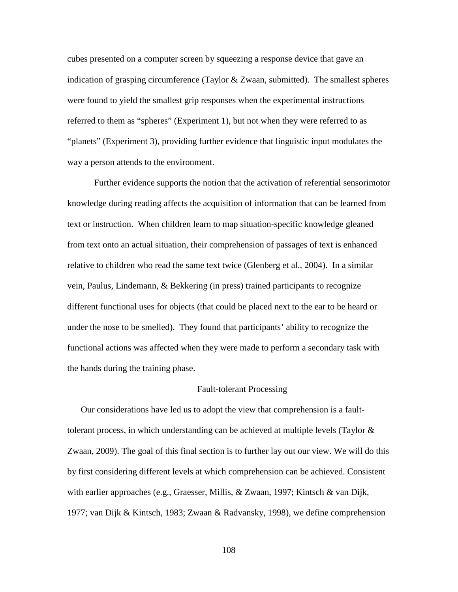cubes presented on a computer screen by squeezing a response device that gave an indication of grasping circumference (Taylor & Zwaan, submitted). The smallest spheres were found to yield the smallest grip responses when the experimental instructions referred to them as "spheres" (Experiment 1), but not when they were referred to as "planets" (Experiment 3), providing further evidence that linguistic input modulates the way a person attends to the environment.

Further evidence supports the notion that the activation of referential sensorimotor knowledge during reading affects the acquisition of information that can be learned from text or instruction. When children learn to map situation-specific knowledge gleaned from text onto an actual situation, their comprehension of passages of text is enhanced relative to children who read the same text twice (Glenberg et al., 2004). In a similar vein, Paulus, Lindemann, & Bekkering (in press) trained participants to recognize different functional uses for objects (that could be placed next to the ear to be heard or under the nose to be smelled). They found that participants' ability to recognize the functional actions was affected when they were made to perform a secondary task with the hands during the training phase.

#### Fault-tolerant Processing

Our considerations have led us to adopt the view that comprehension is a faulttolerant process, in which understanding can be achieved at multiple levels (Taylor & Zwaan, 2009). The goal of this final section is to further lay out our view. We will do this by first considering different levels at which comprehension can be achieved. Consistent with earlier approaches (e.g., Graesser, Millis, & Zwaan, 1997; Kintsch & van Dijk, 1977; van Dijk & Kintsch, 1983; Zwaan & Radvansky, 1998), we define comprehension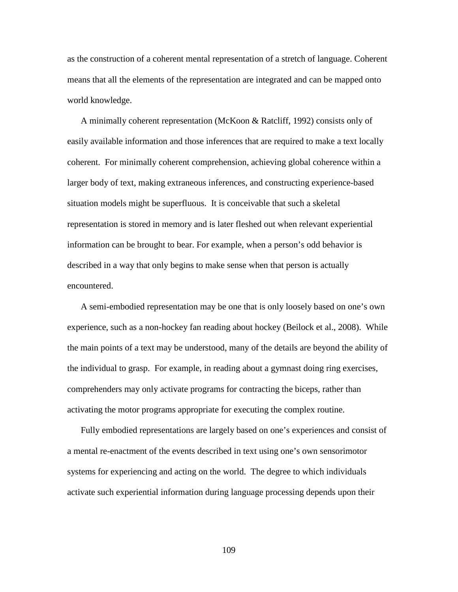as the construction of a coherent mental representation of a stretch of language. Coherent means that all the elements of the representation are integrated and can be mapped onto world knowledge.

A minimally coherent representation (McKoon & Ratcliff, 1992) consists only of easily available information and those inferences that are required to make a text locally coherent. For minimally coherent comprehension, achieving global coherence within a larger body of text, making extraneous inferences, and constructing experience-based situation models might be superfluous. It is conceivable that such a skeletal representation is stored in memory and is later fleshed out when relevant experiential information can be brought to bear. For example, when a person's odd behavior is described in a way that only begins to make sense when that person is actually encountered.

A semi-embodied representation may be one that is only loosely based on one's own experience, such as a non-hockey fan reading about hockey (Beilock et al., 2008). While the main points of a text may be understood, many of the details are beyond the ability of the individual to grasp. For example, in reading about a gymnast doing ring exercises, comprehenders may only activate programs for contracting the biceps, rather than activating the motor programs appropriate for executing the complex routine.

Fully embodied representations are largely based on one's experiences and consist of a mental re-enactment of the events described in text using one's own sensorimotor systems for experiencing and acting on the world. The degree to which individuals activate such experiential information during language processing depends upon their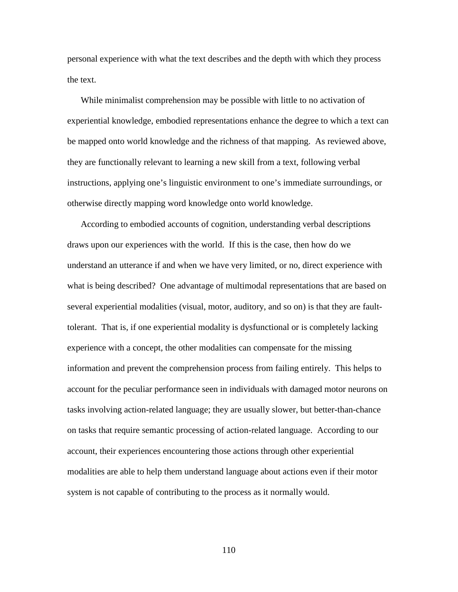personal experience with what the text describes and the depth with which they process the text.

While minimalist comprehension may be possible with little to no activation of experiential knowledge, embodied representations enhance the degree to which a text can be mapped onto world knowledge and the richness of that mapping. As reviewed above, they are functionally relevant to learning a new skill from a text, following verbal instructions, applying one's linguistic environment to one's immediate surroundings, or otherwise directly mapping word knowledge onto world knowledge.

According to embodied accounts of cognition, understanding verbal descriptions draws upon our experiences with the world. If this is the case, then how do we understand an utterance if and when we have very limited, or no, direct experience with what is being described? One advantage of multimodal representations that are based on several experiential modalities (visual, motor, auditory, and so on) is that they are faulttolerant. That is, if one experiential modality is dysfunctional or is completely lacking experience with a concept, the other modalities can compensate for the missing information and prevent the comprehension process from failing entirely. This helps to account for the peculiar performance seen in individuals with damaged motor neurons on tasks involving action-related language; they are usually slower, but better-than-chance on tasks that require semantic processing of action-related language. According to our account, their experiences encountering those actions through other experiential modalities are able to help them understand language about actions even if their motor system is not capable of contributing to the process as it normally would.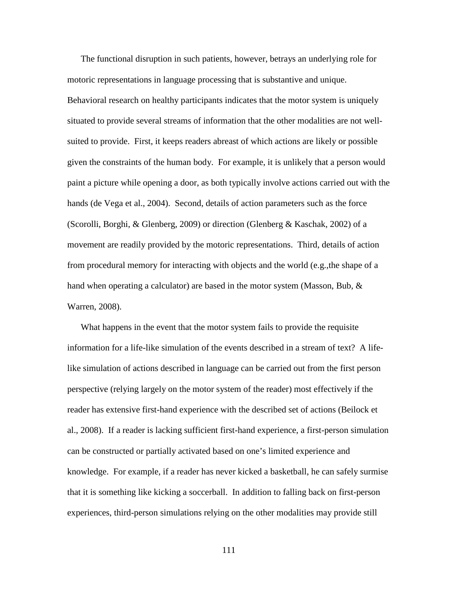The functional disruption in such patients, however, betrays an underlying role for motoric representations in language processing that is substantive and unique. Behavioral research on healthy participants indicates that the motor system is uniquely situated to provide several streams of information that the other modalities are not wellsuited to provide. First, it keeps readers abreast of which actions are likely or possible given the constraints of the human body. For example, it is unlikely that a person would paint a picture while opening a door, as both typically involve actions carried out with the hands (de Vega et al., 2004). Second, details of action parameters such as the force (Scorolli, Borghi, & Glenberg, 2009) or direction (Glenberg & Kaschak, 2002) of a movement are readily provided by the motoric representations. Third, details of action from procedural memory for interacting with objects and the world (e.g.,the shape of a hand when operating a calculator) are based in the motor system (Masson, Bub,  $\&$ Warren, 2008).

What happens in the event that the motor system fails to provide the requisite information for a life-like simulation of the events described in a stream of text? A lifelike simulation of actions described in language can be carried out from the first person perspective (relying largely on the motor system of the reader) most effectively if the reader has extensive first-hand experience with the described set of actions (Beilock et al., 2008). If a reader is lacking sufficient first-hand experience, a first-person simulation can be constructed or partially activated based on one's limited experience and knowledge. For example, if a reader has never kicked a basketball, he can safely surmise that it is something like kicking a soccerball. In addition to falling back on first-person experiences, third-person simulations relying on the other modalities may provide still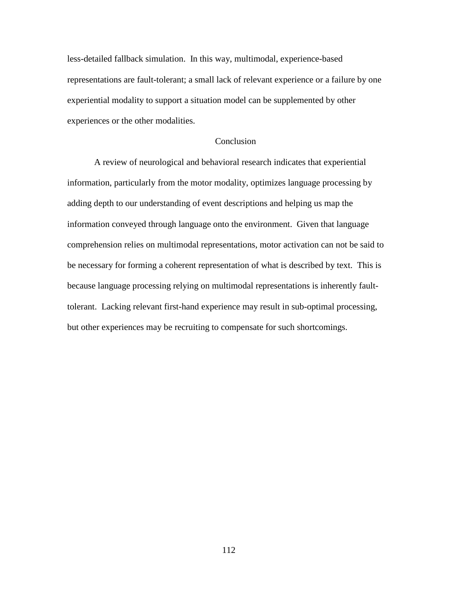less-detailed fallback simulation. In this way, multimodal, experience-based representations are fault-tolerant; a small lack of relevant experience or a failure by one experiential modality to support a situation model can be supplemented by other experiences or the other modalities.

#### **Conclusion**

A review of neurological and behavioral research indicates that experiential information, particularly from the motor modality, optimizes language processing by adding depth to our understanding of event descriptions and helping us map the information conveyed through language onto the environment. Given that language comprehension relies on multimodal representations, motor activation can not be said to be necessary for forming a coherent representation of what is described by text. This is because language processing relying on multimodal representations is inherently faulttolerant. Lacking relevant first-hand experience may result in sub-optimal processing, but other experiences may be recruiting to compensate for such shortcomings.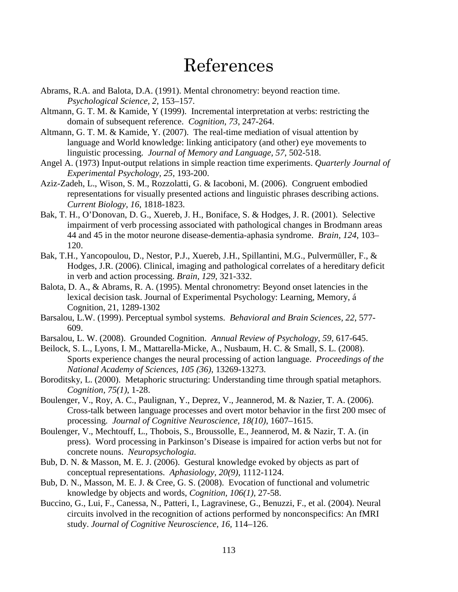## References

- Abrams, R.A. and Balota, D.A. (1991). Mental chronometry: beyond reaction time. *Psychological Science, 2*, 153–157.
- Altmann, G. T. M. & Kamide, Y (1999). Incremental interpretation at verbs: restricting the domain of subsequent reference. *Cognition, 73*, 247-264.
- Altmann, G. T. M. & Kamide, Y. (2007). The real-time mediation of visual attention by language and World knowledge: linking anticipatory (and other) eye movements to linguistic processing. *Journal of Memory and Language, 57*, 502-518.
- Angel A. (1973) Input-output relations in simple reaction time experiments. *Quarterly Journal of Experimental Psychology, 25*, 193-200.
- Aziz-Zadeh, L., Wison, S. M., Rozzolatti, G. & Iacoboni, M. (2006). Congruent embodied representations for visually presented actions and linguistic phrases describing actions. *Current Biology, 16*, 1818-1823.
- Bak, T. H., O'Donovan, D. G., Xuereb, J. H., Boniface, S. & Hodges, J. R. (2001). Selective impairment of verb processing associated with pathological changes in Brodmann areas 44 and 45 in the motor neurone disease-dementia-aphasia syndrome. *Brain, 124*, 103– 120.
- Bak, T.H., Yancopoulou, D., Nestor, P.J., Xuereb, J.H., Spillantini, M.G., Pulvermüller, F., & Hodges, J.R. (2006). Clinical, imaging and pathological correlates of a hereditary deficit in verb and action processing. *Brain, 129,* 321-332.
- Balota, D. A., & Abrams, R. A. (1995). Mental chronometry: Beyond onset latencies in the lexical decision task. Journal of Experimental Psychology: Learning, Memory, á Cognition, 21, 1289-1302
- Barsalou, L.W. (1999). Perceptual symbol systems. *Behavioral and Brain Sciences, 22*, 577- 609.
- Barsalou, L. W. (2008). Grounded Cognition. *Annual Review of Psychology, 59,* 617-645.
- Beilock, S. L., Lyons, I. M., Mattarella-Micke, A., Nusbaum, H. C. & Small, S. L. (2008). Sports experience changes the neural processing of action language. *Proceedings of the National Academy of Sciences, 105 (36)*, 13269-13273.
- Boroditsky, L. (2000). Metaphoric structuring: Understanding time through spatial metaphors. *Cognition, 75(1)*, 1-28.
- Boulenger, V., Roy, A. C., Paulignan, Y., Deprez, V., Jeannerod, M. & Nazier, T. A. (2006). Cross-talk between language processes and overt motor behavior in the first 200 msec of processing. *Journal of Cognitive Neuroscience, 18(10)*, 1607–1615.
- Boulenger, V., Mechtouff, L., Thobois, S., Broussolle, E., Jeannerod, M. & Nazir, T. A. (in press). Word processing in Parkinson's Disease is impaired for action verbs but not for concrete nouns. *Neuropsychologia*.
- Bub, D. N. & Masson, M. E. J. (2006). Gestural knowledge evoked by objects as part of conceptual representations. *Aphasiology, 20(9)*, 1112-1124.
- Bub, D. N., Masson, M. E. J. & Cree, G. S. (2008). Evocation of functional and volumetric knowledge by objects and words, *Cognition, 106(1)*, 27-58.
- Buccino, G., Lui, F., Canessa, N., Patteri, I., Lagravinese, G., Benuzzi, F., et al. (2004). Neural circuits involved in the recognition of actions performed by nonconspecifics: An fMRI study. *Journal of Cognitive Neuroscience, 16,* 114–126.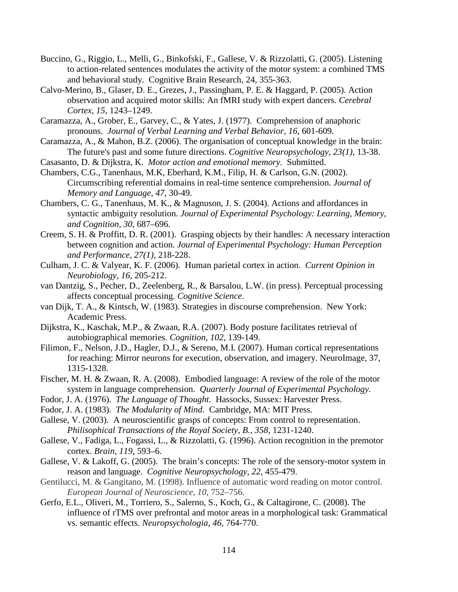- Buccino, G., Riggio, L., Melli, G., Binkofski, F., Gallese, V. & Rizzolatti, G. (2005). Listening to action-related sentences modulates the activity of the motor system: a combined TMS and behavioral study. Cognitive Brain Research, 24, 355-363.
- Calvo-Merino, B., Glaser, D. E., Grezes, J., Passingham, P. E. & Haggard, P. (2005). Action observation and acquired motor skills: An fMRI study with expert dancers. *Cerebral Cortex, 15*, 1243–1249.
- Caramazza, A., Grober, E., Garvey, C., & Yates, J. (1977). Comprehension of anaphoric pronouns. *Journal of Verbal Learning and Verbal Behavior, 16*, 601-609.
- Caramazza, A., & Mahon, B.Z. (2006). The organisation of conceptual knowledge in the brain: The future's past and some future directions. *Cognitive Neuropsychology, 23(1),* 13-38.
- Casasanto, D. & Dijkstra, K. *Motor action and emotional memory.* Submitted.
- Chambers, C.G., Tanenhaus, M.K, Eberhard, K.M., Filip, H. & Carlson, G.N. (2002). Circumscribing referential domains in real-time sentence comprehension. *Journal of Memory and Language, 47*, 30-49.
- Chambers, C. G., Tanenhaus, M. K., & Magnuson, J. S. (2004). Actions and affordances in syntactic ambiguity resolution. *Journal of Experimental Psychology: Learning, Memory, and Cognition, 30,* 687–696.
- Creem, S. H. & Proffitt, D. R. (2001). Grasping objects by their handles: A necessary interaction between cognition and action. *Journal of Experimental Psychology: Human Perception and Performance, 27(1)*, 218-228.
- Culham, J. C. & Valyear, K. F. (2006). Human parietal cortex in action. *Current Opinion in Neurobiology, 16*, 205-212.
- van Dantzig, S., Pecher, D., Zeelenberg, R., & Barsalou, L.W. (in press). Perceptual processing affects conceptual processing. *Cognitive Science*.
- van Dijk, T. A., & Kintsch, W. (1983). Strategies in discourse comprehension. New York: Academic Press.
- Dijkstra, K., Kaschak, M.P., & Zwaan, R.A. (2007). Body posture facilitates retrieval of autobiographical memories. *Cognition, 102*, 139-149.
- Filimon, F., Nelson, J.D., Hagler, D.J., & Sereno, M.I. (2007). Human cortical representations for reaching: Mirror neurons for execution, observation, and imagery. NeuroImage, 37, 1315-1328.
- Fischer, M. H. & Zwaan, R. A. (2008). Embodied language: A review of the role of the motor system in language comprehension. *Quarterly Journal of Experimental Psychology.*
- Fodor, J. A. (1976). *The Language of Thought*. Hassocks, Sussex: Harvester Press.
- Fodor, J. A. (1983). *The Modularity of Mind*. Cambridge, MA: MIT Press.
- Gallese, V. (2003). A neuroscientific grasps of concepts: From control to representation. *Philisophical Transactions of the Royal Society, B., 358*, 1231-1240.
- Gallese, V., Fadiga, L., Fogassi, L., & Rizzolatti, G. (1996). Action recognition in the premotor cortex. *Brain, 119,* 593–6.
- Gallese, V. & Lakoff, G. (2005). The brain's concepts: The role of the sensory-motor system in reason and language. *Cognitive Neuropsychology, 22*, 455-479.
- Gentilucci, M. & Gangitano, M. (1998). Influence of automatic word reading on motor control. *European Journal of Neuroscience, 10*, 752–756.
- Gerfo, E.L., Oliveri, M., Torriero, S., Salerno, S., Koch, G., & Caltagirone, C. (2008). The influence of rTMS over prefrontal and motor areas in a morphological task: Grammatical vs. semantic effects. *Neuropsychologia, 46,* 764-770.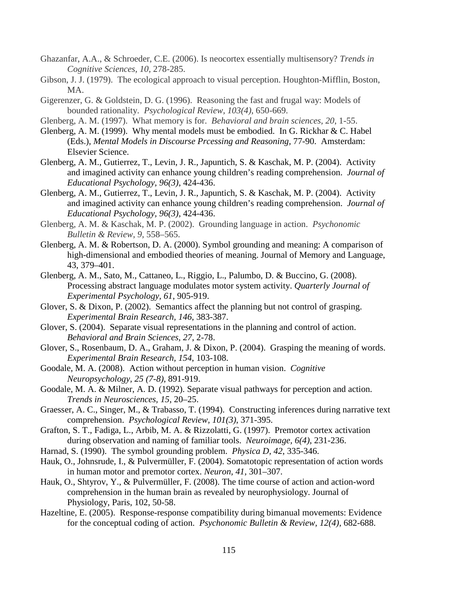- Ghazanfar, A.A., & Schroeder, C.E. (2006). Is neocortex essentially multisensory? *Trends in Cognitive Sciences, 10,* 278-285.
- Gibson, J. J. (1979). The ecological approach to visual perception. Houghton-Mifflin, Boston, MA.
- Gigerenzer, G. & Goldstein, D. G. (1996). Reasoning the fast and frugal way: Models of bounded rationality. *Psychological Review, 103(4)*, 650-669.
- Glenberg, A. M. (1997). What memory is for. *Behavioral and brain sciences, 20*, 1-55.
- Glenberg, A. M. (1999). Why mental models must be embodied. In G. Rickhar & C. Habel (Eds.), *Mental Models in Discourse Prcessing and Reasoning,* 77-90. Amsterdam: Elsevier Science.
- Glenberg, A. M., Gutierrez, T., Levin, J. R., Japuntich, S. & Kaschak, M. P. (2004). Activity and imagined activity can enhance young children's reading comprehension. *Journal of Educational Psychology, 96(3)*, 424-436.
- Glenberg, A. M., Gutierrez, T., Levin, J. R., Japuntich, S. & Kaschak, M. P. (2004). Activity and imagined activity can enhance young children's reading comprehension. *Journal of Educational Psychology, 96(3)*, 424-436.
- Glenberg, A. M. & Kaschak, M. P. (2002). Grounding language in action. *Psychonomic Bulletin & Review, 9,* 558–565.
- Glenberg, A. M. & Robertson, D. A. (2000). Symbol grounding and meaning: A comparison of high-dimensional and embodied theories of meaning. Journal of Memory and Language, 43, 379–401.
- Glenberg, A. M., Sato, M., Cattaneo, L., Riggio, L., Palumbo, D. & Buccino, G. (2008). Processing abstract language modulates motor system activity. *Quarterly Journal of Experimental Psychology, 61*, 905-919.
- Glover, S. & Dixon, P. (2002). Semantics affect the planning but not control of grasping. *Experimental Brain Research, 146*, 383-387.
- Glover, S. (2004). Separate visual representations in the planning and control of action. *Behavioral and Brain Sciences, 27*, 2-78.
- Glover, S., Rosenbaum, D. A., Graham, J. & Dixon, P. (2004). Grasping the meaning of words. *Experimental Brain Research, 154*, 103-108.
- Goodale, M. A. (2008). Action without perception in human vision. *Cognitive Neuropsychology, 25 (7-8)*, 891-919.
- Goodale, M. A. & Milner, A. D. (1992). Separate visual pathways for perception and action. *Trends in Neurosciences, 15*, 20–25.
- Graesser, A. C., Singer, M., & Trabasso, T. (1994). Constructing inferences during narrative text comprehension. *Psychological Review, 101(3)*, 371-395.
- Grafton, S. T., Fadiga, L., Arbib, M. A. & Rizzolatti, G. (1997). Premotor cortex activation during observation and naming of familiar tools. *Neuroimage, 6(4)*, 231-236.
- Harnad, S. (1990). The symbol grounding problem. *Physica D, 42*, 335-346.
- Hauk, O., Johnsrude, I., & Pulvermüller, F. (2004). Somatotopic representation of action words in human motor and premotor cortex. *Neuron, 41,* 301–307.
- Hauk, O., Shtyrov, Y., & Pulvermüller, F. (2008). The time course of action and action-word comprehension in the human brain as revealed by neurophysiology. Journal of Physiology, Paris, 102, 50-58.
- Hazeltine, E. (2005). Response-response compatibility during bimanual movements: Evidence for the conceptual coding of action. *Psychonomic Bulletin & Review, 12(4)*, 682-688.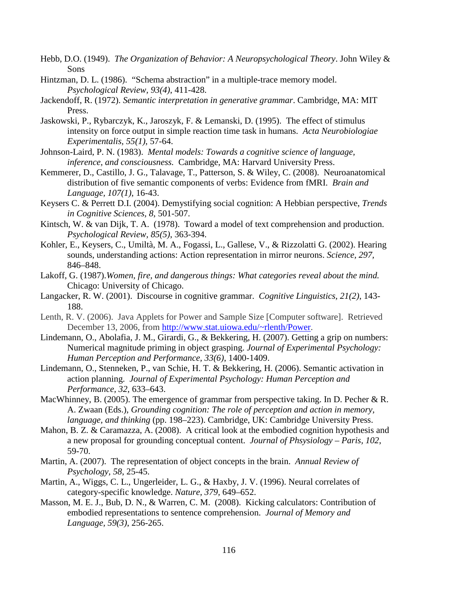- Hebb, D.O. (1949). *The Organization of Behavior: A Neuropsychological Theory*. John Wiley & Sons
- Hintzman, D. L. (1986). "Schema abstraction" in a multiple-trace memory model. *Psychological Review, 93(4)*, 411-428.
- Jackendoff, R. (1972). *Semantic interpretation in generative grammar*. Cambridge, MA: MIT Press.
- Jaskowski, P., Rybarczyk, K., Jaroszyk, F. & Lemanski, D. (1995). The effect of stimulus intensity on force output in simple reaction time task in humans. *Acta Neurobiologiae Experimentalis, 55(1)*, 57-64.
- Johnson-Laird, P. N. (1983). *Mental models: Towards a cognitive science of language, inference, and consciousness.* Cambridge, MA: Harvard University Press.
- Kemmerer, D., Castillo, J. G., Talavage, T., Patterson, S. & Wiley, C. (2008). Neuroanatomical distribution of five semantic components of verbs: Evidence from fMRI. *Brain and Language, 107(1)*, 16-43.
- Keysers C. & Perrett D.I. (2004). Demystifying social cognition: A Hebbian perspective, *Trends in Cognitive Sciences, 8*, 501-507.
- Kintsch, W. & van Dijk, T. A. (1978). Toward a model of text comprehension and production. *Psychological Review, 85(5)*, 363-394.
- Kohler, E., Keysers, C., Umiltà, M. A., Fogassi, L., Gallese, V., & Rizzolatti G. (2002). Hearing sounds, understanding actions: Action representation in mirror neurons. *Science, 297,* 846–848.
- Lakoff, G. (1987).*Women, fire, and dangerous things: What categories reveal about the mind.* Chicago: University of Chicago.
- Langacker, R. W. (2001). Discourse in cognitive grammar. *Cognitive Linguistics, 21(2)*, 143- 188.
- Lenth, R. V. (2006). Java Applets for Power and Sample Size [Computer software]. Retrieved December 13, 2006, from <http://www.stat.uiowa.edu/~rlenth/Power>.
- Lindemann, O., Abolafia, J. M., Girardi, G., & Bekkering, H. (2007). Getting a grip on numbers: Numerical magnitude priming in object grasping. *Journal of Experimental Psychology: Human Perception and Performance, 33(6)*, 1400-1409.
- Lindemann, O., Stenneken, P., van Schie, H. T. & Bekkering, H. (2006). Semantic activation in action planning. *Journal of Experimental Psychology: Human Perception and Performance, 32*, 633–643.
- MacWhinney, B. (2005). The emergence of grammar from perspective taking. In D. Pecher & R. A. Zwaan (Eds.), *Grounding cognition: The role of perception and action in memory, language, and thinking* (pp. 198–223). Cambridge, UK: Cambridge University Press.
- Mahon, B. Z. & Caramazza, A. (2008). A critical look at the embodied cognition hypothesis and a new proposal for grounding conceptual content. *Journal of Phsysiology – Paris, 102*, 59-70.
- Martin, A. (2007). The representation of object concepts in the brain. *Annual Review of Psychology, 58*, 25-45.
- Martin, A., Wiggs, C. L., Ungerleider, L. G., & Haxby, J. V. (1996). Neural correlates of category-specific knowledge. *Nature, 379,* 649–652.
- Masson, M. E. J., Bub, D. N., & Warren, C. M. (2008). Kicking calculators: Contribution of embodied representations to sentence comprehension. *Journal of Memory and Language, 59(3)*, 256-265.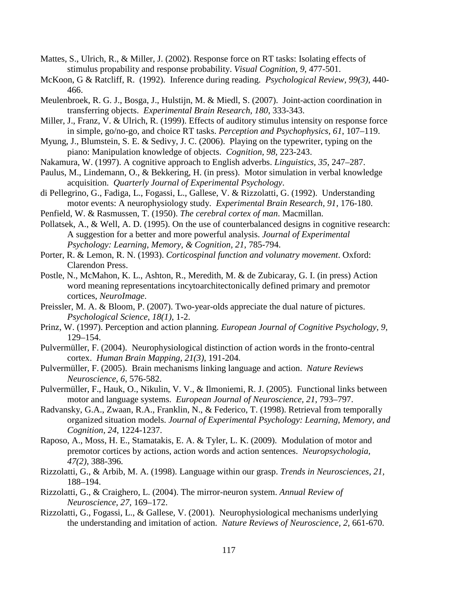- Mattes, S., Ulrich, R., & Miller, J. (2002). Response force on RT tasks: Isolating effects of stimulus propability and response probability. *Visual Cognition, 9,* 477-501.
- McKoon, G & Ratcliff, R. (1992). Inference during reading. *Psychological Review, 99(3)*, 440- 466.
- Meulenbroek, R. G. J., Bosga, J., Hulstijn, M. & Miedl, S. (2007). Joint-action coordination in transferring objects. *Experimental Brain Research, 180*, 333-343.
- Miller, J., Franz, V. & Ulrich, R. (1999). Effects of auditory stimulus intensity on response force in simple, go/no-go, and choice RT tasks. *Perception and Psychophysics, 61*, 107–119.
- Myung, J., Blumstein, S. E. & Sedivy, J. C. (2006). Playing on the typewriter, typing on the piano: Manipulation knowledge of objects. *Cognition, 98*, 223-243.
- Nakamura, W. (1997). A cognitive approach to English adverbs. *Linguistics, 35*, 247–287.
- Paulus, M., Lindemann, O., & Bekkering, H. (in press). Motor simulation in verbal knowledge acquisition. *Quarterly Journal of Experimental Psychology*.
- di Pellegrino, G., Fadiga, L., Fogassi, L., Gallese, V. & Rizzolatti, G. (1992). Understanding motor events: A neurophysiology study. *Experimental Brain Research, 91*, 176-180.
- Penfield, W. & Rasmussen, T. (1950). *The cerebral cortex of man*. Macmillan.
- Pollatsek, A., & Well, A. D. (1995). On the use of counterbalanced designs in cognitive research: A suggestion for a better and more powerful analysis. *Journal of Experimental Psychology: Learning, Memory, & Cognition, 21*, 785-794.
- Porter, R. & Lemon, R. N. (1993). *Corticospinal function and volunatry movement*. Oxford: Clarendon Press.
- Postle, N., McMahon, K. L., Ashton, R., Meredith, M. & de Zubicaray, G. I. (in press) Action word meaning representations incytoarchitectonically defined primary and premotor cortices, *NeuroImage*.
- Preissler, M. A. & Bloom, P. (2007). Two-year-olds appreciate the dual nature of pictures. *Psychological Science, 18(1)*, 1-2.
- Prinz, W. (1997). Perception and action planning. *European Journal of Cognitive Psychology, 9,* 129–154.
- Pulvermüller, F. (2004). Neurophysiological distinction of action words in the fronto-central cortex. *Human Brain Mapping, 21(3)*, 191-204.
- Pulvermüller, F. (2005). Brain mechanisms linking language and action. *Nature Reviews Neuroscience, 6*, 576-582.
- Pulvermüller, F., Hauk, O., Nikulin, V. V., & Ilmoniemi, R. J. (2005). Functional links between motor and language systems. *European Journal of Neuroscience, 21*, 793–797.
- Radvansky, G.A., Zwaan, R.A., Franklin, N., & Federico, T. (1998). Retrieval from temporally organized situation models. *Journal of Experimental Psychology: Learning, Memory, and Cognition, 24*, 1224-1237.
- Raposo, A., Moss, H. E., Stamatakis, E. A. & Tyler, L. K. (2009). Modulation of motor and premotor cortices by actions, action words and action sentences. *Neuropsychologia, 47(2)*, 388-396*.*
- Rizzolatti, G., & Arbib, M. A. (1998). Language within our grasp. *Trends in Neurosciences, 21,* 188–194.
- Rizzolatti, G., & Craighero, L. (2004). The mirror-neuron system. *Annual Review of Neuroscience, 27,* 169–172.
- Rizzolatti, G., Fogassi, L., & Gallese, V. (2001). Neurophysiological mechanisms underlying the understanding and imitation of action. *Nature Reviews of Neuroscience, 2*, 661-670.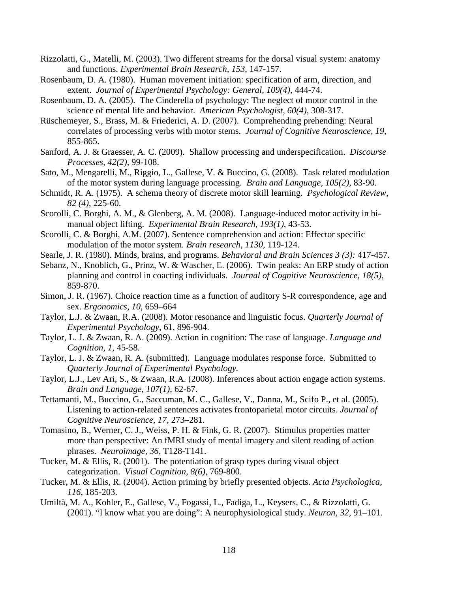- Rizzolatti, G., Matelli, M. (2003). Two different streams for the dorsal visual system: anatomy and functions. *Experimental Brain Research, 153*, 147-157.
- Rosenbaum, D. A. (1980). Human movement initiation: specification of arm, direction, and extent. *Journal of Experimental Psychology: General, 109(4)*, 444-74.
- Rosenbaum, D. A. (2005). The Cinderella of psychology: The neglect of motor control in the science of mental life and behavior. *American Psychologist, 60(4)*, 308-317.
- Rüschemeyer, S., Brass, M. & Friederici, A. D. (2007). Comprehending prehending: Neural correlates of processing verbs with motor stems. *Journal of Cognitive Neuroscience, 19*, 855-865.
- Sanford, A. J. & Graesser, A. C. (2009). Shallow processing and underspecification. *Discourse Processes, 42(2)*, 99-108.
- Sato, M., Mengarelli, M., Riggio, L., Gallese, V. & Buccino, G. (2008). Task related modulation of the motor system during language processing. *Brain and Language*, *105(2)*, 83-90.
- Schmidt, R. A. (1975). A schema theory of discrete motor skill learning. *Psychological Review, 82 (4)*, 225-60.
- Scorolli, C. Borghi, A. M., & Glenberg, A. M. (2008). Language-induced motor activity in bimanual object lifting. *Experimental Brain Research, 193(1)*, 43-53.
- Scorolli, C. & Borghi, A.M. (2007). Sentence comprehension and action: Effector specific modulation of the motor system*. Brain research, 1130,* 119-124.
- Searle, J. R. (1980). Minds, brains, and programs. *Behavioral and Brain Sciences 3 (3):* 417-457.
- Sebanz, N., Knoblich, G., Prinz, W. & Wascher, E. (2006). Twin peaks: An ERP study of action planning and control in coacting individuals. *Journal of Cognitive Neuroscience, 18(5)*, 859-870.
- Simon, J. R. (1967). Choice reaction time as a function of auditory S-R correspondence, age and sex. *Ergonomics, 10*, 659–664
- Taylor, L.J. & Zwaan, R.A. (2008). Motor resonance and linguistic focus. *Quarterly Journal of Experimental Psychology*, 61, 896-904.
- Taylor, L. J. & Zwaan, R. A. (2009). Action in cognition: The case of language. *Language and Cognition, 1*, 45-58.
- Taylor, L. J. & Zwaan, R. A. (submitted). Language modulates response force. Submitted to *Quarterly Journal of Experimental Psychology.*
- Taylor, L.J., Lev Ari, S., & Zwaan, R.A. (2008). Inferences about action engage action systems. *Brain and Language, 107(1)*, 62-67.
- Tettamanti, M., Buccino, G., Saccuman, M. C., Gallese, V., Danna, M., Scifo P., et al. (2005). Listening to action-related sentences activates frontoparietal motor circuits. *Journal of Cognitive Neuroscience, 17,* 273–281.
- Tomasino, B., Werner, C. J., Weiss, P. H. & Fink, G. R. (2007). Stimulus properties matter more than perspective: An fMRI study of mental imagery and silent reading of action phrases. *Neuroimage, 36*, T128-T141.
- Tucker, M. & Ellis, R. (2001). The potentiation of grasp types during visual object categorization. *Visual Cognition, 8(6)*, 769-800.
- Tucker, M. & Ellis, R. (2004). Action priming by briefly presented objects. *Acta Psychologica, 116*, 185-203.
- Umiltà, M. A., Kohler, E., Gallese, V., Fogassi, L., Fadiga, L., Keysers, C., & Rizzolatti, G. (2001). "I know what you are doing": A neurophysiological study. *Neuron, 32,* 91–101.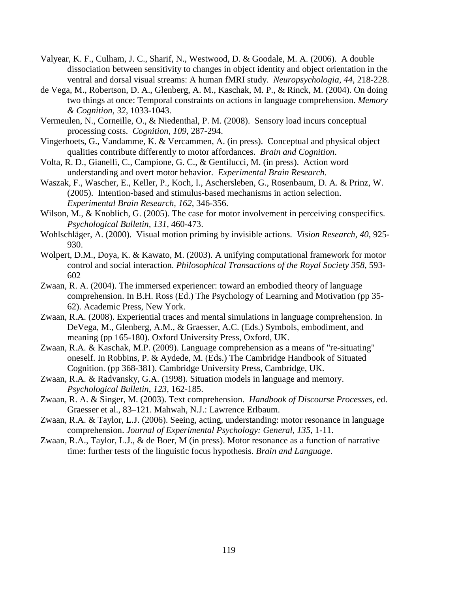- Valyear, K. F., Culham, J. C., Sharif, N., Westwood, D. & Goodale, M. A. (2006). A double dissociation between sensitivity to changes in object identity and object orientation in the ventral and dorsal visual streams: A human fMRI study. *Neuropsychologia, 44*, 218-228.
- de Vega, M., Robertson, D. A., Glenberg, A. M., Kaschak, M. P., & Rinck, M. (2004). On doing two things at once: Temporal constraints on actions in language comprehension. *Memory & Cognition, 32*, 1033-1043.
- Vermeulen, N., Corneille, O., & Niedenthal, P. M. (2008). Sensory load incurs conceptual processing costs. *Cognition, 109*, 287-294.
- Vingerhoets, G., Vandamme, K. & Vercammen, A. (in press). Conceptual and physical object qualities contribute differently to motor affordances. *Brain and Cognition*.
- Volta, R. D., Gianelli, C., Campione, G. C., & Gentilucci, M. (in press). Action word understanding and overt motor behavior. *Experimental Brain Research.*
- Waszak, F., Wascher, E., Keller, P., Koch, I., Aschersleben, G., Rosenbaum, D. A. & Prinz, W. (2005). Intention-based and stimulus-based mechanisms in action selection. *Experimental Brain Research, 162*, 346-356.
- Wilson, M., & Knoblich, G. (2005). The case for motor involvement in perceiving conspecifics. *Psychological Bulletin, 131*, 460-473.
- Wohlschläger, A. (2000). Visual motion priming by invisible actions. *Vision Research, 40*, 925- 930.
- Wolpert, D.M., Doya, K. & Kawato, M. (2003). A unifying computational framework for motor control and social interaction. *Philosophical Transactions of the Royal Society 358*, 593- 602
- Zwaan, R. A. (2004). The immersed experiencer: toward an embodied theory of language comprehension. In B.H. Ross (Ed.) The Psychology of Learning and Motivation (pp 35- 62). Academic Press, New York.
- Zwaan, R.A. (2008). Experiential traces and mental simulations in language comprehension. In DeVega, M., Glenberg, A.M., & Graesser, A.C. (Eds.) Symbols, embodiment, and meaning (pp 165-180). Oxford University Press, Oxford, UK.
- Zwaan, R.A. & Kaschak, M.P. (2009). Language comprehension as a means of "re-situating" oneself. In Robbins, P. & Aydede, M. (Eds.) The Cambridge Handbook of Situated Cognition. (pp 368-381). Cambridge University Press, Cambridge, UK.
- Zwaan, R.A. & Radvansky, G.A. (1998). Situation models in language and memory. *Psychological Bulletin*, *123*, 162-185.
- Zwaan, R. A. & Singer, M. (2003). Text comprehension. *Handbook of Discourse Processes*, ed. Graesser et al., 83–121. Mahwah, N.J.: Lawrence Erlbaum.
- Zwaan, R.A. & Taylor, L.J. (2006). Seeing, acting, understanding: motor resonance in language comprehension. *Journal of Experimental Psychology: General*, *135*, 1-11.
- Zwaan, R.A., Taylor, L.J., & de Boer, M (in press). Motor resonance as a function of narrative time: further tests of the linguistic focus hypothesis. *Brain and Language*.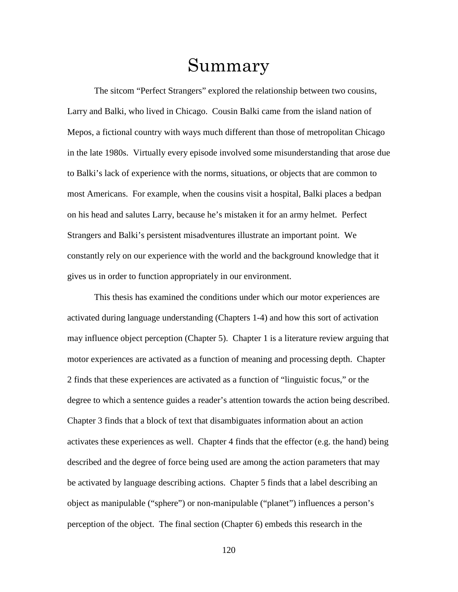### Summary

The sitcom "Perfect Strangers" explored the relationship between two cousins, Larry and Balki, who lived in Chicago. Cousin Balki came from the island nation of Mepos, a fictional country with ways much different than those of metropolitan Chicago in the late 1980s. Virtually every episode involved some misunderstanding that arose due to Balki's lack of experience with the norms, situations, or objects that are common to most Americans. For example, when the cousins visit a hospital, Balki places a bedpan on his head and salutes Larry, because he's mistaken it for an army helmet. Perfect Strangers and Balki's persistent misadventures illustrate an important point. We constantly rely on our experience with the world and the background knowledge that it gives us in order to function appropriately in our environment.

This thesis has examined the conditions under which our motor experiences are activated during language understanding (Chapters 1-4) and how this sort of activation may influence object perception (Chapter 5). Chapter 1 is a literature review arguing that motor experiences are activated as a function of meaning and processing depth. Chapter 2 finds that these experiences are activated as a function of "linguistic focus," or the degree to which a sentence guides a reader's attention towards the action being described. Chapter 3 finds that a block of text that disambiguates information about an action activates these experiences as well. Chapter 4 finds that the effector (e.g. the hand) being described and the degree of force being used are among the action parameters that may be activated by language describing actions. Chapter 5 finds that a label describing an object as manipulable ("sphere") or non-manipulable ("planet") influences a person's perception of the object. The final section (Chapter 6) embeds this research in the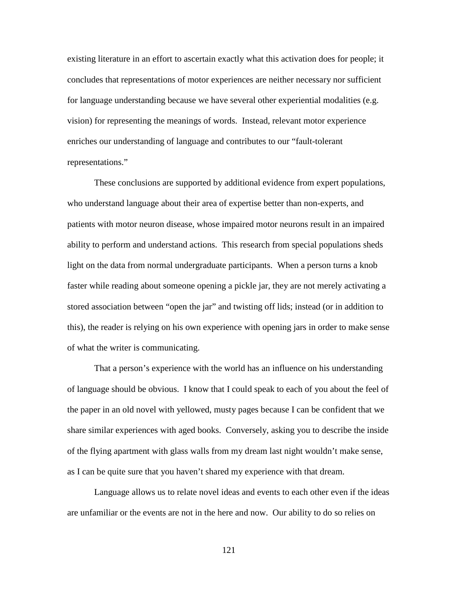existing literature in an effort to ascertain exactly what this activation does for people; it concludes that representations of motor experiences are neither necessary nor sufficient for language understanding because we have several other experiential modalities (e.g. vision) for representing the meanings of words. Instead, relevant motor experience enriches our understanding of language and contributes to our "fault-tolerant representations."

These conclusions are supported by additional evidence from expert populations, who understand language about their area of expertise better than non-experts, and patients with motor neuron disease, whose impaired motor neurons result in an impaired ability to perform and understand actions. This research from special populations sheds light on the data from normal undergraduate participants. When a person turns a knob faster while reading about someone opening a pickle jar, they are not merely activating a stored association between "open the jar" and twisting off lids; instead (or in addition to this), the reader is relying on his own experience with opening jars in order to make sense of what the writer is communicating.

That a person's experience with the world has an influence on his understanding of language should be obvious. I know that I could speak to each of you about the feel of the paper in an old novel with yellowed, musty pages because I can be confident that we share similar experiences with aged books. Conversely, asking you to describe the inside of the flying apartment with glass walls from my dream last night wouldn't make sense, as I can be quite sure that you haven't shared my experience with that dream.

Language allows us to relate novel ideas and events to each other even if the ideas are unfamiliar or the events are not in the here and now. Our ability to do so relies on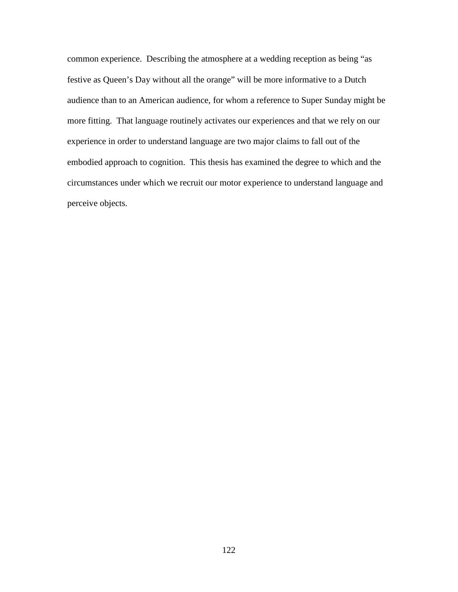common experience. Describing the atmosphere at a wedding reception as being "as festive as Queen's Day without all the orange" will be more informative to a Dutch audience than to an American audience, for whom a reference to Super Sunday might be more fitting. That language routinely activates our experiences and that we rely on our experience in order to understand language are two major claims to fall out of the embodied approach to cognition. This thesis has examined the degree to which and the circumstances under which we recruit our motor experience to understand language and perceive objects.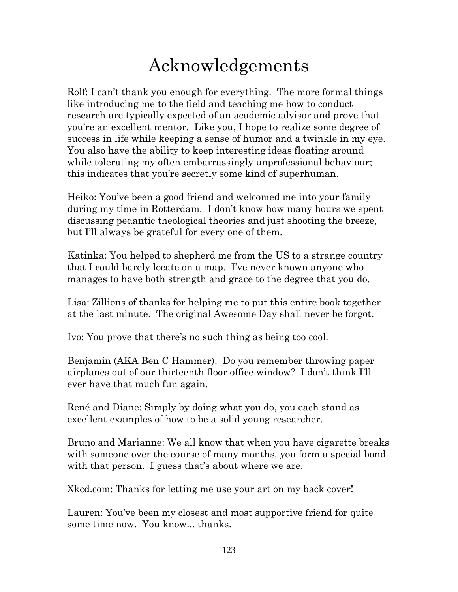# Acknowledgements

Rolf: I can't thank you enough for everything. The more formal things like introducing me to the field and teaching me how to conduct research are typically expected of an academic advisor and prove that you're an excellent mentor. Like you, I hope to realize some degree of success in life while keeping a sense of humor and a twinkle in my eye. You also have the ability to keep interesting ideas floating around while tolerating my often embarrassingly unprofessional behaviour; this indicates that you're secretly some kind of superhuman.

Heiko: You've been a good friend and welcomed me into your family during my time in Rotterdam. I don't know how many hours we spent discussing pedantic theological theories and just shooting the breeze, but I'll always be grateful for every one of them.

Katinka: You helped to shepherd me from the US to a strange country that I could barely locate on a map. I've never known anyone who manages to have both strength and grace to the degree that you do.

Lisa: Zillions of thanks for helping me to put this entire book together at the last minute. The original Awesome Day shall never be forgot.

Ivo: You prove that there's no such thing as being too cool.

Benjamin (AKA Ben C Hammer): Do you remember throwing paper airplanes out of our thirteenth floor office window? I don't think I'll ever have that much fun again.

René and Diane: Simply by doing what you do, you each stand as excellent examples of how to be a solid young researcher.

Bruno and Marianne: We all know that when you have cigarette breaks with someone over the course of many months, you form a special bond with that person. I guess that's about where we are.

Xkcd.com: Thanks for letting me use your art on my back cover!

Lauren: You've been my closest and most supportive friend for quite some time now. You know... thanks.